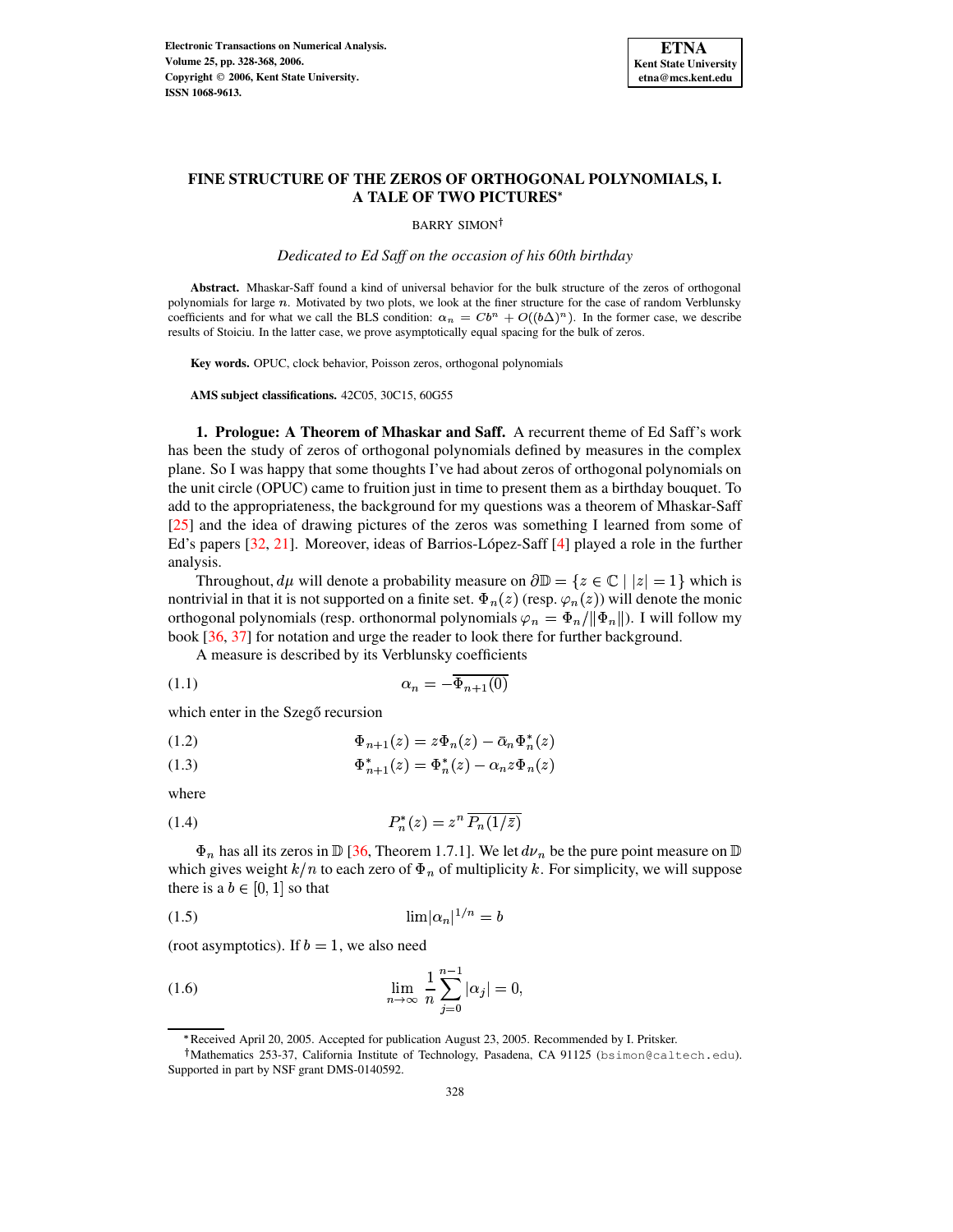

# **FINE STRUCTURE OF THE ZEROS OF ORTHOGONAL POLYNOMIALS, I. A TALE OF TWO PICTURES**

BARRY SIMON<sup>†</sup>

*Dedicated to Ed Saff on the occasion of his 60th birthday*

**Abstract.** Mhaskar-Saff found a kind of universal behavior for the bulk structure of the zeros of orthogonal polynomials for large  $n$ . Motivated by two plots, we look at the finer structure for the case of random Verblunsky coefficients and for what we call the BLS condition:  $\alpha_n = Cb^n + O((b\Delta)^n)$ . In the former case, we describe results of Stoiciu. In the latter case, we prove asymptotically equal spacing for the bulk of zeros.

**Key words.** OPUC, clock behavior, Poisson zeros, orthogonal polynomials

**AMS subject classifications.** 42C05, 30C15, 60G55

**1. Prologue: A Theorem of Mhaskar and Saff.** A recurrent theme of Ed Saff's work has been the study of zeros of orthogonal polynomials defined by measures in the complex plane. So I was happy that some thoughts I've had about zeros of orthogonal polynomials on the unit circle (OPUC) came to fruition just in time to present them as a birthday bouquet. To add to the appropriateness, the background for my questions was a theorem of Mhaskar-Saff [\[25\]](#page-40-0) and the idea of drawing pictures of the zeros was something I learned from some of Ed's papers  $[32, 21]$  $[32, 21]$  $[32, 21]$ . Moreover, ideas of Barrios-López-Saff  $[4]$  played a role in the further analysis.

Throughout,  $d\mu$  will denote a probability measure on  $\partial \mathbb{D} = \{z \in \mathbb{C} \mid |z| = 1\}$  which is nontrivial in that it is not supported on a finite set.  $\Phi_n(z)$  (resp.  $\varphi_n(z)$ ) will denote the monic orthogonal polynomials (resp. orthonormal polynomials  $\varphi_n = \Phi_n / ||\Phi_n||$ ). I will follow my book [\[36,](#page-40-3) [37\]](#page-40-4) for notation and urge the reader to look there for further background.

<span id="page-0-5"></span>A measure is described by its Verblunsky coefficients

$$
\alpha_n = -\Phi_{n+1}(0)
$$

which enter in the Szegő recursion

<span id="page-0-2"></span>
$$
\Phi_{n+1}(z) = z \Phi_n(z) - \bar{\alpha}_n \Phi_n^*(z)
$$

<span id="page-0-4"></span>(1.3)  $\Phi_{n+1}^*(z) = \Phi_n^*(z) - \alpha_n z \Phi_n(z)$ 

<span id="page-0-3"></span>where

$$
(1.4) \t\t\t P_n^*(z) = z^n \overline{P_n(1/\bar{z})}
$$

 $\Phi_n$  has all its zeros in  $\mathbb D$  [\[36,](#page-40-3) Theorem 1.7.1]. We let  $d\nu_n$  be the pure point measure on  $\mathbb D$ which gives weight  $k/n$  to each zero of  $\Phi_n$  of multiplicity k. For simplicity, we will suppose there is a  $b \in [0, 1]$  so that

<span id="page-0-0"></span>
$$
\lim |\alpha_n|^{1/n} = b
$$

<span id="page-0-1"></span>(root asymptotics). If  $b = 1$ , we also need

(1.6) 
$$
\lim_{n \to \infty} \frac{1}{n} \sum_{j=0}^{n-1} |\alpha_j| = 0,
$$

m Received April 20, 2005. Accepted for publication August 23, 2005. Recommended by I. Pritsker.

Mathematics 253-37, California Institute of Technology, Pasadena, CA 91125 (bsimon@caltech.edu). Supported in part by NSF grant DMS-0140592.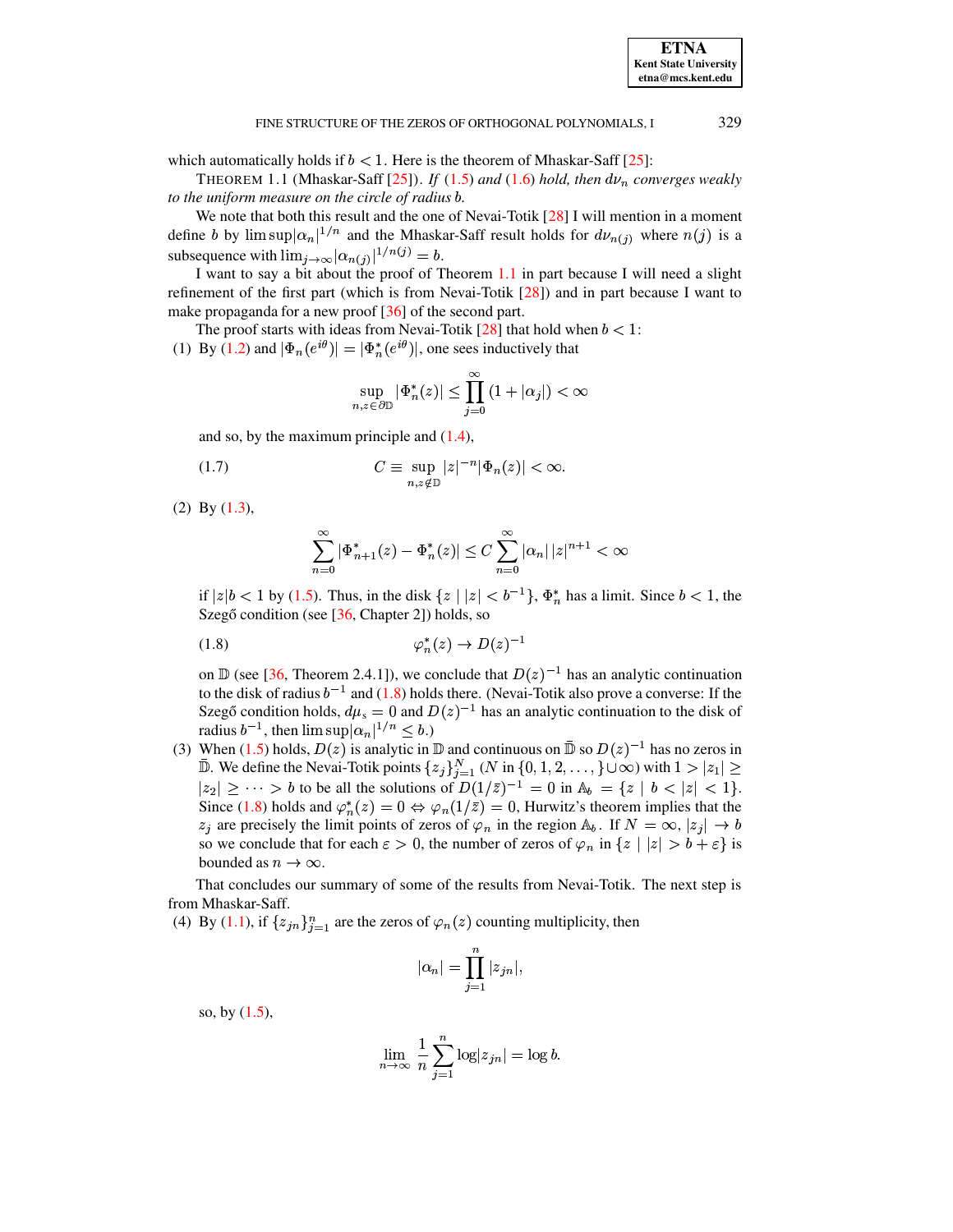<span id="page-1-0"></span>which automatically holds if  $b < 1$ . Here is the theorem of Mhaskar-Saff [\[25\]](#page-40-0):

THEOREM 1.1 (Mhaskar-Saff  $[25]$ ). *If* [\(1.5\)](#page-0-0) *and* [\(1.6\)](#page-0-1) *hold, then*  $d\nu_n$  *converges weakly to the uniform measure on the circle of radius* <sup>S</sup>*.*

We note that both this result and the one of Nevai-Totik [\[28\]](#page-40-5) I will mention in a moment define b by  $\limsup |\alpha_n|^{1/n}$  and the Mhaskar-Saff result holds for  $d\nu_{n(j)}$  where  $n(j)$  is a subsequence with  $\lim_{j\to \infty} |\alpha_{n(j)}|^{1/n(j)} = b$ .

I want to say a bit about the proof of Theorem [1.1](#page-1-0) in part because I will need a slight refinement of the first part (which is from Nevai-Totik [\[28\]](#page-40-5)) and in part because I want to make propaganda for a new proof [\[36\]](#page-40-3) of the second part.

The proof starts with ideas from Nevai-Totik [\[28\]](#page-40-5) that hold when  $b < 1$ :

(1) By [\(1.2\)](#page-0-2) and  $|\Phi_n(e^{i\theta})| = |\Phi_n^*(e^{i\theta})|$ , one sees inductively that /

<span id="page-1-2"></span>
$$
\sup_{n,z\in\partial\mathbb{D}}|\Phi^*_n(z)|\leq\prod_{j=0}^\infty\left(1+|\alpha_j|\right)<\infty
$$

and so, by the maximum principle and [\(1.4\)](#page-0-3),

$$
(1.7) \tC \equiv \sup_{n,z \notin \mathbb{D}} |z|^{-n} |\Phi_n(z)| < \infty.
$$

(2) By [\(1.3\)](#page-0-4),

<span id="page-1-1"></span>
$$
\sum_{n=0}^{\infty} |\Phi^*_{n+1}(z) - \Phi^*_n(z)| \le C \sum_{n=0}^{\infty} |\alpha_n| |z|^{n+1} < \infty
$$

if  $|z|b < 1$  by [\(1.5\)](#page-0-0). Thus, in the disk  $\{z \mid |z| < b^{-1}\}$ ,  $\Phi_n^*$  has a limit. Since  $b < 1$ , the /Szegő condition (see  $[36,$  Chapter 2]) holds, so

$$
\varphi_n^*(z) \to D(z)^{-1}
$$

on  $\mathbb D$  (see [\[36,](#page-40-3) Theorem 2.4.1]), we conclude that  $D(z)^{-1}$  has an analytic continuation to the disk of radius  $b^{-1}$  and [\(1.8\)](#page-1-1) holds there. (Nevai-Totik also prove a converse: If the Szegő condition holds,  $d\mu_s = 0$  and  $D(z)^{-1}$  has an analytic continuation to the disk of radius  $b^{-1}$ , then  $\limsup |\alpha_n|^{1/n} \leq b$ .)

(3) When [\(1.5\)](#page-0-0) holds,  $D(z)$  is analytic in  $D$  and continuous on  $D(z)^{-1}$  has no zeros in  $\mathbb D$ . We define the Nevai-Totik points  $\{z_j\}_{j=1}^N$  (N in  $\{0,1,2,\ldots,\}\cup\infty)$  with  $1>|z_1|\geq 1$  $|z_2| \geq \cdots > b$  to be all the solutions of  $D(1/\bar{z})^{-1} = 0$  in  $\mathbb{A}_b = \{z \mid b < |z| < 1\}.$ Since [\(1.8\)](#page-1-1) holds and  $\varphi_n^*(z) = 0 \Leftrightarrow \varphi_n(1/\overline{z}) = 0$ , Hurwitz's theorem implies that the / $z_j$  are precisely the limit points of zeros of  $\varphi_n$  in the region  $\mathbb{A}_b$ . If  $N = \infty$ ,  $|z_j| \to b$ so we conclude that for each  $\varepsilon>0$ , the number of zeros of  $\varphi_n$  in  $\{z \mid |z| > b + \varepsilon\}$  is bounded as  $n \to \infty$ .

That concludes our summary of some of the results from Nevai-Totik. The next step is from Mhaskar-Saff.

(4) By [\(1.1\)](#page-0-5), if  $\{z_{in}\}_{i=1}^n$  are the zeros of  $\varphi_n(z)$  counting multiplicity, then

$$
|\alpha_n| = \prod_{j=1}^n |z_{jn}|,
$$

so, by [\(1.5\)](#page-0-0),

$$
\lim_{n \to \infty} \frac{1}{n} \sum_{j=1}^{n} \log |z_{jn}| = \log b.
$$

**ETNA Kent State University**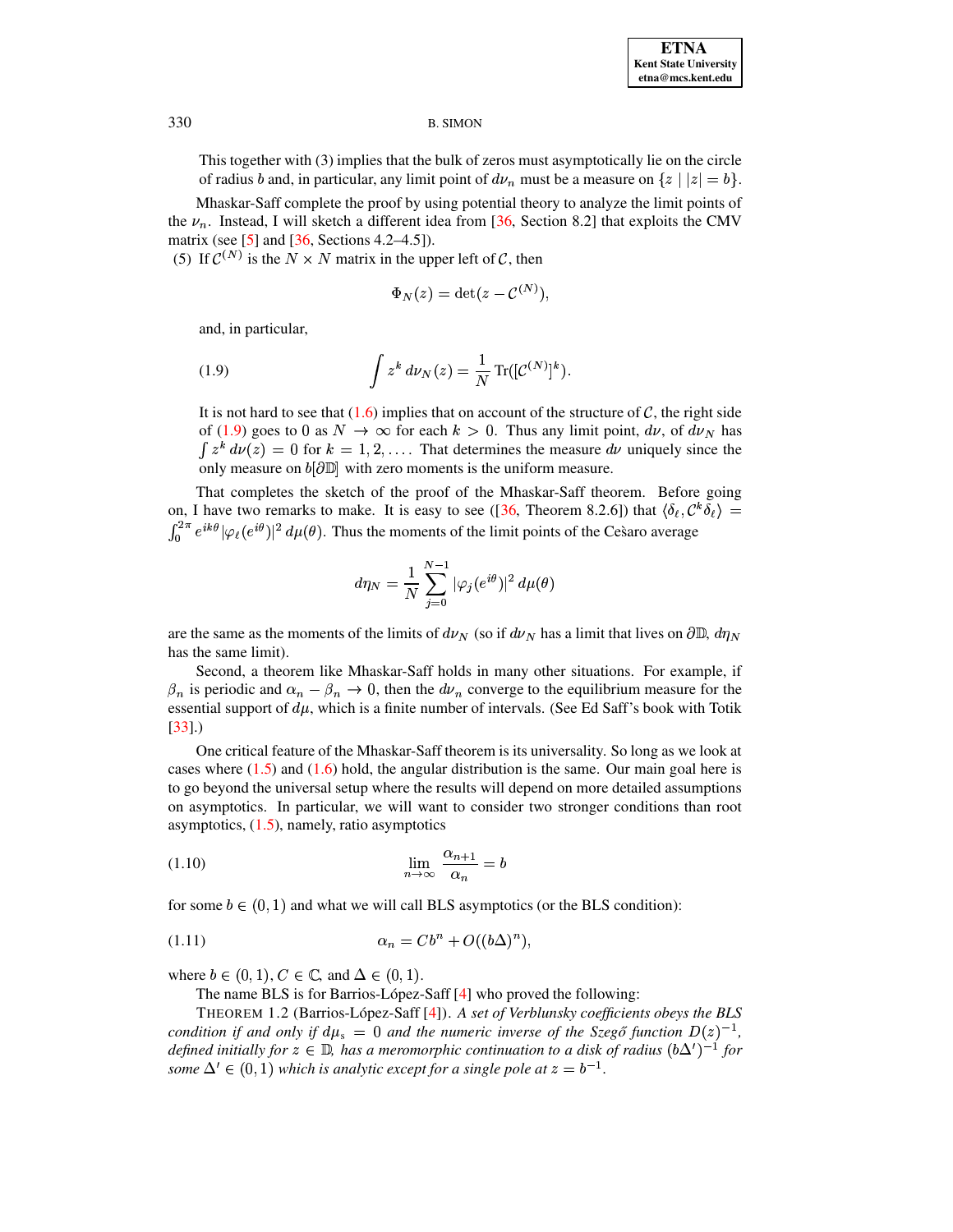This together with (3) implies that the bulk of zeros must asymptotically lie on the circle of radius b and, in particular, any limit point of  $d\nu_n$  must be a measure on  $\{z \mid |z| = b\}$ .

Mhaskar-Saff complete the proof by using potential theory to analyze the limit points of the  $\nu_n$ . Instead, I will sketch a different idea from [\[36,](#page-40-3) Section 8.2] that exploits the CMV matrix (see [\[5\]](#page-39-1) and [\[36,](#page-40-3) Sections 4.2–4.5]).

(5) If  $\mathcal{C}^{(N)}$  is the  $N \times N$ is the  $N \times N$  matrix in the upper left of C, then

$$
\Phi_N(z)=\det(z-\mathcal{C}^{(N)}),
$$

<span id="page-2-0"></span>and, in particular,

(1.9) 
$$
\int z^k \, d\nu_N(z) = \frac{1}{N} \operatorname{Tr}([{\mathcal{C}}^{(N)}]^k).
$$

It is not hard to see that  $(1.6)$  implies that on account of the structure of C, the right side of [\(1.9\)](#page-2-0) goes to 0 as  $N \to \infty$  for each  $k > 0$ . Thus any limit point,  $d\nu$ , of  $d\nu_N$  has  $\int z^k d\nu(z) = 0$  for  $k = 1, 2, \ldots$  That determines the measure  $d\nu$  uniquely since the only measure on  $b[\partial \mathbb{D}]$  with zero moments is the uniform measure.

That completes the sketch of the proof of the Mhaskar-Saff theorem. Before going on, I have two remarks to make. It is easy to see ([\[36,](#page-40-3) Theorem 8.2.6]) that  $\langle \delta_{\ell}, C^k \delta_{\ell} \rangle =$  $\int_0^{2\pi} e^{ik\theta} |\varphi_\ell(e^{i\theta})|^2 d\mu(\theta)$ . Thus the moments of the limit points of the Cesaro average

$$
d\eta_N=\frac{1}{N}\sum_{j=0}^{N-1}|\varphi_j(e^{i\theta})|^2\,d\mu(\theta)
$$

are the same as the moments of the limits of  $d\nu_N$  (so if  $d\nu_N$  has a limit that lives on  $\partial\mathbb{D}$ ,  $d\eta$ has the same limit).

Second, a theorem like Mhaskar-Saff holds in many other situations. For example, if  $\beta_n$  is periodic and  $\alpha_n - \beta_n \to 0$ , then the  $d\nu_n$  converge to the equilibrium measure for the essential support of  $d\mu$ , which is a finite number of intervals. (See Ed Saff's book with Totik [\[33\]](#page-40-6).)

One critical feature of the Mhaskar-Saff theorem is its universality. So long as we look at cases where  $(1.5)$  and  $(1.6)$  hold, the angular distribution is the same. Our main goal here is to go beyond the universal setup where the results will depend on more detailed assumptions on asymptotics. In particular, we will want to consider two stronger conditions than root asymptotics,  $(1.5)$ , namely, ratio asymptotics

<span id="page-2-3"></span>
$$
\lim_{n \to \infty} \frac{\alpha_{n+1}}{\alpha_n} = b
$$

for some  $b \in (0, 1)$  and what we will call BLS asymptotics (or the BLS condition):

$$
(1.11)\qquad \qquad \alpha_n = C b^n + O((b\Delta)^n),
$$

where  $b \in (0, 1), C \in \mathbb{C}$ , and  $\Delta \in (0, 1)$ .

<span id="page-2-2"></span>The name BLS is for Barrios-López-Saff  $[4]$  who proved the following:

<span id="page-2-1"></span>THEOREM 1.2 (Barrios-López-Saff [\[4\]](#page-39-0)). *A set of Verblunsky coefficients obeys the BLS condition* if and only if  $d\mu_s = 0$  and the numeric inverse of the Szegő function  $D(z)^{-1}$ , *defined initially* for  $z \in \mathbb{D}$ , has a meromorphic continuation to a disk of radius  $(b\Delta')^{-1}$  for *some*  $\Delta' \in (0,1)$  *which is analytic except for a single pole at*  $z = b^{-1}$ .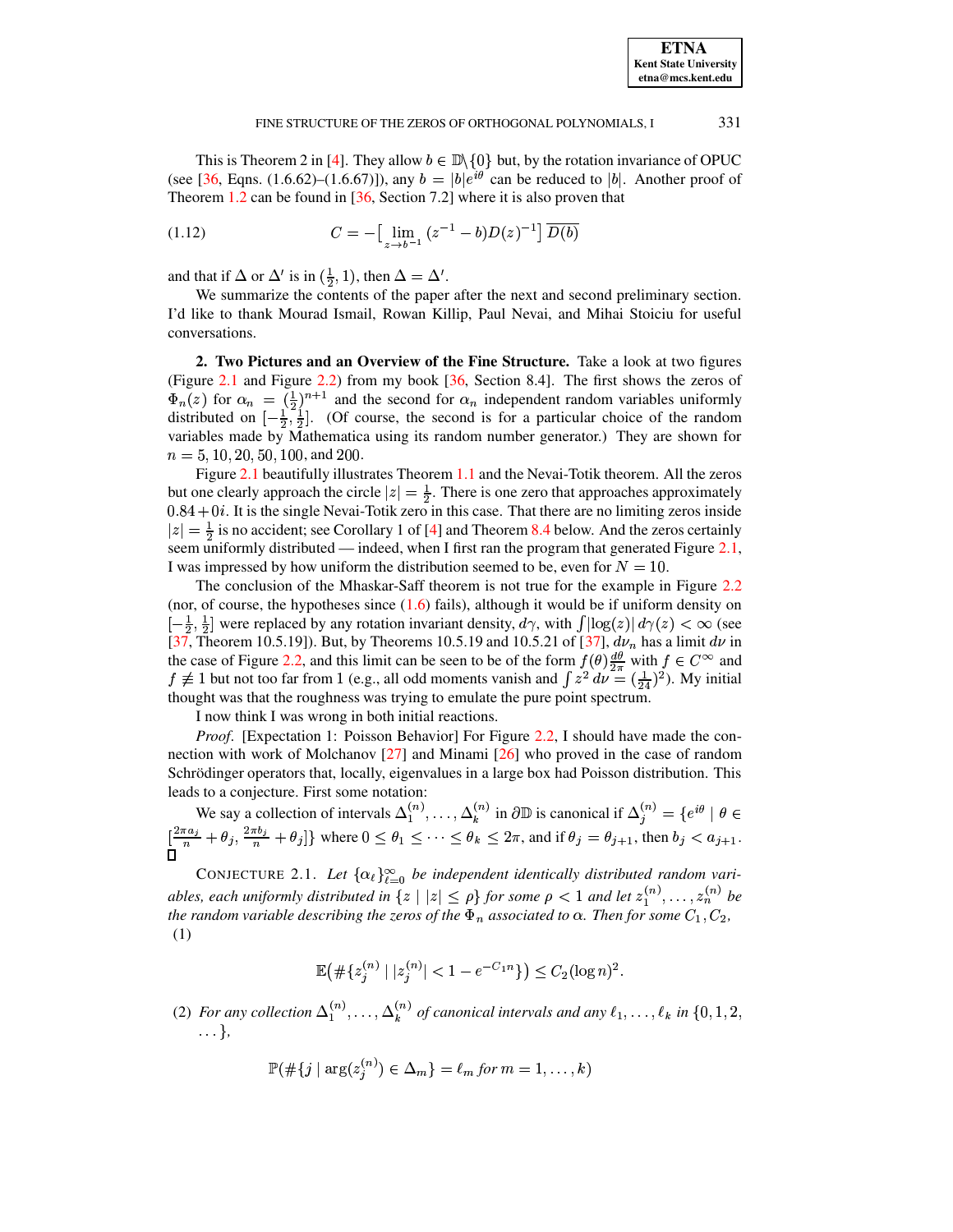<span id="page-3-1"></span>331

This is Theorem 2 in [4]. They allow  $b \in \mathbb{D}\setminus\{0\}$  but, by the rotation invariance of OPUC (see [36, Eqns. (1.6.62)–(1.6.67)]), any  $b = |b|e^{i\theta}$  can be reduced to |b|. Another proof of Theorem 1.2 can be found in  $[36, \text{Section 7.2}]$  where it is also proven that

(1.12) 
$$
C = -\left[\lim_{z \to b^{-1}} (z^{-1} - b)D(z)^{-1}\right] \overline{D(b)}
$$

and that if  $\Delta$  or  $\Delta'$  is in  $(\frac{1}{2}, 1)$ , then  $\Delta = \Delta'$ .

We summarize the contents of the paper after the next and second preliminary section. I'd like to thank Mourad Ismail, Rowan Killip, Paul Nevai, and Mihai Stoiciu for useful conversations.

2. Two Pictures and an Overview of the Fine Structure. Take a look at two figures (Figure 2.1 and Figure 2.2) from my book [36, Section 8.4]. The first shows the zeros of  $\Phi_n(z)$  for  $\alpha_n = (\frac{1}{2})^{n+1}$  and the second for  $\alpha_n$  independent random variables uniformly distributed on  $[-\frac{1}{2}, \frac{1}{2}]$ . (Of course, the second is for a particular choice of the random variables made by Mathematica using its random number generator.) They are shown for  $n = 5, 10, 20, 50, 100,$  and 200.

Figure 2.1 beautifully illustrates Theorem 1.1 and the Nevai-Totik theorem. All the zeros but one clearly approach the circle  $|z| = \frac{1}{2}$ . There is one zero that approaches approximately  $0.84 + 0i$ . It is the single Nevai-Totik zero in this case. That there are no limiting zeros inside  $|z| = \frac{1}{2}$  is no accident; see Corollary 1 of [4] and Theorem 8.4 below. And the zeros certainly seem uniformly distributed — indeed, when I first ran the program that generated Figure 2.1, I was impressed by how uniform the distribution seemed to be, even for  $N = 10$ .

The conclusion of the Mhaskar-Saff theorem is not true for the example in Figure 2.2 (nor, of course, the hypotheses since  $(1.6)$  fails), although it would be if uniform density on  $\left[-\frac{1}{2},\frac{1}{2}\right]$  were replaced by any rotation invariant density,  $d\gamma$ , with  $\int |\log(z)| d\gamma(z) < \infty$  (see [37, Theorem 10.5.19]). But, by Theorems 10.5.19 and 10.5.21 of [37],  $d\nu_n$  has a limit  $d\nu$  in the case of Figure 2.2, and this limit can be seen to be of the form  $f(\theta) \frac{d\theta}{2\pi}$  with  $f \in C^{\infty}$  and  $f \not\equiv 1$  but not too far from 1 (e.g., all odd moments vanish and  $\int z^2 dy = (\frac{1}{24})^2$ ). My initial thought was that the roughness was trying to emulate the pure point spectrum.

I now think I was wrong in both initial reactions.

*Proof.* [Expectation 1: Poisson Behavior] For Figure 2.2, I should have made the connection with work of Molchanov  $[27]$  and Minami  $[26]$  who proved in the case of random Schrödinger operators that, locally, eigenvalues in a large box had Poisson distribution. This leads to a conjecture. First some notation:

We say a collection of intervals  $\Delta_1^{(n)}, \ldots, \Delta_k^{(n)}$  in  $\partial \mathbb{D}$  is canonical if  $\Delta_j^{(n)} = \{e^{i\theta} \mid \theta \in$  $\lim_{n \to \infty} \frac{1}{n} \arccos \alpha$  is conceived on or metricals  $\Delta_1^+$ , ...,  $\Delta_k^+$  in  $\partial \mathbb{D}$  is canonical if  $\Delta_j^{(n)} = \{e^{i\theta} \mid \theta \in [\frac{2\pi a_j}{n} + \theta_j, \frac{2\pi b_j}{n} + \theta_j]\}$  where  $0 \le \theta_1 \le \cdots \le \theta_k \le 2\pi$ , and if  $\theta_j = \theta_{j+1}$ ,

<span id="page-3-0"></span>CONJECTURE 2.1. Let  $\{\alpha_\ell\}_{\ell=0}^\infty$  be independent identically distributed random variables, each uniformly distributed in  $\{z \mid |z| \leq \rho\}$  for some  $\rho < 1$  and let  $z_1^{(n)}, \ldots, z_n^{(n)}$  be the random variable describing the zeros of the  $\Phi_n$  associated to  $\alpha$ . Then for some  $C_1, C_2$ ,  $(1)$ 

$$
\mathbb{E}\left(\#\{z_j^{(n)} \mid |z_j^{(n)}| < 1 - e^{-C_1 n}\}\right) \le C_2 (\log n)^2.
$$

(2) For any collection  $\Delta_1^{(n)}$ , ...,  $\Delta_k^{(n)}$  of canonical intervals and any  $\ell_1, \ldots, \ell_k$  in  $\{0, 1, 2, \ldots\}$  $\ldots$ },

$$
\mathbb{P}(\#\{j \mid \arg(z_j^{(n)}) \in \Delta_m\} = \ell_m \text{ for } m = 1, \ldots, k)
$$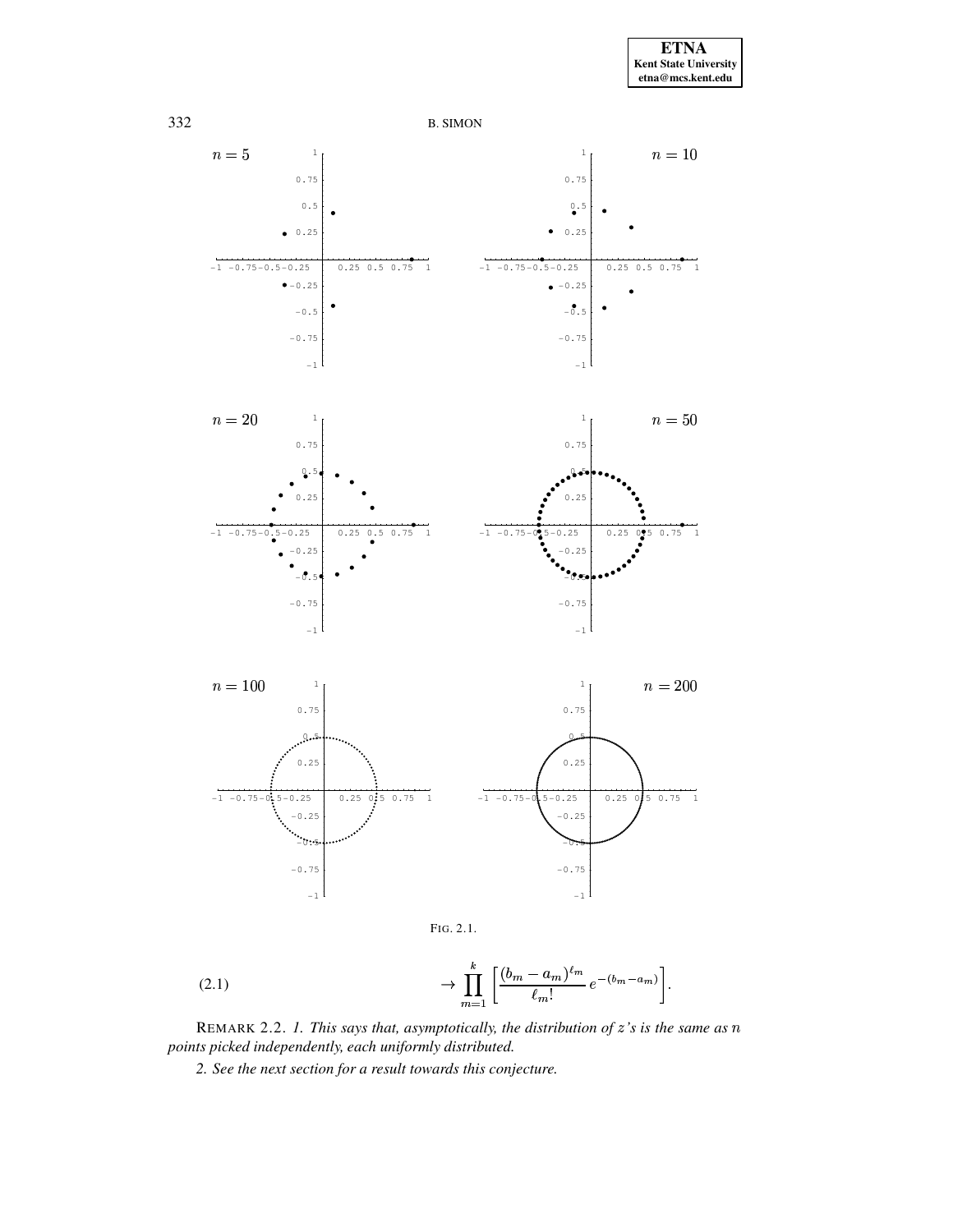

<span id="page-4-0"></span>FIG. 2.1.

(2.1) 
$$
\to \prod_{m=1}^{k} \left[ \frac{(b_m - a_m)^{\ell_m}}{\ell_m!} e^{-(b_m - a_m)} \right].
$$

<span id="page-4-1"></span>REMARK 2.2. 1. This says that, asymptotically, the distribution of  $z$ 's is the same as  $n$ points picked independently, each uniformly distributed.

2. See the next section for a result towards this conjecture.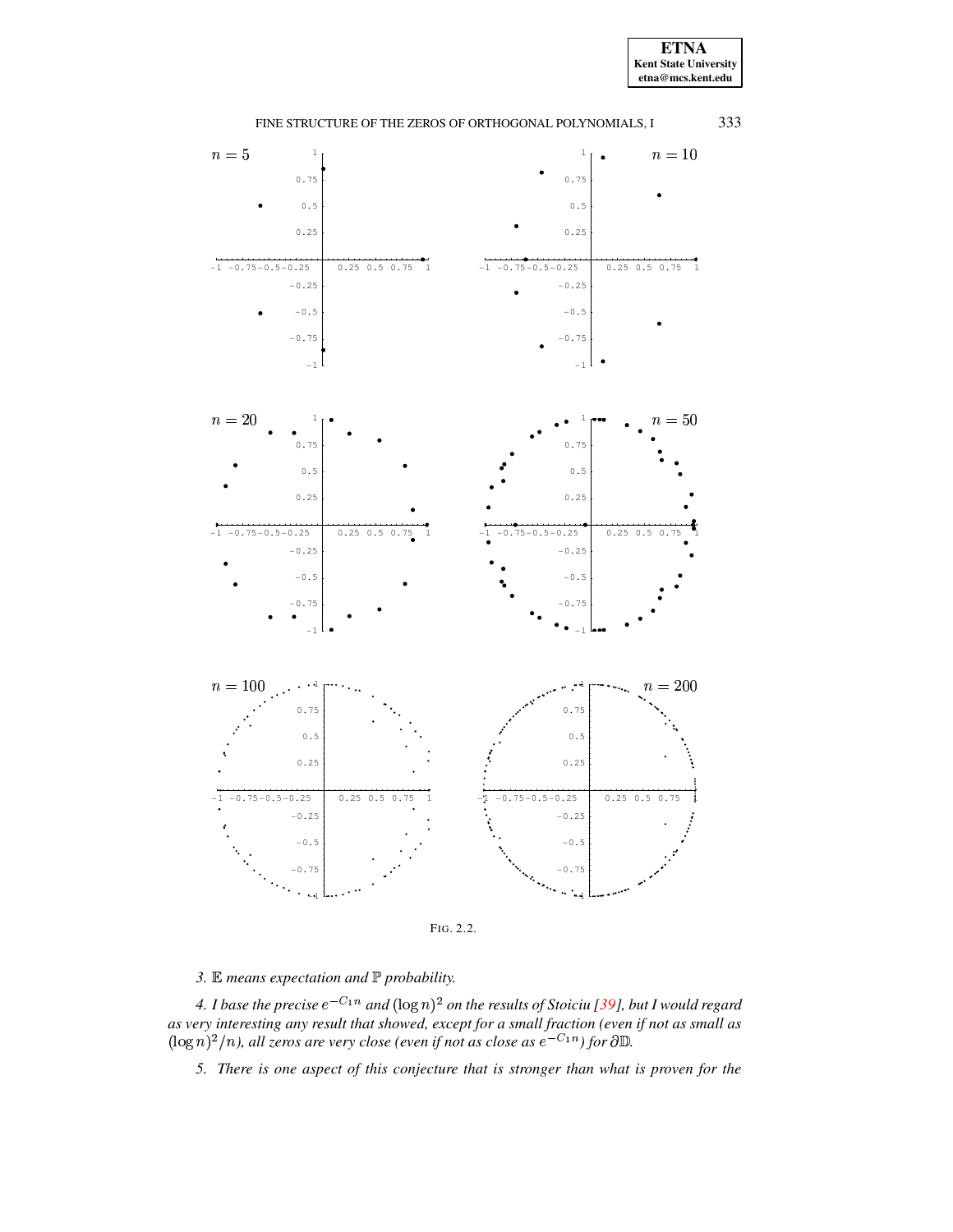**ETNA** Kent State University  $etna@mcs. kent.edu$ 



<span id="page-5-0"></span>

3.  $\mathbb E$  means expectation and  $\mathbb P$  probability.

4. I base the precise  $e^{-C_1 n}$  and  $(\log n)^2$  on the results of Stoiciu [39], but I would regard as very interesting any result that showed, except for a small fraction (even if not as small as  $(\log n)^2/n$ , all zeros are very close (even if not as close as  $e^{-C_1n}$ ) for  $\partial \mathbb{D}$ .

5. There is one aspect of this conjecture that is stronger than what is proven for the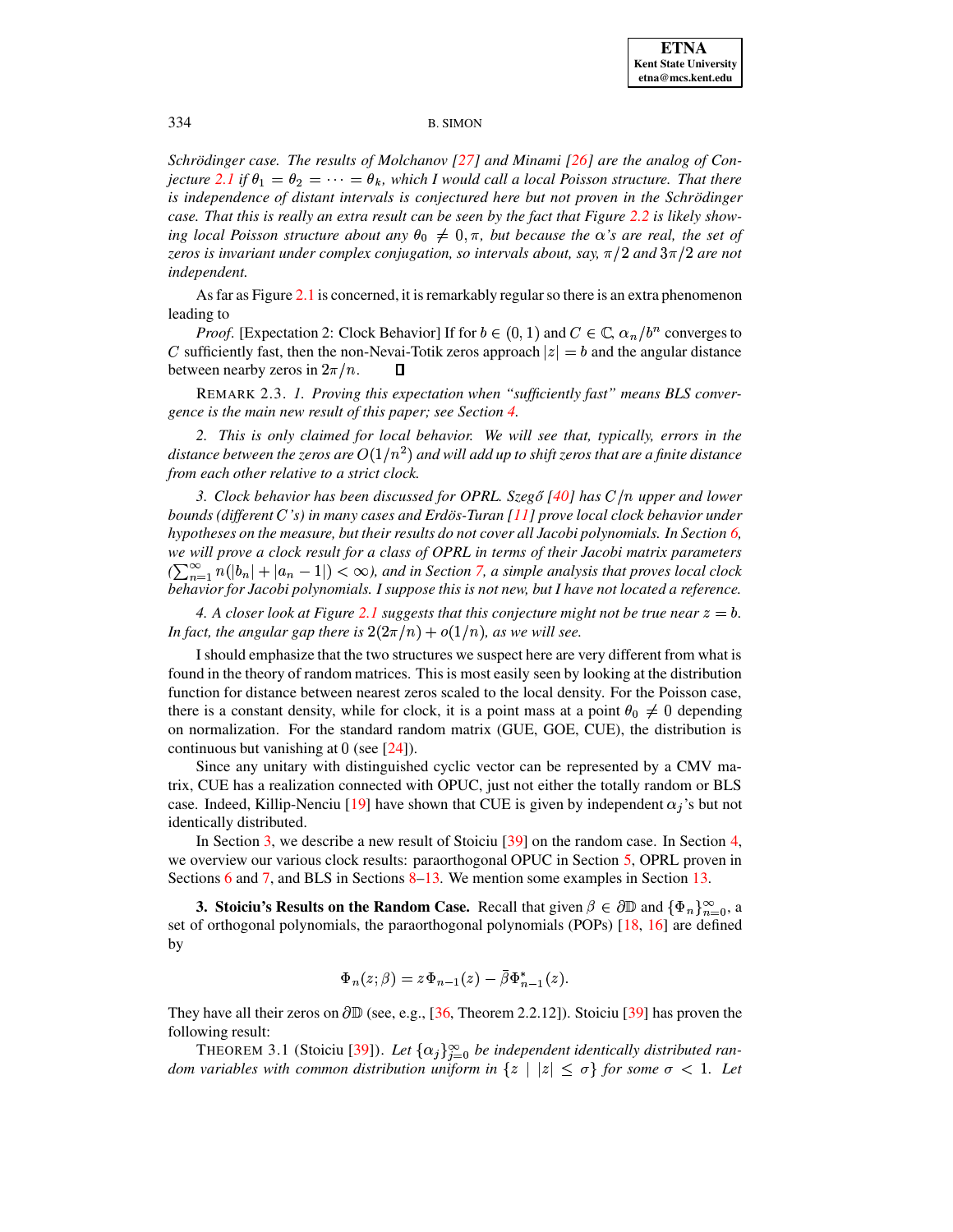*Schrödinger case. The results of Molchanov [\[27\]](#page-40-7) and Minami [\[26\]](#page-40-8) are the analog of Conjecture* [2.1](#page-3-0) *if*  $\theta_1 = \theta_2 = \cdots = \theta_k$ , which I would call a local Poisson structure. That there *is independence of distant intervals is conjectured here but not proven in the Schroding ¨ er* case. That this is really an extra result can be seen by the fact that Figure [2.2](#page-5-0) is likely show*ing local Poisson structure about any*  $\theta_0 \neq 0, \pi$ , *but because the*  $\alpha$ *'s are real, the set of zeros is invariant under complex conjugation, so intervals about, say,*  $\pi/2$  *and*  $3\pi/2$  *are not independent.*

As far as Figure [2.1](#page-4-0) is concerned, it is remarkably regular so there is an extra phenomenon leading to

*Proof.* [Expectation 2: Clock Behavior] If for  $b \in (0,1)$  and  $C \in \mathbb{C}$ ,  $\alpha_n/b^n$  converges to  $C$  sufficiently fast, then the non-Nevai-Totik zeros approach  $|z|=b$  and the angular distance between nearby zeros in  $2\pi/n$ .  $\Box$ 

REMARK 2.3. *1. Proving this expectation when "sufficiently fast" means BLS convergence is the main new result of this paper; see Section [4.](#page-14-0)*

*2. This is only claimed for local behavior. We will see that, typically, errors in the*  $d$  *istance between the zeros are*  $O(1/n^2)$  *and will add up to shift zeros that are a finite distance from each other relative to a strict clock.*

*3. Clock behavior has been discussed for OPRL. Szegő* [\[40\]](#page-40-10) *has*  $C/n$  *upper and lower bounds (different 's) in many cases and Erdos-T ¨ uran [\[11\]](#page-40-11) prove local clock behavior under hypotheses on the measure, but their results do not cover all Jacobi polynomials. In Section [6,](#page-19-0) we will prove a clock result for a class of OPRL in terms of their Jacobi matrix parameters*  $(\sum_{n=1}^{\infty} n(|b_n|+|a_n-1|)<\infty)$ , and in Section [7,](#page-22-0) a simple analysis that proves local clock *behavior for Jacobi polynomials. I suppose this is not new, but I have not located a reference.*

*4. A closer look at Figure* 2.*I* suggests that this conjecture might not be true near  $z = b$ . *In fact, the angular gap there is*  $2(2\pi/n) + o(1/n)$ *, as we will see.* 

I should emphasize that the two structures we suspect here are very different from what is found in the theory of random matrices. This is most easily seen by looking at the distribution function for distance between nearest zeros scaled to the local density. For the Poisson case, there is a constant density, while for clock, it is a point mass at a point  $\theta_0 \neq 0$  depending on normalization. For the standard random matrix (GUE, GOE, CUE), the distribution is continuous but vanishing at  $0$  (see [\[24\]](#page-40-12)).

Since any unitary with distinguished cyclic vector can be represented by a CMV matrix, CUE has a realization connected with OPUC, just not either the totally random or BLS case. Indeed, Killip-Nenciu [\[19\]](#page-40-13) have shown that CUE is given by independent  $\alpha_j$ 's but not identically distributed.

In Section [3,](#page-6-0) we describe a new result of Stoiciu [\[39\]](#page-40-9) on the random case. In Section [4,](#page-14-0) we overview our various clock results: paraorthogonal OPUC in Section [5,](#page-17-0) OPRL proven in Sections [6](#page-19-0) and [7,](#page-22-0) and BLS in Sections [8–](#page-24-1)[13.](#page-38-0) We mention some examples in Section [13.](#page-38-0)

<span id="page-6-0"></span>**3. Stoiciu's Results on the Random Case.** Recall that given  $\beta \in \partial \mathbb{D}$  and  $\{\Phi_n\}_{n=0}^{\infty}$ , a set of orthogonal polynomials, the paraorthogonal polynomials (POPs) [\[18,](#page-40-14) [16\]](#page-40-15) are defined by

$$
\Phi_n(z;\beta)=z\Phi_{n-1}(z)-\bar{\beta}\Phi_{n-1}^*(z).
$$

They have all their zeros on  $\partial \mathbb{D}$  (see, e.g., [\[36,](#page-40-3) Theorem 2.2.12]). Stoiciu [\[39\]](#page-40-9) has proven the following result:

<span id="page-6-1"></span>THEOREM 3.1 (Stoiciu [\[39\]](#page-40-9)). Let  $\{\alpha_j\}_{i=0}^{\infty}$  be independent identically distributed ran*dom variables with common* distribution *uniform* in  $\{z \mid |z| \leq \sigma\}$  *for some*  $\sigma < 1$ *. Let*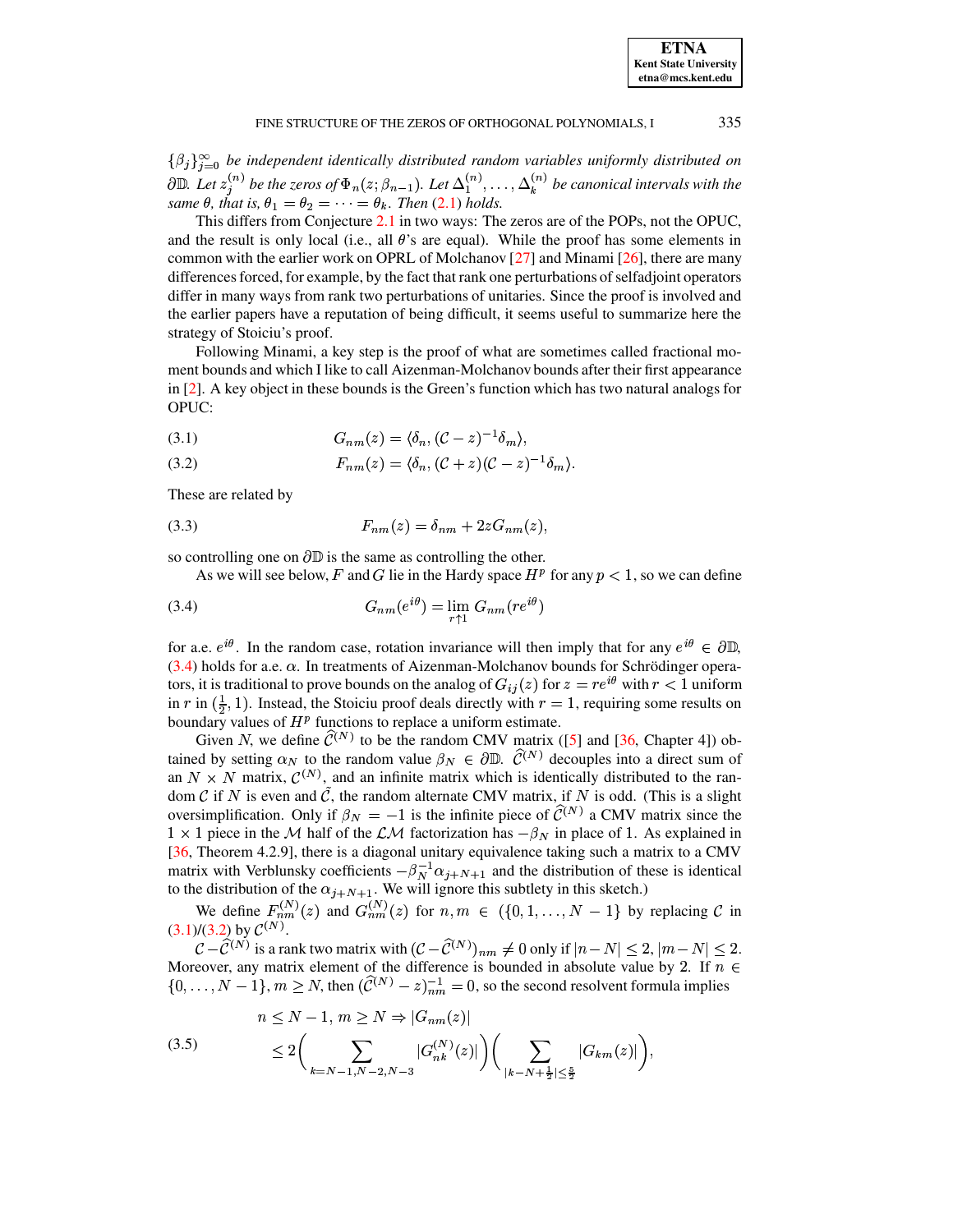335

 $\{\beta_j\}_{i=0}^{\infty}$  be independent identically distributed random variables uniformly distributed on  $\partial \mathbb{D}$ . Let  $z_j^{(n)}$  be the zeros of  $\Phi_n(z; \beta_{n-1})$ . Let  $\Delta_1^{(n)}, \ldots, \Delta_k^{(n)}$  be canonical intervals with the same  $\theta$ , that is,  $\theta_1 = \theta_2 = \cdots = \theta_k$ . Then (2.1) holds.

This differs from Conjecture 2.1 in two ways: The zeros are of the POPs, not the OPUC, and the result is only local (i.e., all  $\theta$ 's are equal). While the proof has some elements in common with the earlier work on OPRL of Molchanov [27] and Minami [26], there are many differences forced, for example, by the fact that rank one perturbations of selfadjoint operators differ in many ways from rank two perturbations of unitaries. Since the proof is involved and the earlier papers have a reputation of being difficult, it seems useful to summarize here the strategy of Stoiciu's proof.

Following Minami, a key step is the proof of what are sometimes called fractional moment bounds and which I like to call Aizenman-Molchanov bounds after their first appearance in  $[2]$ . A key object in these bounds is the Green's function which has two natural analogs for OPUC:

<span id="page-7-1"></span>
$$
(3.1) \tGnm(z) = \langle \delta_n, (\mathcal{C} - z)^{-1} \delta_m \rangle,
$$

<span id="page-7-2"></span>
$$
(3.2) \tF_{nm}(z) = \langle \delta_n, (\mathcal{C} + z)(\mathcal{C} - z)^{-1} \delta_m \rangle.
$$

<span id="page-7-4"></span>These are related by

$$
(3.3) \tF_{nm}(z) = \delta_{nm} + 2zG_{nm}(z),
$$

so controlling one on  $\partial \mathbb{D}$  is the same as controlling the other.

<span id="page-7-0"></span>As we will see below, F and G lie in the Hardy space  $H<sup>p</sup>$  for any  $p < 1$ , so we can define

$$
(3.4) \tG_{nm}(e^{i\theta}) = \lim_{r \uparrow 1} G_{nm}(re^{i\theta})
$$

for a.e.  $e^{i\theta}$ . In the random case, rotation invariance will then imply that for any  $e^{i\theta} \in \partial \mathbb{D}$ ,  $(3.4)$  holds for a.e.  $\alpha$ . In treatments of Aizenman-Molchanov bounds for Schrödinger operators, it is traditional to prove bounds on the analog of  $G_{ij}(z)$  for  $z = re^{i\theta}$  with  $r < 1$  uniform in r in  $(\frac{1}{2}, 1)$ . Instead, the Stoiciu proof deals directly with  $r = 1$ , requiring some results on boundary values of  $H<sup>p</sup>$  functions to replace a uniform estimate.

Given N, we define  $\hat{C}^{(N)}$  to be the random CMV matrix ([5] and [36, Chapter 4]) obtained by setting  $\alpha_N$  to the random value  $\beta_N \in \partial \mathbb{D}$ .  $\hat{\mathcal{C}}^{(N)}$  decouples into a direct sum of an  $N \times N$  matrix,  $\mathcal{C}^{(N)}$ , and an infinite matrix which is identically distributed to the random  $\mathcal C$  if N is even and  $\tilde{\mathcal C}$ , the random alternate CMV matrix, if N is odd. (This is a slight oversimplification. Only if  $\beta_N = -1$  is the infinite piece of  $\hat{C}^{(N)}$  a CMV matrix since the  $1 \times 1$  piece in the M half of the  $\mathcal{LM}$  factorization has  $-\beta_N$  in place of 1. As explained in [36, Theorem 4.2.9], there is a diagonal unitary equivalence taking such a matrix to a CMV matrix with Verblunsky coefficients  $-\beta_N^{-1} \alpha_{j+N+1}$  and the distribution of these is identical to the distribution of the  $\alpha_{j+N+1}$ . We will ignore this subtlety in this sketch.)

We define  $F_{nm}^{(N)}(z)$  and  $G_{nm}^{(N)}(z)$  for  $n, m \in (\{0, 1, ..., N-1\})$  by replacing  $C$  in (3.1)/(3.2) by  $C^{(N)}$ .

 $\mathcal{C} - \mathcal{C}^{(N)}$  is a rank two matrix with  $(\mathcal{C} - \mathcal{C}^{(N)})_{nm} \neq 0$  only if  $|n - N| \leq 2$ ,  $|m - N| \leq 2$ . Moreover, any matrix element of the difference is bounded in absolute value by 2. If  $n \in$  $\{0,\ldots,N-1\}, m \ge N$ , then  $(\widehat{C}^{(N)}-z)^{-1}_{nm} = 0$ , so the second resolvent formula implies

<span id="page-7-3"></span>(3.5) 
$$
n \le N - 1, m \ge N \Rightarrow |G_{nm}(z)|
$$

$$
\le 2 \bigg( \sum_{k=N-1, N-2, N-3} |G_{nk}^{(N)}(z)| \bigg) \bigg( \sum_{|k-N+\frac{1}{2}| \le \frac{5}{2}} |G_{km}(z)| \bigg),
$$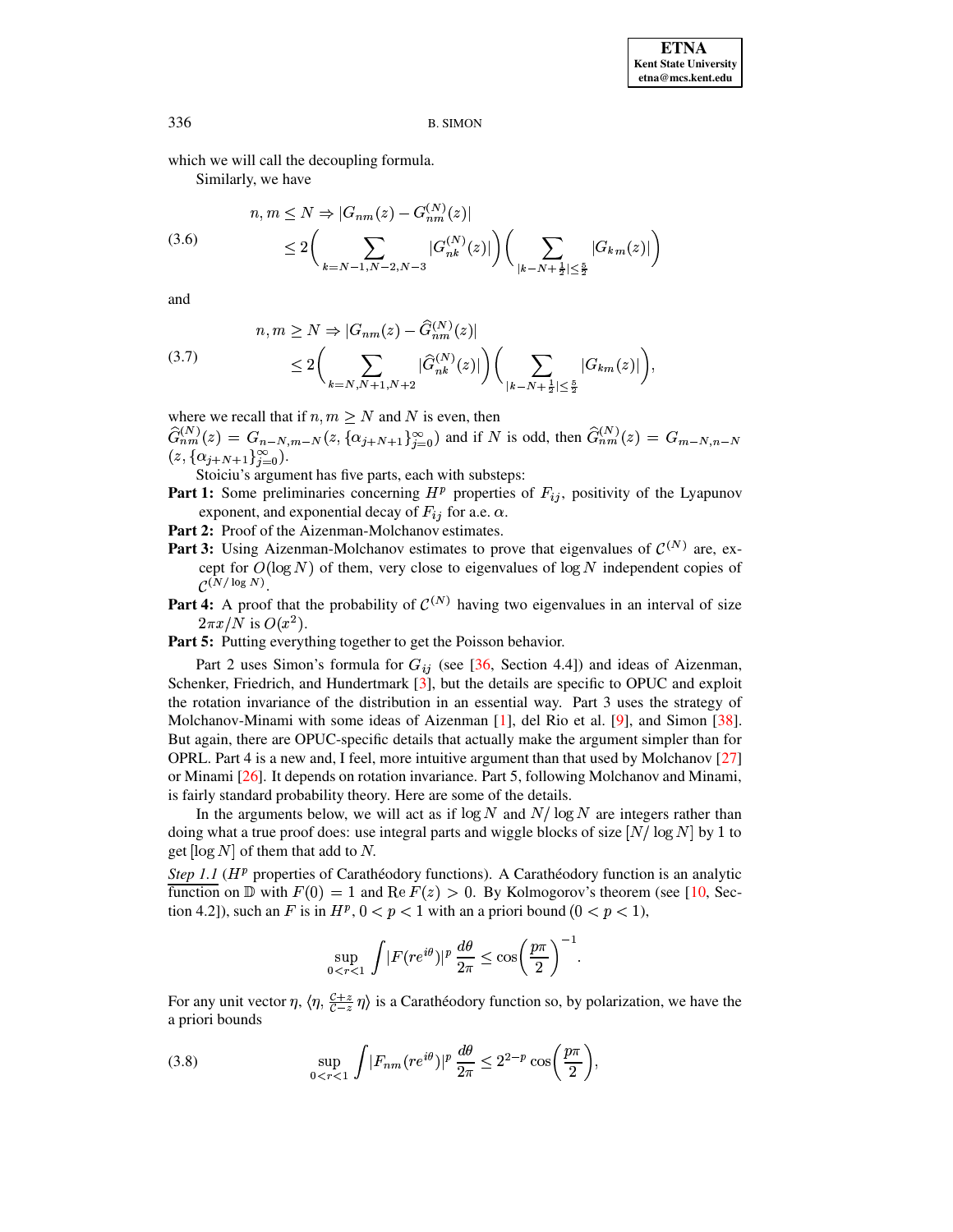which we will call the decoupling formula.

<span id="page-8-1"></span>Similarly, we have

$$
(3.6) \t n, m \le N \Rightarrow |G_{nm}(z) - G_{nm}^{(N)}(z)|
$$
  

$$
\le 2 \bigg( \sum_{k=N-1, N-2, N-3} |G_{nk}^{(N)}(z)| \bigg) \bigg( \sum_{|k-N+\frac{1}{2}| \le \frac{5}{2}} |G_{km}(z)| \bigg)
$$

 $\lambda$ 

and

<span id="page-8-2"></span>(3.7) 
$$
n, m \ge N \Rightarrow |G_{nm}(z) - \hat{G}_{nm}^{(N)}(z)|
$$

$$
\le 2 \bigg( \sum_{k=N, N+1, N+2} |\hat{G}_{nk}^{(N)}(z)| \bigg) \bigg( \sum_{|k-N+\frac{1}{2}| \le \frac{5}{2}} |G_{km}(z)| \bigg).
$$

where we recall that if  $n, m \ge N$  and N is even, then

 $\widehat{G}_{nm}^{(N)}(z) = G_{n-N,m-N}(z, {\alpha_{j+N+1}}_{j=0}^{\infty})$  and if N is odd, then  $\widehat{G}_{nm}^{(N)}(z) = G_{m-N,n-N}$  $(z, {\alpha_{i+N+1}}_{i=0}^{\infty}).$ 

Stoiciu's argument has five parts, each with substeps:

- **Part 1:** Some preliminaries concerning  $H^p$  properties of  $F_{ij}$ , positivity of the Lyapunov exponent, and exponential decay of  $F_{ij}$  for a.e.  $\alpha$ .
- Part 2: Proof of the Aizenman-Molchanov estimates.
- **Part 3:** Using Aizenman-Molchanov estimates to prove that eigenvalues of  $\mathcal{C}^{(N)}$  are, except for  $O(\log N)$  of them, very close to eigenvalues of  $\log N$  independent copies of  $\mathcal{C}^{(N/\log N)}$ .
- **Part 4:** A proof that the probability of  $\mathcal{C}^{(N)}$  having two eigenvalues in an interval of size  $2\pi x/N$  is  $O(x^2)$ .

Part 5: Putting everything together to get the Poisson behavior.

Part 2 uses Simon's formula for  $G_{ij}$  (see [36, Section 4.4]) and ideas of Aizenman, Schenker, Friedrich, and Hundertmark [3], but the details are specific to OPUC and exploit the rotation invariance of the distribution in an essential way. Part 3 uses the strategy of Molchanov-Minami with some ideas of Aizenman [1], del Rio et al. [9], and Simon [38]. But again, there are OPUC-specific details that actually make the argument simpler than for OPRL. Part 4 is a new and, I feel, more intuitive argument than that used by Molchanov [27] or Minami [26]. It depends on rotation invariance. Part 5, following Molchanov and Minami, is fairly standard probability theory. Here are some of the details.

In the arguments below, we will act as if  $\log N$  and  $N/\log N$  are integers rather than doing what a true proof does: use integral parts and wiggle blocks of size  $[N/\log N]$  by 1 to get  $\lceil \log N \rceil$  of them that add to N.

Step 1.1 ( $H<sup>p</sup>$  properties of Carathéodory functions). A Carathéodory function is an analytic function on  $\mathbb D$  with  $F(0) = 1$  and  $\text{Re } F(z) > 0$ . By Kolmogorov's theorem (see [10, Section 4.2]), such an F is in  $H^p$ ,  $0 < p < 1$  with an a priori bound  $(0 < p < 1)$ ,

$$
\sup_{0 < r < 1} \int |F(re^{i\theta})|^p \, \frac{d\theta}{2\pi} \le \cos\left(\frac{p\pi}{2}\right)^{-1}
$$

<span id="page-8-0"></span>For any unit vector  $\eta$ ,  $\langle \eta, \frac{C+z}{C-z} \eta \rangle$  is a Carathéodory function so, by polarization, we have the a priori bounds

(3.8) 
$$
\sup_{0 < r < 1} \int |F_{nm}(re^{i\theta})|^p \, \frac{d\theta}{2\pi} \leq 2^{2-p} \cos\left(\frac{p\pi}{2}\right),
$$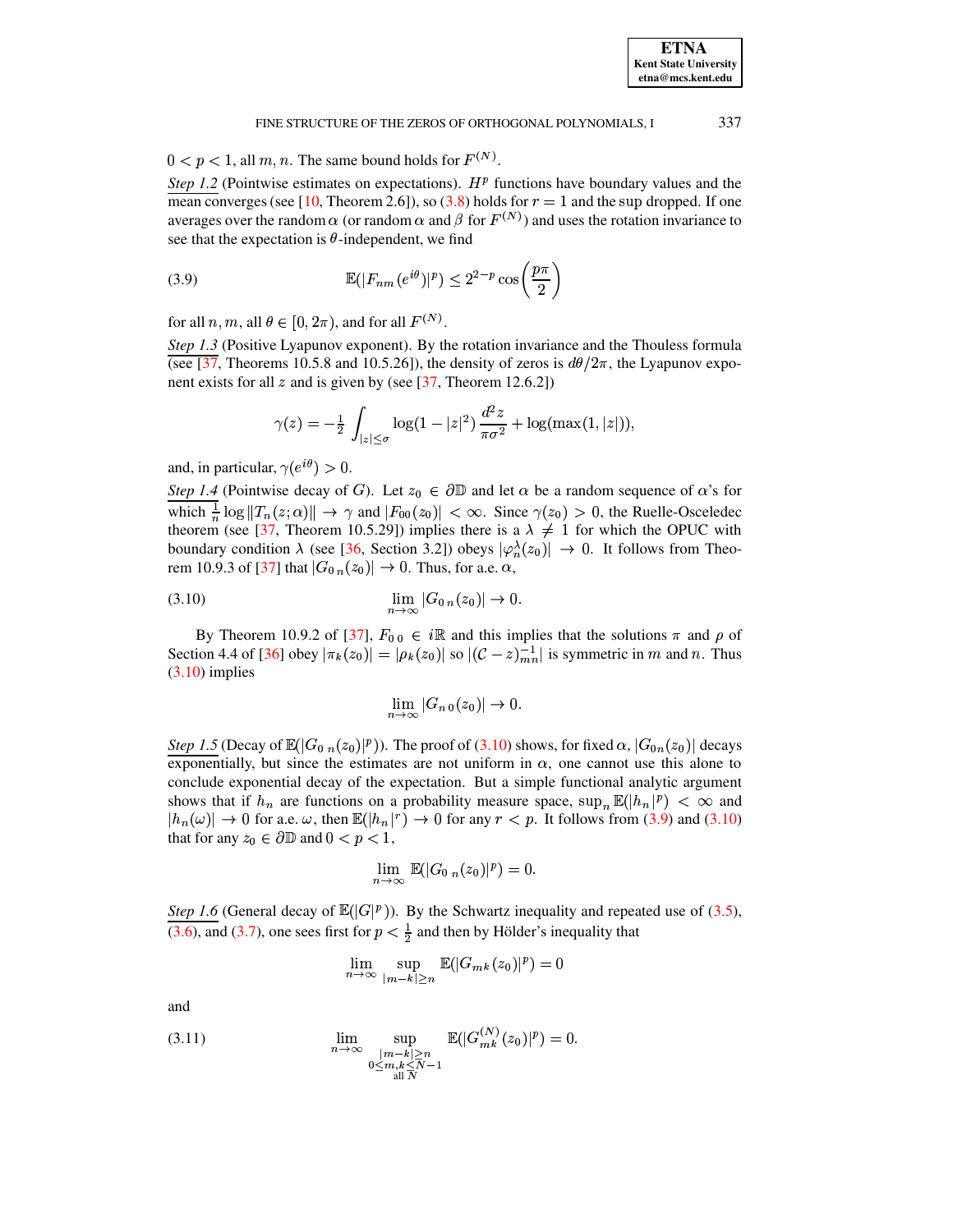$0 < p < 1$ , all m, n. The same bound holds for  $F^{(N)}$ .

Step 1.2 (Pointwise estimates on expectations).  $H<sup>p</sup>$  functions have boundary values and the mean converges (see [10, Theorem 2.6]), so (3.8) holds for  $r = 1$  and the sup dropped. If one averages over the random  $\alpha$  (or random  $\alpha$  and  $\beta$  for  $F^{(N)}$ ) and uses the rotation invariance to see that the expectation is  $\theta$ -independent, we find

(3.9) 
$$
\mathbb{E}(|F_{nm}(e^{i\theta})|^p) \leq 2^{2-p} \cos\left(\frac{p\pi}{2}\right)
$$

for all  $n, m$ , all  $\theta \in [0, 2\pi)$ , and for all  $F^{(N)}$ .

Step 1.3 (Positive Lyapunov exponent). By the rotation invariance and the Thouless formula (see [37, Theorems 10.5.8 and 10.5.26]), the density of zeros is  $d\theta/2\pi$ , the Lyapunov exponent exists for all z and is given by (see  $[37,$  Theorem 12.6.2])

<span id="page-9-1"></span>
$$
\gamma(z) = -\frac{1}{2} \int_{|z| \le \sigma} \log(1 - |z|^2) \frac{d^2 z}{\pi \sigma^2} + \log(\max(1, |z|)),
$$

and, in particular,  $\gamma(e^{i\theta}) > 0$ .

Step 1.4 (Pointwise decay of G). Let  $z_0 \in \partial \mathbb{D}$  and let  $\alpha$  be a random sequence of  $\alpha$ 's for which  $\frac{1}{n} \log ||T_n(z;\alpha)|| \to \gamma$  and  $|F_{00}(z_0)| < \infty$ . Since  $\gamma(z_0) > 0$ , the Ruelle-Osceledec theorem (see [37, Theorem 10.5.29]) implies there is a  $\lambda \neq 1$  for which the OPUC with boundary condition  $\lambda$  (see [36, Section 3.2]) obeys  $|\varphi_n^{\lambda}(z_0)| \to 0$ . It follows from Theorem 10.9.3 of [37] that  $|G_0_n(z_0)| \to 0$ . Thus, for a.e.  $\alpha$ ,

$$
\lim_{n \to \infty} |G_{0n}(z_0)| \to 0.
$$

By Theorem 10.9.2 of [37],  $F_{0,0} \in i\mathbb{R}$  and this implies that the solutions  $\pi$  and  $\rho$  of Section 4.4 of [36] obey  $|\pi_k(z_0)| = |\rho_k(z_0)|$  so  $|(\mathcal{C} - z)_{mn}^{-1}|$  is symmetric in m and n. Thus  $(3.10)$  implies

<span id="page-9-0"></span>
$$
\lim_{n \to \infty} |G_{n,0}(z_0)| \to 0.
$$

Step 1.5 (Decay of  $\mathbb{E}(|G_{0n}(z_0)|^p)$ ). The proof of (3.10) shows, for fixed  $\alpha$ ,  $|G_{0n}(z_0)|$  decays exponentially, but since the estimates are not uniform in  $\alpha$ , one cannot use this alone to conclude exponential decay of the expectation. But a simple functional analytic argument shows that if  $h_n$  are functions on a probability measure space,  $\sup_n \mathbb{E}(|h_n|^p) < \infty$  and  $|h_n(\omega)| \to 0$  for a.e.  $\omega$ , then  $\mathbb{E}(|h_n|^r) \to 0$  for any  $r < p$ . It follows from (3.9) and (3.10) that for any  $z_0 \in \partial \mathbb{D}$  and  $0 < p < 1$ ,

$$
\lim_{n\to\infty} \mathbb{E}(|G_{0 n}(z_0)|^p) = 0.
$$

Step 1.6 (General decay of  $\mathbb{E}(|G|^p)$ ). By the Schwartz inequality and repeated use of (3.5), (3.6), and (3.7), one sees first for  $p < \frac{1}{2}$  and then by Hölder's inequality that

$$
\lim_{n \to \infty} \sup_{|m-k| \ge n} \mathbb{E}(|G_{mk}(z_0)|^p) = 0
$$

<span id="page-9-2"></span>and

(3.11) 
$$
\lim_{n \to \infty} \sup_{\substack{|m-k| \ge n \\ 0 \le m, k \le N-1 \\ \text{all } N}} \mathbb{E}(|G_{mk}^{(N)}(z_0)|^p) = 0.
$$

**ETNA Kent State University** etna@mcs.kent.edu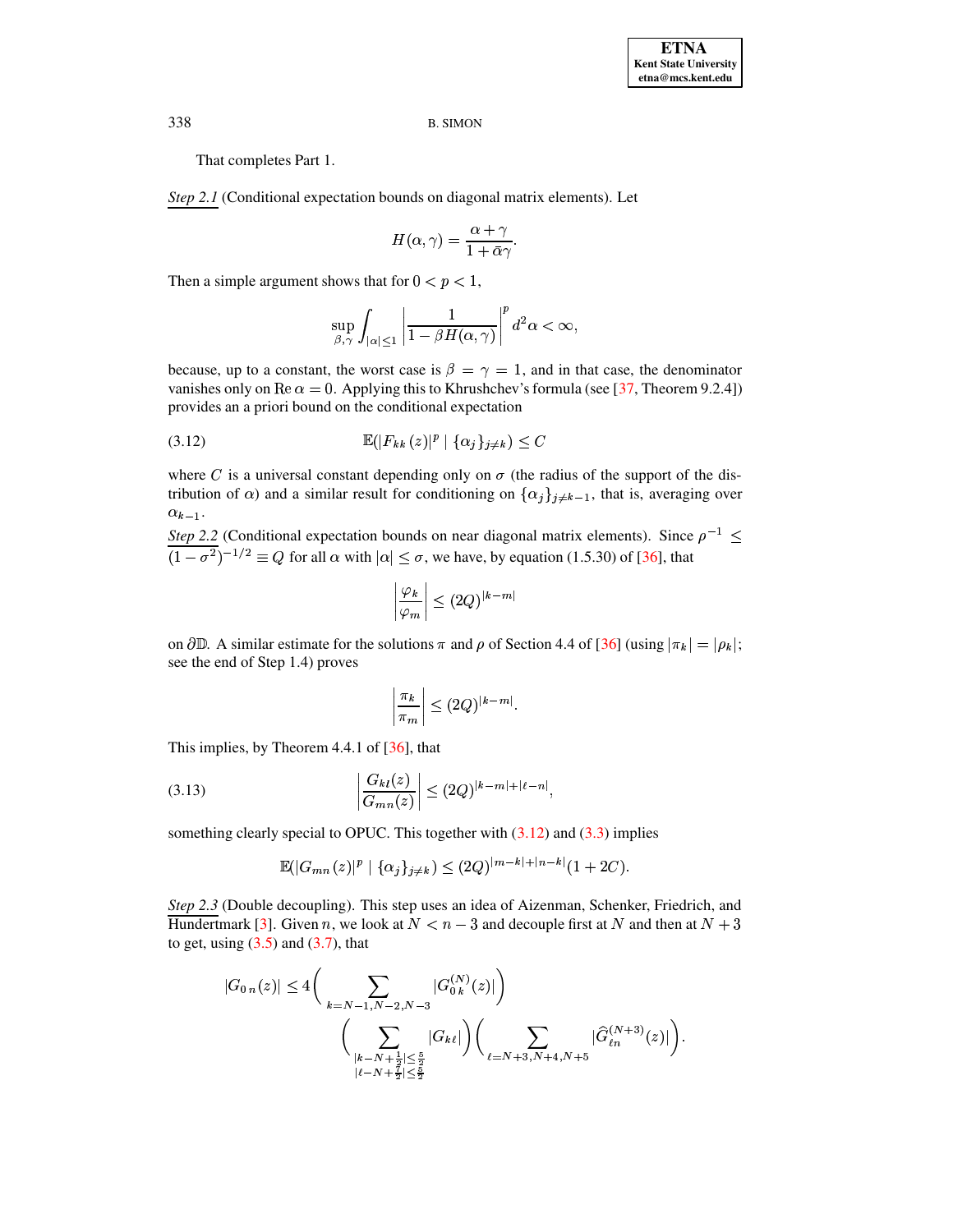That completes Part 1.

Step 2.1 (Conditional expectation bounds on diagonal matrix elements). Let

$$
H(\alpha, \gamma) = \frac{\alpha + \gamma}{1 + \bar{\alpha}\gamma}
$$

Then a simple argument shows that for  $0 < p < 1$ ,

<span id="page-10-0"></span>
$$
\sup_{\beta,\gamma}\int_{|\alpha|\leq 1}\left|\frac{1}{1-\beta H(\alpha,\gamma)}\right|^p d^2\alpha < \infty,
$$

because, up to a constant, the worst case is  $\beta = \gamma = 1$ , and in that case, the denominator vanishes only on  $\text{Re}\,\alpha = 0$ . Applying this to Khrushchev's formula (see [37, Theorem 9.2.4]) provides an a priori bound on the conditional expectation

$$
\mathbb{E}(|F_{kk}(z)|^p \mid \{\alpha_j\}_{j \neq k}) \le C
$$

where C is a universal constant depending only on  $\sigma$  (the radius of the support of the distribution of  $\alpha$ ) and a similar result for conditioning on  $\{\alpha_j\}_{j\neq k-1}$ , that is, averaging over  $\alpha_{k-1}.$ 

Step 2.2 (Conditional expectation bounds on near diagonal matrix elements). Since  $\rho^{-1} \leq$  $\sqrt{(1-\sigma^2)^{-1/2}} \equiv Q$  for all  $\alpha$  with  $|\alpha| \leq \sigma$ , we have, by equation (1.5.30) of [36], that

$$
\left|\frac{\varphi_k}{\varphi_m}\right| \le (2Q)^{|k-m|}
$$

on  $\partial \mathbb{D}$ . A similar estimate for the solutions  $\pi$  and  $\rho$  of Section 4.4 of [36] (using  $|\pi_k| = |\rho_k|$ ; see the end of Step 1.4) proves

<span id="page-10-1"></span>
$$
\left|\frac{\pi_k}{\pi_m}\right| \le (2Q)^{|k-m|}.
$$

This implies, by Theorem 4.4.1 of  $[36]$ , that

(3.13) 
$$
\left| \frac{G_{kl}(z)}{G_{mn}(z)} \right| \le (2Q)^{|k-m| + |\ell - n|},
$$

something clearly special to OPUC. This together with  $(3.12)$  and  $(3.3)$  implies

$$
\mathbb{E}(|G_{mn}(z)|^p | {\{ \alpha_j \}_{j \neq k} } ) \leq (2Q)^{|m-k|+|n-k|} (1+2C).
$$

Step 2.3 (Double decoupling). This step uses an idea of Aizenman, Schenker, Friedrich, and Hundertmark [3]. Given n, we look at  $N < n - 3$  and decouple first at N and then at  $N + 3$ to get, using  $(3.5)$  and  $(3.7)$ , that

$$
|G_{0 n}(z)| \le 4 \bigg( \sum_{k=N-1,N-2,N-3} |G_{0 k}^{(N)}(z)| \bigg) \bigg( \sum_{\substack{|k-N+\frac{1}{2}| \le \frac{5}{2} \\ |\ell - N + \frac{7}{2}| \le \frac{5}{2} \\ 16 \le k}} |G_{k \ell}| \bigg) \bigg( \sum_{\ell = N+3,N+4,N+5} |\widehat{G}_{\ell n}^{(N+3)}(z)| \bigg).
$$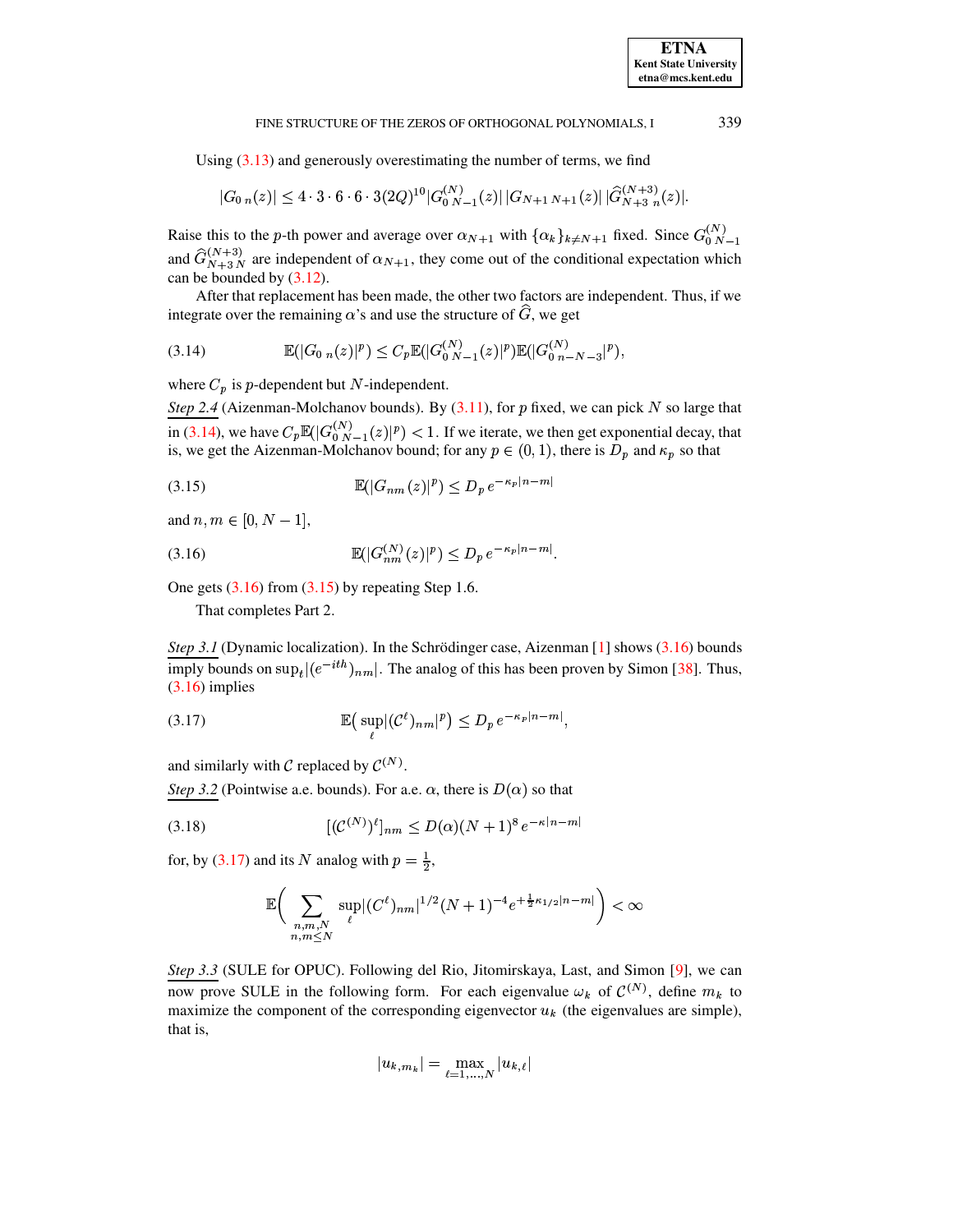Using  $(3.13)$  and generously overestimating the number of terms, we find

<span id="page-11-0"></span>
$$
|G_{0 n}(z)| \leq 4 \cdot 3 \cdot 6 \cdot 6 \cdot 3(2Q)^{10} |G_{0 N-1}^{(N)}(z)| |G_{N+1 N+1}(z)| |\widehat{G}_{N+3 n}^{(N+3)}(z)|.
$$

Raise this to the p-th power and average over  $\alpha_{N+1}$  with  $\{\alpha_k\}_{k \neq N+1}$  fixed. Since  $G_{0 N-1}^{(N)}$ and  $\hat{G}_{N+3N}^{(N+3)}$  are independent of  $\alpha_{N+1}$ , they come out of the conditional expectation which can be bounded by  $(3.12)$ .

After that replacement has been made, the other two factors are independent. Thus, if we integrate over the remaining  $\alpha$ 's and use the structure of  $\hat{G}$ , we get

(3.14) 
$$
\mathbb{E}(|G_{0 n}(z)|^p) \leq C_p \mathbb{E}(|G_{0 N-1}^{(N)}(z)|^p) \mathbb{E}(|G_{0 n-N-3}^{(N)}|^p),
$$

where  $C_p$  is p-dependent but N-independent.

Step 2.4 (Aizenman-Molchanov bounds). By  $(3.11)$ , for p fixed, we can pick N so large that in (3.14), we have  $C_p \mathbb{E}(|G_{0 N-1}^{(N)}(z)|^p) < 1$ . If we iterate, we then get exponential decay, that is, we get the Aizenman-Molchanov bound; for any  $p \in (0, 1)$ , there is  $D_p$  and  $\kappa_p$  so that

(3.15) 
$$
\mathbb{E}(|G_{nm}(z)|^p) \le D_p e^{-\kappa_p |n-m|}
$$

<span id="page-11-1"></span>and  $n, m \in [0, N - 1]$ ,

$$
\mathbb{E}(|G_{nm}^{(N)}(z)|^p) \le D_p e^{-\kappa_p |n-m|}.
$$

One gets  $(3.16)$  from  $(3.15)$  by repeating Step 1.6.

That completes Part 2.

*Step 3.1* (Dynamic localization). In the Schrödinger case, Aizenman [1] shows (3.16) bounds imply bounds on  $\sup_t |(e^{-ith})_{nm}|$ . The analog of this has been proven by Simon [38]. Thus,  $(3.16)$  implies

<span id="page-11-3"></span>
$$
\mathbb{E}\left(\left.\sup_{\ell} |(\mathcal{C}^{\ell})_{nm}|^{p}\right.\right) \leq D_p \, e^{-\kappa_p |n-m|},
$$

and similarly with  $\mathcal C$  replaced by  $\mathcal C^{(N)}$ .

Step 3.2 (Pointwise a.e. bounds). For a.e.  $\alpha$ , there is  $D(\alpha)$  so that

$$
(3.18)\qquad \qquad [(\mathcal{C}^{(N)})^{\ell}]_{nm} \leq D(\alpha)(N+1)^{8} e^{-\kappa |n-m|}
$$

for, by (3.17) and its N analog with  $p = \frac{1}{2}$ ,

<span id="page-11-4"></span>
$$
\mathbb{E}\bigg(\sum_{\substack{n,m,N\\ n,m\leq N}}\sup_{\ell}|(C^{\ell})_{nm}|^{1/2}(N+1)^{-4}e^{+\frac{1}{2}\kappa_{1/2}|n-m|}\bigg)<\infty
$$

Step 3.3 (SULE for OPUC). Following del Rio, Jitomirskaya, Last, and Simon [9], we can now prove SULE in the following form. For each eigenvalue  $\omega_k$  of  $\mathcal{C}^{(N)}$ , define  $m_k$  to maximize the component of the corresponding eigenvector  $u_k$  (the eigenvalues are simple), that is,

$$
|u_{k,m_k}|=\max_{\ell=1,...,N}|u_{k,\ell}|
$$

<span id="page-11-2"></span>339

**ETNA Kent State University**  $etna@mcs. kent.edu$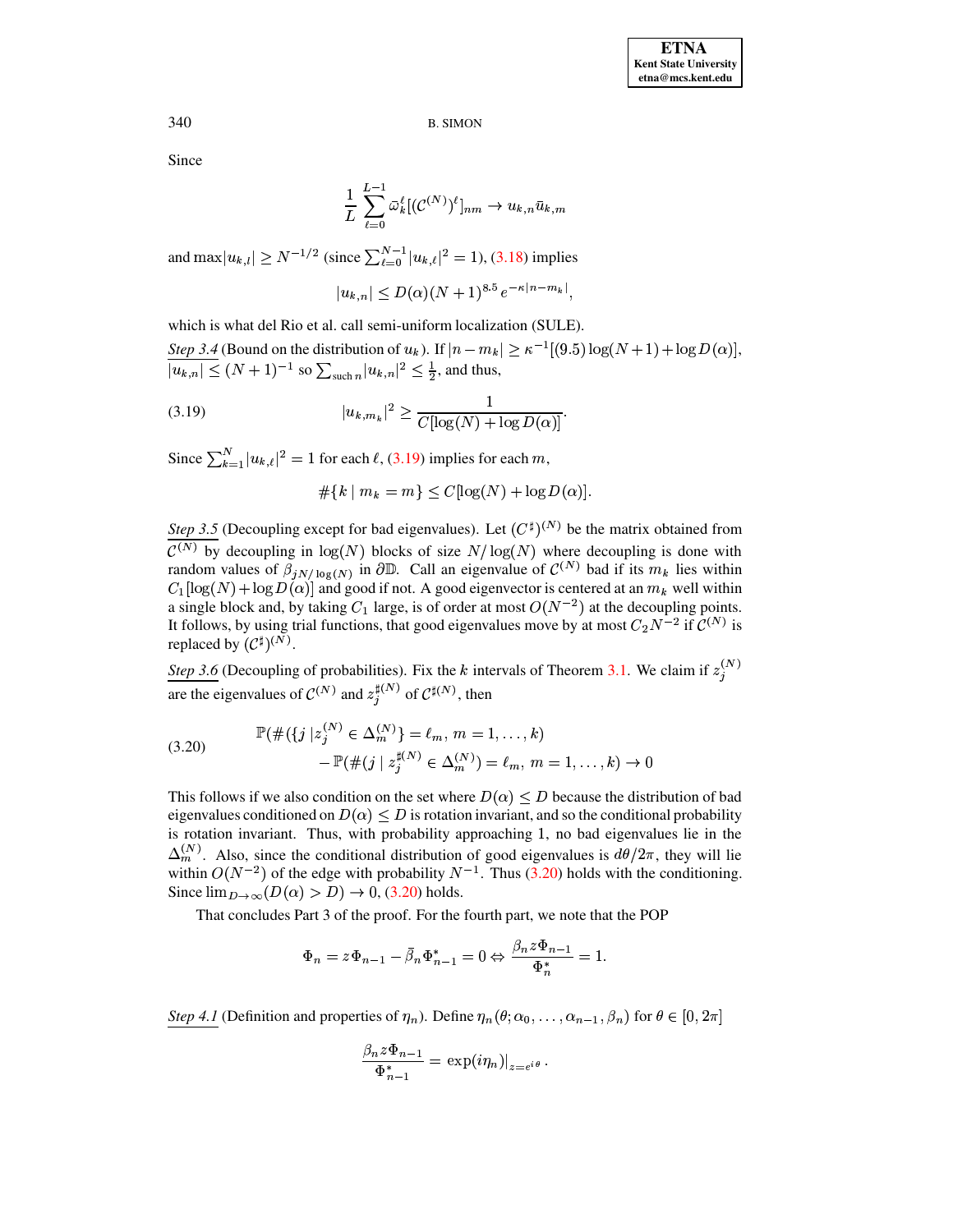Since

$$
\frac{1}{L}\sum_{\ell=0}^{L-1}\bar{\omega}_{k}^{\ell}[(\mathcal{C}^{(N)})^{\ell}]_{nm}\rightarrow u_{k,n}\bar{u}_{k,m}
$$

and  $\max|u_{k,l}| \ge N^{-1/2}$  (since  $\sum_{\ell=0}^{N-1} |u_{k,\ell}|^2 = 1$ ), (3.18) implies

<span id="page-12-0"></span>
$$
|u_{k,n}| \le D(\alpha)(N+1)^{8.5} e^{-\kappa |n-m_k|}
$$

which is what del Rio et al. call semi-uniform localization (SULE).

Step 3.4 (Bound on the distribution of  $u_k$ ). If  $|n - m_k| \ge \kappa^{-1}[(9.5) \log(N + 1) + \log D(\alpha)],$  $\overline{|u_{k,n}|} \leq (N+1)^{-1}$  so  $\sum_{\text{such }n}|u_{k,n}|^2 \leq \frac{1}{2}$ , and thus,

(3.19) 
$$
|u_{k,m_k}|^2 \ge \frac{1}{C[\log(N) + \log D(\alpha)]}
$$

Since  $\sum_{k=1}^{N} |u_{k,\ell}|^2 = 1$  for each  $\ell$ , (3.19) implies for each m,

<span id="page-12-1"></span>
$$
\# \{ k \mid m_k = m \} \le C[\log(N) + \log D(\alpha)].
$$

Step 3.5 (Decoupling except for bad eigenvalues). Let  $(C^{\sharp})^{(N)}$  be the matrix obtained from  $\overline{\mathcal{C}^{(N)}}$  by decoupling in  $\log(N)$  blocks of size  $N/\log(N)$  where decoupling is done with random values of  $\beta_{jN/\log(N)}$  in  $\partial \mathbb{D}$ . Call an eigenvalue of  $\mathcal{C}^{(N)}$  bad if its  $m_k$  lies within  $C_1[\log(N) + \log D(\alpha)]$  and good if not. A good eigenvector is centered at an  $m_k$  well within a single block and, by taking  $C_1$  large, is of order at most  $O(N^{-2})$  at the decoupling points. It follows, by using trial functions, that good eigenvalues move by at most  $C_2N^{-2}$  if  $\mathcal{C}^{(N)}$  is replaced by  $(\mathcal{C}^{\sharp})^{(N)}$ .

*Step 3.6* (Decoupling of probabilities). Fix the k intervals of Theorem 3.1. We claim if  $z_i^{(N)}$ are the eigenvalues of  $\mathcal{C}^{(N)}$  and  $z_i^{\sharp(N)}$  of  $\mathcal{C}^{\sharp(N)}$ , then

(3.20) 
$$
\mathbb{P}(\#(\{j \mid z_j^{(N)} \in \Delta_m^{(N)}\}) = \ell_m, m = 1, ..., k) - \mathbb{P}(\#(j \mid z_j^{\sharp(N)} \in \Delta_m^{(N)}) = \ell_m, m = 1, ..., k) \to 0
$$

This follows if we also condition on the set where  $D(\alpha) \leq D$  because the distribution of bad eigenvalues conditioned on  $D(\alpha) \leq D$  is rotation invariant, and so the conditional probability is rotation invariant. Thus, with probability approaching 1, no bad eigenvalues lie in the  $\Delta_m^{(N)}$ . Also, since the conditional distribution of good eigenvalues is  $d\theta/2\pi$ , they will lie within  $O(N^{-2})$  of the edge with probability  $N^{-1}$ . Thus (3.20) holds with the conditioning. Since  $\lim_{D\to\infty}(D(\alpha) > D) \to 0$ , (3.20) holds.

That concludes Part 3 of the proof. For the fourth part, we note that the POP

$$
\Phi_n = z\Phi_{n-1} - \bar{\beta}_n \Phi_{n-1}^* = 0 \Leftrightarrow \frac{\beta_n z\Phi_{n-1}}{\Phi_n^*} = 1.
$$

Step 4.1 (Definition and properties of  $\eta_n$ ). Define  $\eta_n(\theta; \alpha_0, \ldots, \alpha_{n-1}, \beta_n)$  for  $\theta \in [0, 2\pi]$ 

$$
\frac{\beta_n z \Phi_{n-1}}{\Phi_{n-1}^*} = \left. \exp(i\eta_n) \right|_{z=e^{i\theta}}.
$$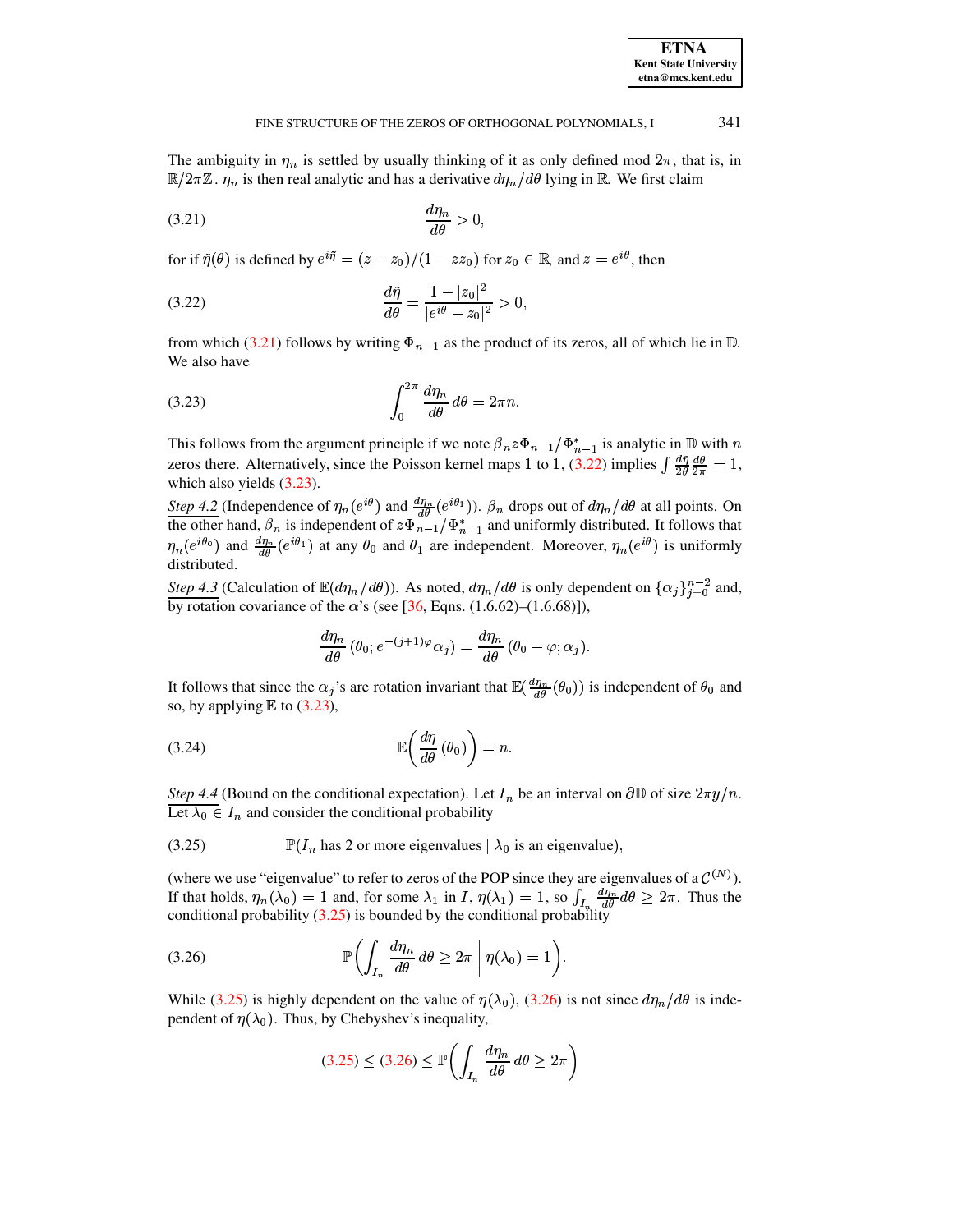# FINE STRUCTURE OF THE ZEROS OF ORTHOGONAL POLYNOMIALS, I

The ambiguity in  $\eta_n$  is settled by usually thinking of it as only defined mod  $2\pi$ , that is, in  $\mathbb{R}/2\pi\mathbb{Z}$ .  $\eta_n$  is then real analytic and has a derivative  $d\eta_n/d\theta$  lying in  $\mathbb{R}$ . We first claim

$$
\frac{d\eta_n}{d\theta} > 0
$$

for if  $\tilde{\eta}(\theta)$  is defined by  $e^{i\tilde{\eta}} = (z - z_0)/(1 - z\bar{z}_0)$  for  $z_0 \in \mathbb{R}$ , and  $z = e^{i\theta}$ , then

(3.22) 
$$
\frac{d\tilde{\eta}}{d\theta} = \frac{1 - |z_0|^2}{|e^{i\theta} - z_0|^2} > 0,
$$

<span id="page-13-2"></span>from which (3.21) follows by writing  $\Phi_{n-1}$  as the product of its zeros, all of which lie in  $\mathbb{D}$ . We also have

$$
\int_0^{2\pi} \frac{d\eta_n}{d\theta} \, d\theta = 2\pi n
$$

This follows from the argument principle if we note  $\beta_n z \Phi_{n-1}/\Phi_{n-1}^*$  is analytic in  $\mathbb D$  with n zeros there. Alternatively, since the Poisson kernel maps 1 to 1, (3.22) implies  $\int \frac{d\tilde{\eta}}{2\theta} \frac{d\theta}{2\pi} = 1$ , which also yields  $(3.23)$ .

Step 4.2 (Independence of  $\eta_n(e^{i\theta})$  and  $\frac{d\eta_n}{d\theta}(e^{i\theta_1})$ ).  $\beta_n$  drops out of  $d\eta_n/d\theta$  at all points. On the other hand,  $\beta_n$  is independent of  $z\Phi_{n-1}^{av}/\Phi_{n-1}^{s}$  and uniformly distributed. It follows that  $\eta_n(e^{i\theta_0})$  and  $\frac{d\eta_n}{d\theta}(e^{i\theta_1})$  at any  $\theta_0$  and  $\theta_1$  are independent. Moreover,  $\eta_n(e^{i\theta})$  is uniformly distributed.

Step 4.3 (Calculation of  $\mathbb{E}(d\eta_n/d\theta)$ ). As noted,  $d\eta_n/d\theta$  is only dependent on  $\{\alpha_j\}_{i=0}^{n-2}$  and, by rotation covariance of the  $\alpha$ 's (see [36, Eqns. (1.6.62)–(1.6.68)]),

<span id="page-13-3"></span>
$$
\frac{d\eta_n}{d\theta}\left(\theta_0; e^{-(j+1)\varphi}\alpha_j\right) = \frac{d\eta_n}{d\theta}\left(\theta_0 - \varphi; \alpha_j\right).
$$

<span id="page-13-5"></span>It follows that since the  $\alpha_j$ 's are rotation invariant that  $\mathbb{E}(\frac{d\eta_n}{d\theta}(\theta_0))$  is independent of  $\theta_0$  and so, by applying  $E$  to (3.23),

$$
\mathbb{E}\!\left(\frac{d\eta}{d\theta}\left(\theta_{0}\right)\right)=n.
$$

Step 4.4 (Bound on the conditional expectation). Let  $I_n$  be an interval on  $\partial \mathbb{D}$  of size  $2\pi y/n$ . Let  $\lambda_0 \in I_n$  and consider the conditional probability

 $(3.25)$  $\mathbb{P}(I_n$  has 2 or more eigenvalues  $|\lambda_0|$  is an eigenvalue),

(where we use "eigenvalue" to refer to zeros of the POP since they are eigenvalues of a  $\mathcal{C}^{(N)}$ ). If that holds,  $\eta_n(\lambda_0) = 1$  and, for some  $\lambda_1$  in I,  $\eta(\lambda_1) = 1$ , so  $\int_{I_n} \frac{d\eta_n}{d\theta} d\theta \geq 2\pi$ . Thus the conditional probability  $(3.25)$  is bounded by the conditional probability

(3.26) 
$$
\mathbb{P}\left(\int_{I_n} \frac{d\eta_n}{d\theta} d\theta \geq 2\pi \mid \eta(\lambda_0) = 1\right).
$$

While (3.25) is highly dependent on the value of  $\eta(\lambda_0)$ , (3.26) is not since  $d\eta_n/d\theta$  is independent of  $\eta(\lambda_0)$ . Thus, by Chebyshev's inequality,

<span id="page-13-4"></span>
$$
(3.25) \le (3.26) \le \mathbb{P}\left(\int_{I_n} \frac{d\eta_n}{d\theta} \, d\theta \ge 2\pi\right)
$$

<span id="page-13-1"></span><span id="page-13-0"></span>**ETNA Kent State University**  $etna@mcs. kent.edu$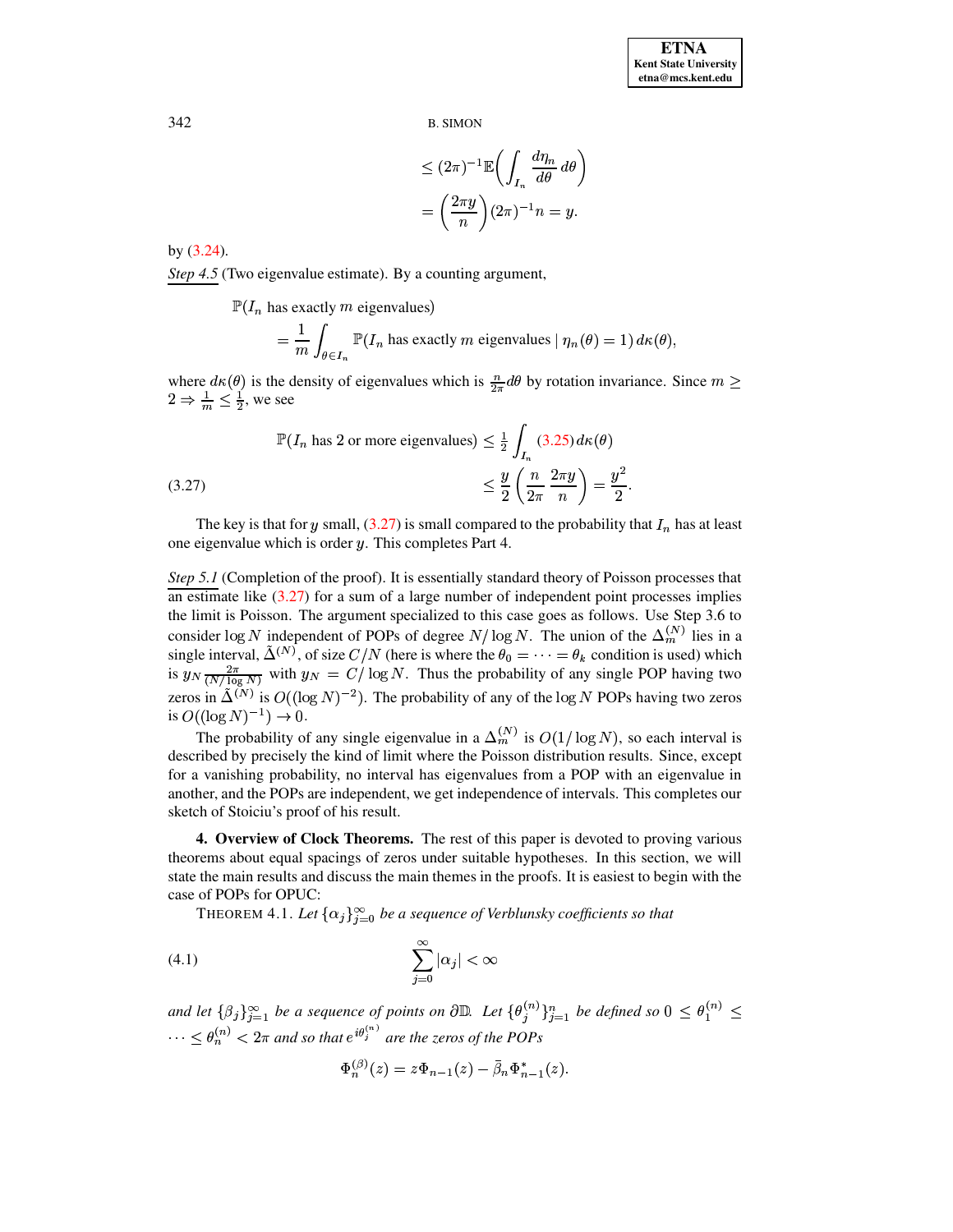$$
\leq (2\pi)^{-1} \mathbb{E}\bigg(\int_{I_n} \frac{d\eta_n}{d\theta} d\theta\bigg)
$$

$$
= \bigg(\frac{2\pi y}{n}\bigg) (2\pi)^{-1} n = y.
$$

by  $(3.24)$ .

Step 4.5 (Two eigenvalue estimate). By a counting argument,

 $\mathbb{P}(I_n$  has exactly m eigenvalues)

$$
= \frac{1}{m} \int_{\theta \in I_n} \mathbb{P}(I_n \text{ has exactly } m \text{ eigenvalues} \mid \eta_n(\theta) = 1) d\kappa(\theta),
$$

where  $d\kappa(\theta)$  is the density of eigenvalues which is  $\frac{n}{2\pi}d\theta$  by rotation invariance. Since  $m \geq$  $2 \Rightarrow \frac{1}{m} \leq \frac{1}{2}$ , we see

$$
\mathbb{P}(I_n \text{ has 2 or more eigenvalues}) \le \frac{1}{2} \int_{I_n} (3.25) \, d\kappa(\theta)
$$
\n
$$
\le \frac{y}{2} \left(\frac{n}{2\pi} \frac{2\pi y}{n}\right) = \frac{y^2}{2}
$$

<span id="page-14-1"></span>The key is that for y small,  $(3.27)$  is small compared to the probability that  $I_n$  has at least one eigenvalue which is order  $y$ . This completes Part 4.

*Step 5.1* (Completion of the proof). It is essentially standard theory of Poisson processes that an estimate like  $(3.27)$  for a sum of a large number of independent point processes implies the limit is Poisson. The argument specialized to this case goes as follows. Use Step 3.6 to consider  $\log N$  independent of POPs of degree  $N/\log N$ . The union of the  $\Delta_m^{(N)}$  lies in a single interval,  $\tilde{\Delta}^{(N)}$ , of size  $C/N$  (here is where the  $\theta_0 = \cdots = \theta_k$  condition is used) which is  $y_N \frac{2\pi}{(N/\log N)}$  with  $y_N = C/\log N$ . Thus the probability of any single POP having two zeros in  $\widetilde{\Delta}^{(N)}$  is  $O((\log N)^{-2})$ . The probability of any of the log N POPs having two zeros is  $O((\log N)^{-1}) \to 0$ .

The probability of any single eigenvalue in a  $\Delta_m^{(N)}$  is  $O(1/\log N)$ , so each interval is described by precisely the kind of limit where the Poisson distribution results. Since, except for a vanishing probability, no interval has eigenvalues from a POP with an eigenvalue in another, and the POPs are independent, we get independence of intervals. This completes our sketch of Stoiciu's proof of his result.

<span id="page-14-2"></span><span id="page-14-0"></span>4. Overview of Clock Theorems. The rest of this paper is devoted to proving various theorems about equal spacings of zeros under suitable hypotheses. In this section, we will state the main results and discuss the main themes in the proofs. It is easiest to begin with the case of POPs for OPUC:

THEOREM 4.1. Let  $\{\alpha_j\}_{j=0}^{\infty}$  be a sequence of Verblunsky coefficients so that

$$
\sum_{j=0}^{\infty} |\alpha_j| < \infty
$$

and let  $\{\beta_j\}_{j=1}^{\infty}$  be a sequence of points on  $\partial \mathbb{D}$ . Let  $\{\theta_j^{(n)}\}_{j=1}^n$  be defined so  $0 \leq \theta_1^{(n)} \leq$  $\cdots \leq \theta_n^{(n)} < 2\pi$  and so that  $e^{i\theta_j^{(n)}}$  are the zeros of the POPs

<span id="page-14-3"></span>
$$
\Phi_n^{(\beta)}(z)=z\Phi_{n-1}(z)-\bar{\beta}_n\Phi_{n-1}^*(z).
$$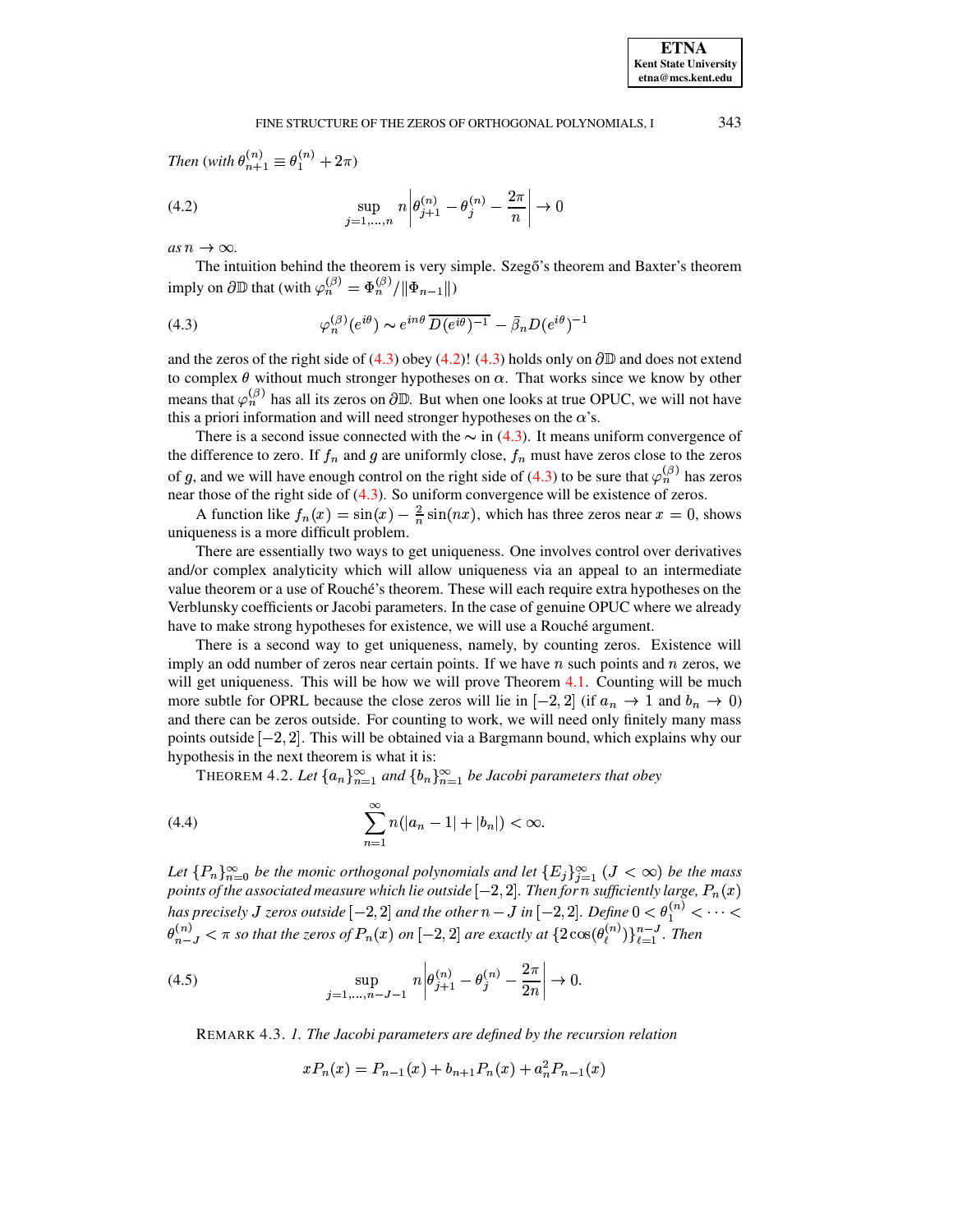<span id="page-15-1"></span>*Then* (*with*  $\theta_{n+1}^{(n)} \equiv \theta_1^{(n)}$  $\theta_1^{(n)} \equiv \theta_1^{(n)} + 2\pi$ 

(4.2) 
$$
\sup_{j=1,...,n} n \left| \theta_{j+1}^{(n)} - \theta_j^{(n)} - \frac{2\pi}{n} \right| \to 0
$$

 $as n \rightarrow \infty$ .

<span id="page-15-0"></span>The intuition behind the theorem is very simple. Szegő's theorem and Baxter's theorem imply on  $\partial \mathbb{D}$  that (with  $\varphi_n^{(\beta)} = \Phi_n^{(\beta)}/\|\Phi_{n-1}\|$ )

(4.3) 
$$
\varphi_n^{(\beta)}(e^{i\theta}) \sim e^{in\theta} \overline{D(e^{i\theta})^{-1}} - \overline{\beta}_n D(e^{i\theta})^{-1}
$$

and the zeros of the right side of [\(4.3\)](#page-15-0) obey [\(4.2\)](#page-15-1)! (4.3) holds only on  $\partial\mathbb{D}$  and does not extend to complex  $\theta$  without much stronger hypotheses on  $\alpha$ . That works since we know by other means that  $\varphi_n^{(\beta)}$  has all its zeros on  $\partial \mathbb{D}$ . But when one looks at true OPUC, we will not have this a priori information and will need stronger hypotheses on the  $\alpha$ 's.

There is a second issue connected with the  $\sim$  in [\(4.3\)](#page-15-0). It means uniform convergence of the difference to zero. If  $f_n$  and g are uniformly close,  $f_n$  must have zeros close to the zeros of g, and we will have enough control on the right side of [\(4.3\)](#page-15-0) to be sure that  $\varphi_n^{(\beta)}$  has zeros near those of the right side of [\(4.3\)](#page-15-0). So uniform convergence will be existence of zeros.

A function like  $f_n(x) = \sin(x) - \frac{2}{n} \sin(nx)$ , which has three zeros near  $x = 0$ , shows uniqueness is a more difficult problem.

There are essentially two ways to get uniqueness. One involves control over derivatives and/or complex analyticity which will allow uniqueness via an appeal to an intermediate value theorem or a use of Rouché's theorem. These will each require extra hypotheses on the Verblunsky coefficients or Jacobi parameters. In the case of genuine OPUC where we already have to make strong hypotheses for existence, we will use a Rouche<sup>s</sup> argument.

There is a second way to get uniqueness, namely, by counting zeros. Existence will imply an odd number of zeros near certain points. If we have  $n$  such points and  $n$  zeros, we will get uniqueness. This will be how we will prove Theorem [4.1.](#page-14-2) Counting will be much more subtle for OPRL because the close zeros will lie in  $[-2,2]$  (if  $a_n \to 1$  and  $b_n \to 0$ ) and there can be zeros outside. For counting to work, we will need only finitely many mass points outside  $[-2, 2]$ . This will be obtained via a Bargmann bound, which explains why our hypothesis in the next theorem is what it is:

<span id="page-15-2"></span>THEOREM 4.2. Let  $\{a_n\}_{n=1}^{\infty}$  and  $\{b_n\}_{n=1}^{\infty}$  be Jacobi parameters that obey

<span id="page-15-3"></span>(4.4) 
$$
\sum_{n=1}^{\infty} n(|a_n - 1| + |b_n|) < \infty.
$$

Let  ${P_n}_{n=0}^{\infty}$  be the monic orthogonal polynomials and let  ${E_i}_{\infty}$   $\cong (J < \infty)$  be the mass *points of the associated measure which lie outside*  $[-2, 2]$ *. Then for n sufficiently large,*  $P_n(x)$ *has precisely J zeros outside*  $[-2,2]$  *and the other*  $n-J$  *in*  $[-2,2]$ *. Define*  $0<\theta_1^{(n)}<\cdots<\theta_m^{(n)}$  $\theta_{n-1}^{(n)} < \pi$  so that the zeros of  $P_n(x)$  on  $[-2, 2]$  are exactly at  $\{2\cos(\theta_{\ell}^{(n)})\}_{\ell=1}^{n-J}$ . Then

(4.5) 
$$
\sup_{j=1,\dots,n-J-1} n \left| \theta_{j+1}^{(n)} - \theta_j^{(n)} - \frac{2\pi}{2n} \right| \to 0.
$$

REMARK 4.3. *1. The Jacobi parameters are defined by the recursion relation*

<span id="page-15-4"></span>
$$
xP_n(x) = P_{n-1}(x) + b_{n+1}P_n(x) + a_n^2 P_{n-1}(x)
$$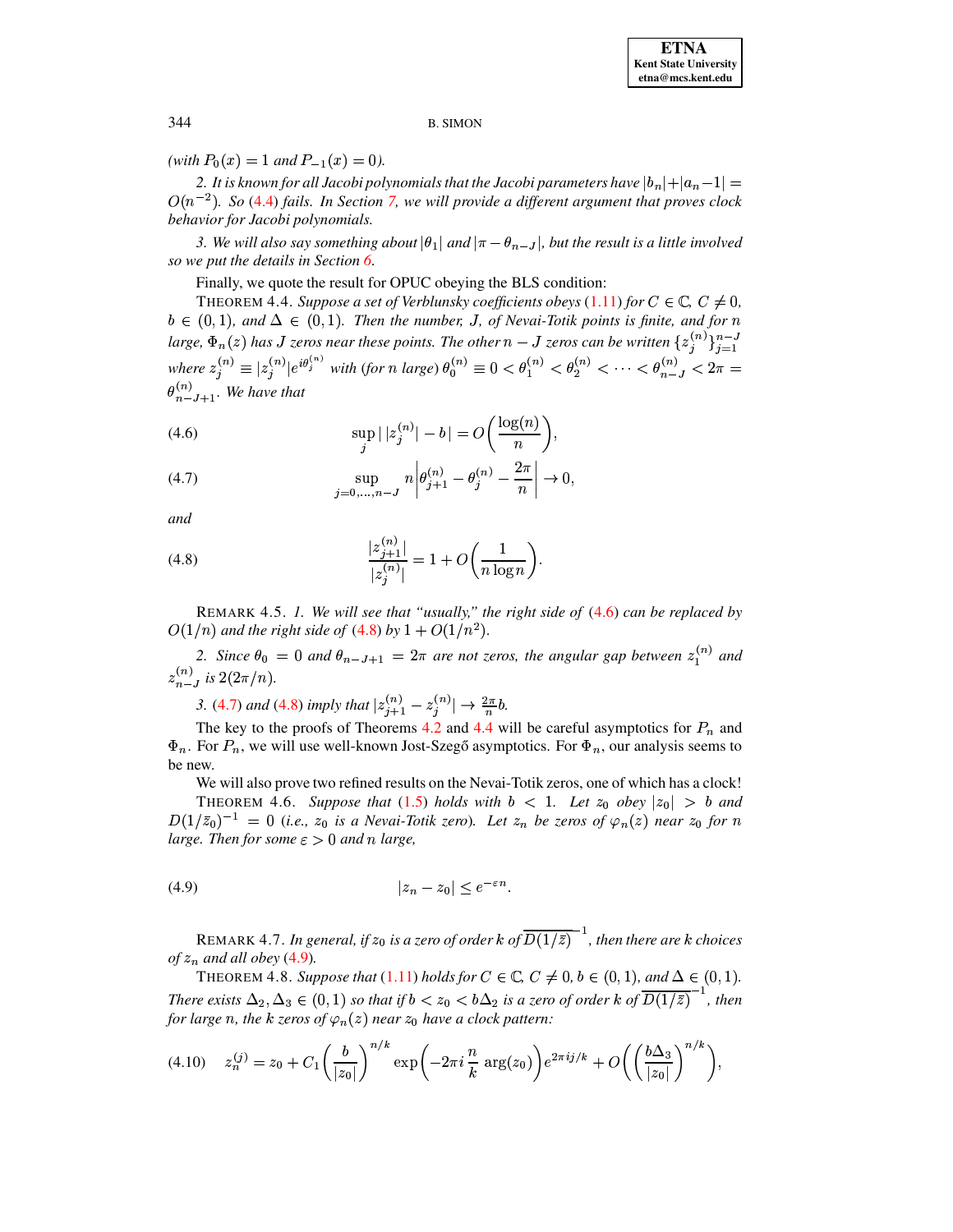(with  $P_0(x) = 1$  and  $P_{-1}(x) = 0$ ).

2. It is known for all Jacobi polynomials that the Jacobi parameters have  $|b_n|+|a_n-1|=$  $O(n^{-2})$ . So (4.4) fails. In Section 7, we will provide a different argument that proves clock behavior for Jacobi polynomials.

3. We will also say something about  $|\theta_1|$  and  $|\pi - \theta_{n-J}|$ , but the result is a little involved so we put the details in Section 6.

Finally, we quote the result for OPUC obeying the BLS condition:

<span id="page-16-3"></span>THEOREM 4.4. Suppose a set of Verblunsky coefficients obeys (1.11) for  $C \in \mathbb{C}$ ,  $C \neq 0$ ,  $b \in (0,1)$ , and  $\Delta \in (0,1)$ . Then the number, J, of Nevai-Totik points is finite, and for n large,  $\Phi_n(z)$  has J zeros near these points. The other  $n-J$  zeros can be written  $\{z_i^{(n)}\}_{i=1}^{n-J}$ where  $z_j^{(n)} \equiv |z_j^{(n)}|e^{i\theta_j^{(n)}}$  with (for n large)  $\theta_0^{(n)} \equiv 0 < \theta_1^{(n)} < \theta_2^{(n)} < \cdots < \theta_{n-J}^{(n)} < 2\pi$  $\theta_{n-J+1}^{(n)}$ . We have that

<span id="page-16-0"></span>(4.6) 
$$
\sup_{j} |z_j^{(n)}| - b| = O\left(\frac{\log(n)}{n}\right),
$$

<span id="page-16-2"></span>(4.7) 
$$
\sup_{j=0,\dots,n-J} n \left| \theta_{j+1}^{(n)} - \theta_j^{(n)} - \frac{2\pi}{n} \right| \to 0,
$$

<span id="page-16-1"></span>and

(4.8) 
$$
\frac{|z_{j+1}^{(n)}|}{|z_j^{(n)}|} = 1 + O\bigg(\frac{1}{n \log n}\bigg).
$$

REMARK 4.5. 1. We will see that "usually," the right side of  $(4.6)$  can be replaced by  $O(1/n)$  and the right side of (4.8) by  $1 + O(1/n^2)$ .

2. Since  $\theta_0 = 0$  and  $\theta_{n-J+1} = 2\pi$  are not zeros, the angular gap between  $z_1^{(n)}$  and  $z_{n-J}^{(n)}$  is  $2(2\pi/n)$ .

3. (4.7) and (4.8) imply that  $|z_{j+1}^{(n)} - z_j^{(n)}| \to \frac{2\pi}{n}b$ .

The key to the proofs of Theorems 4.2 and 4.4 will be careful asymptotics for  $P_n$  and  $\Phi_n$ . For  $P_n$ , we will use well-known Jost-Szegő asymptotics. For  $\Phi_n$ , our analysis seems to be new.

We will also prove two refined results on the Nevai-Totik zeros, one of which has a clock!

<span id="page-16-5"></span><span id="page-16-4"></span>THEOREM 4.6. Suppose that (1.5) holds with  $b < 1$ . Let  $z_0$  obey  $|z_0| > b$  and  $D(1/\bar{z}_0)^{-1} = 0$  (i.e.,  $z_0$  is a Nevai-Totik zero). Let  $z_n$  be zeros of  $\varphi_n(z)$  near  $z_0$  for n large. Then for some  $\varepsilon > 0$  and n large,

$$
(4.9) \t\t\t |z_n - z_0| \le e^{-\varepsilon n}
$$

REMARK 4.7. In general, if  $z_0$  is a zero of order k of  $\overline{D(1/\bar{z})}^{-1}$ , then there are k choices of  $z_n$  and all obey (4.9).

<span id="page-16-6"></span>THEOREM 4.8. Suppose that (1.11) holds for  $C \in \mathbb{C}$ ,  $C \neq 0$ ,  $b \in (0,1)$ , and  $\Delta \in (0,1)$ . There exists  $\Delta_2, \Delta_3 \in (0,1)$  so that if  $b < z_0 < b\Delta_2$  is a zero of order k of  $\overline{D(1/\overline{z})}^{-1}$ , then for large n, the k zeros of  $\varphi_n(z)$  near  $z_0$  have a clock pattern:

<span id="page-16-7"></span>
$$
(4.10) \t z_n^{(j)} = z_0 + C_1 \left(\frac{b}{|z_0|}\right)^{n/k} \exp\left(-2\pi i \frac{n}{k} \arg(z_0)\right) e^{2\pi i j/k} + O\left(\left(\frac{b\Delta_3}{|z_0|}\right)^{n/k}\right),
$$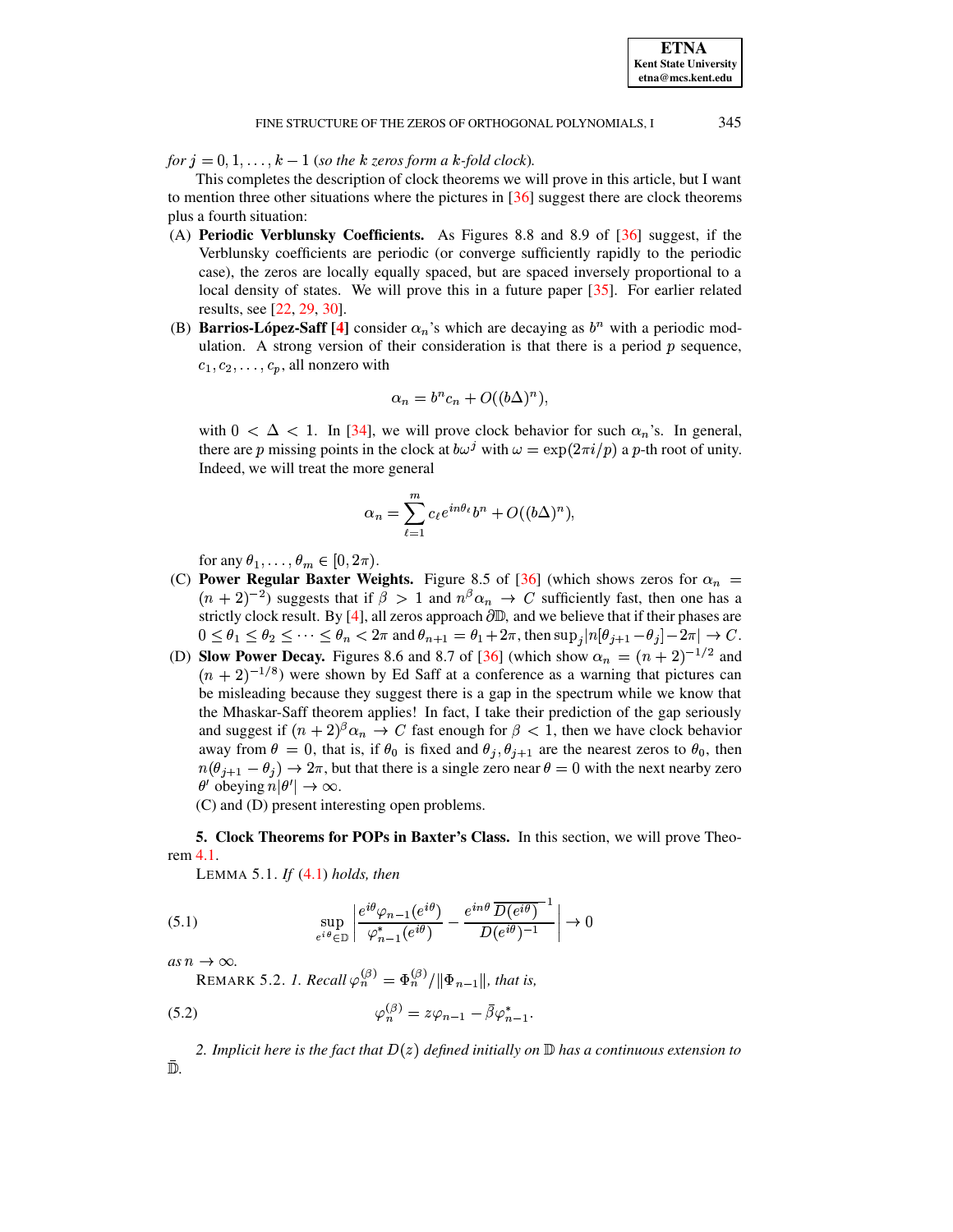**ETNA** 

# FINE STRUCTURE OF THE ZEROS OF ORTHOGONAL POLYNOMIALS, I

345

for  $j = 0, 1, ..., k - 1$  (so the k zeros form a k-fold clock).

This completes the description of clock theorems we will prove in this article, but I want to mention three other situations where the pictures in  $\left[36\right]$  suggest there are clock theorems plus a fourth situation:

- (A) Periodic Verblunsky Coefficients. As Figures 8.8 and 8.9 of [36] suggest, if the Verblunsky coefficients are periodic (or converge sufficiently rapidly to the periodic case), the zeros are locally equally spaced, but are spaced inversely proportional to a local density of states. We will prove this in a future paper [35]. For earlier related results, see [22, 29, 30].
- (B) **Barrios-López-Saff** [4] consider  $\alpha_n$ 's which are decaying as  $b^n$  with a periodic modulation. A strong version of their consideration is that there is a period  $p$  sequence,  $c_1, c_2, \ldots, c_p$ , all nonzero with

$$
\alpha_n = b^n c_n + O((b\Delta)^n),
$$

with  $0 < \Delta < 1$ . In [34], we will prove clock behavior for such  $\alpha_n$ 's. In general, there are p missing points in the clock at  $b\omega^j$  with  $\omega = \exp(2\pi i/p)$  a p-th root of unity. Indeed, we will treat the more general

$$
\alpha_n = \sum_{\ell=1}^m c_\ell e^{in\theta_\ell} b^n + O((b\Delta)^n).
$$

for any  $\theta_1, \ldots, \theta_m \in [0, 2\pi)$ .

- (C) Power Regular Baxter Weights. Figure 8.5 of [36] (which shows zeros for  $\alpha_n$  =  $(n + 2)^{-2}$ ) suggests that if  $\beta > 1$  and  $n^{\beta} \alpha_n \rightarrow C$  sufficiently fast, then one has a strictly clock result. By [4], all zeros approach  $\partial \mathbb{D}$ , and we believe that if their phases are  $0 \le \theta_1 \le \theta_2 \le \cdots \le \theta_n < 2\pi$  and  $\theta_{n+1} = \theta_1 + 2\pi$ , then  $\sup_j |n[\theta_{j+1} - \theta_j] - 2\pi| \to C$ .
- (D) Slow Power Decay. Figures 8.6 and 8.7 of [36] (which show  $\alpha_n = (n+2)^{-1/2}$  and  $(n + 2)^{-1/8}$ ) were shown by Ed Saff at a conference as a warning that pictures can be misleading because they suggest there is a gap in the spectrum while we know that the Mhaskar-Saff theorem applies! In fact, I take their prediction of the gap seriously and suggest if  $(n + 2)^{\beta} \alpha_n \rightarrow C$  fast enough for  $\beta < 1$ , then we have clock behavior away from  $\theta = 0$ , that is, if  $\theta_0$  is fixed and  $\theta_j$ ,  $\theta_{j+1}$  are the nearest zeros to  $\theta_0$ , then  $n(\theta_{j+1} - \theta_j) \to 2\pi$ , but that there is a single zero near  $\theta = 0$  with the next nearby zero  $\theta'$  obeying  $n|\theta'| \to \infty$ .

(C) and (D) present interesting open problems.

<span id="page-17-0"></span>5. Clock Theorems for POPs in Baxter's Class. In this section, we will prove Theorem 4.1.

<span id="page-17-2"></span>LEMMA 5.1. If  $(4.1)$  holds, then

(5.1) 
$$
\sup_{e^{i\theta}\in\mathbb{D}}\left|\frac{e^{i\theta}\varphi_{n-1}(e^{i\theta})}{\varphi_{n-1}^*(e^{i\theta})}-\frac{e^{in\theta}\overline{D(e^{i\theta})}^{-1}}{D(e^{i\theta})^{-1}}\right|\to 0
$$

as  $n \to \infty$ .

<span id="page-17-1"></span>REMARK 5.2. 1. Recall  $\varphi_n^{(\beta)} = \Phi_n^{(\beta)}/\|\Phi_{n-1}\|$ , that is,

$$
\varphi_n^{(\beta)} = z\varphi_{n-1} - \bar{\beta}\varphi_{n-1}^*.
$$

2. Implicit here is the fact that  $D(z)$  defined initially on  $\mathbb D$  has a continuous extension to Đ.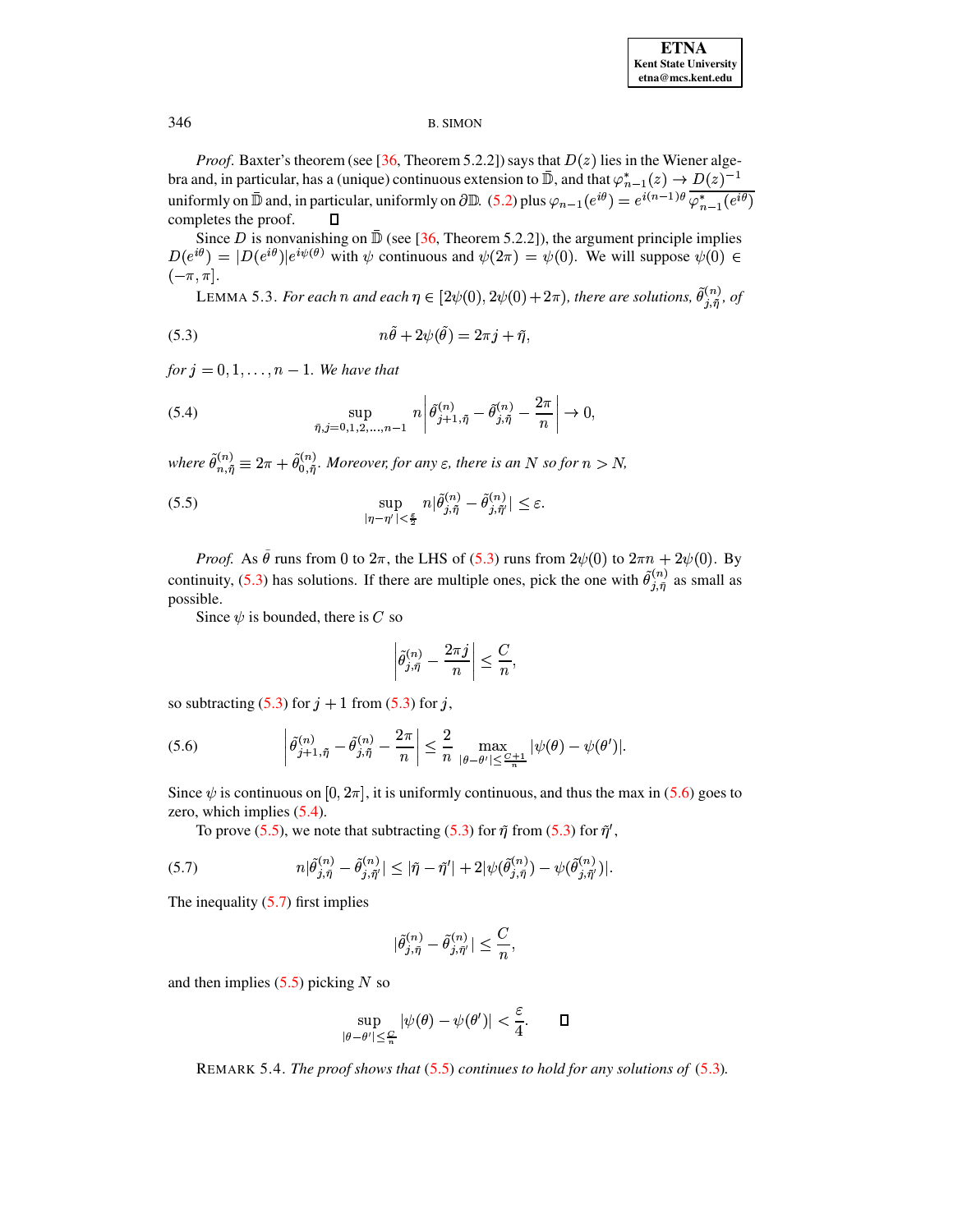*Proof.* Baxter's theorem (see [36, Theorem 5.2.2]) says that  $D(z)$  lies in the Wiener algebra and, in particular, has a (unique) continuous extension to  $\mathbb{\bar{D}}$ , and that  $\varphi_{n-1}^*(z) \to D(z)^{-1}$ <br>uniformly on  $\mathbb{\bar{D}}$  and, in particular, uniformly on  $\partial \mathbb{D}$ . (5.2) plus  $\varphi_{n-1}(e^{i\theta}) = e^{i(n-1)\theta} \overline{\varphi_{n$ completes the proof.  $\Box$ 

<span id="page-18-5"></span>Since D is nonvanishing on  $\bar{D}$  (see [36, Theorem 5.2.2]), the argument principle implies  $D(e^{i\theta}) = |D(e^{i\theta})|e^{i\psi(\theta)}$  with  $\psi$  continuous and  $\psi(2\pi) = \psi(0)$ . We will suppose  $\psi(0) \in$  $(-\pi, \pi]$ .

<span id="page-18-2"></span>LEMMA 5.3. For each n and each  $\eta \in [2\psi(0), 2\psi(0) + 2\pi)$ , there are solutions,  $\tilde{\theta}_{j,\tilde{\eta}}^{(n)}$ , of

(5.3) 
$$
n\tilde{\theta} + 2\psi(\tilde{\theta}) = 2\pi j + \tilde{\eta},
$$

for  $i = 0, 1, \ldots, n - 1$ . We have that

(5.4) 
$$
\sup_{\tilde{\eta}, j=0,1,2,...,n-1} n \left| \tilde{\theta}_{j+1,\tilde{\eta}}^{(n)} - \tilde{\theta}_{j,\tilde{\eta}}^{(n)} - \frac{2\pi}{n} \right| \to 0,
$$

where  $\tilde{\theta}_{n,\tilde{\eta}}^{(n)} \equiv 2\pi + \tilde{\theta}_{0,\tilde{\eta}}^{(n)}$ . Moreover, for any  $\varepsilon$ , there is an N so for  $n > N$ ,

(5.5) 
$$
\sup_{|\eta-\eta'|<\frac{\varepsilon}{2}} n|\tilde{\theta}_{j,\tilde{\eta}}^{(n)}-\tilde{\theta}_{j,\tilde{\eta}'}^{(n)}|\leq\varepsilon.
$$

*Proof.* As  $\tilde{\theta}$  runs from 0 to  $2\pi$ , the LHS of (5.3) runs from  $2\psi(0)$  to  $2\pi n + 2\psi(0)$ . By continuity, (5.3) has solutions. If there are multiple ones, pick the one with  $\tilde{\theta}_{i,\tilde{n}}^{(n)}$  as small as possible.

Since  $\psi$  is bounded, there is C so

<span id="page-18-3"></span><span id="page-18-1"></span><span id="page-18-0"></span>
$$
\left|\tilde{\theta}_{j,\tilde{\eta}}^{(n)}-\frac{2\pi j}{n}\right|\leq \frac{C}{n},
$$

so subtracting  $(5.3)$  for  $j + 1$  from  $(5.3)$  for j,

(5.6) 
$$
\left|\tilde{\theta}_{j+1,\tilde{\eta}}^{(n)} - \tilde{\theta}_{j,\tilde{\eta}}^{(n)} - \frac{2\pi}{n}\right| \leq \frac{2}{n} \max_{|\theta-\theta'| \leq \frac{C+1}{n}} |\psi(\theta) - \psi(\theta')|.
$$

Since  $\psi$  is continuous on [0, 2 $\pi$ ], it is uniformly continuous, and thus the max in (5.6) goes to zero, which implies  $(5.4)$ .

To prove (5.5), we note that subtracting (5.3) for  $\tilde{\eta}$  from (5.3) for  $\tilde{\eta}'$ ,

(5.7) 
$$
n|\tilde{\theta}_{j,\tilde{\eta}}^{(n)} - \tilde{\theta}_{j,\tilde{\eta}}^{(n)}| \leq |\tilde{\eta} - \tilde{\eta}'| + 2|\psi(\tilde{\theta}_{j,\tilde{\eta}}^{(n)}) - \psi(\tilde{\theta}_{j,\tilde{\eta}'}^{(n)})|.
$$

The inequality  $(5.7)$  first implies

<span id="page-18-4"></span>
$$
\tilde{\theta}_{j,\tilde{\eta}}^{(n)}-\tilde{\theta}_{j,\tilde{\eta}'}^{(n)}\vert\leq \frac{C}{n},
$$

and then implies  $(5.5)$  picking N so

$$
\sup_{\|\theta-\theta'\|\leq\frac{C}{n}}|\psi(\theta)-\psi(\theta')|<\frac{\varepsilon}{4}.\qquad \qquad \Box
$$

REMARK 5.4. The proof shows that  $(5.5)$  continues to hold for any solutions of  $(5.3)$ .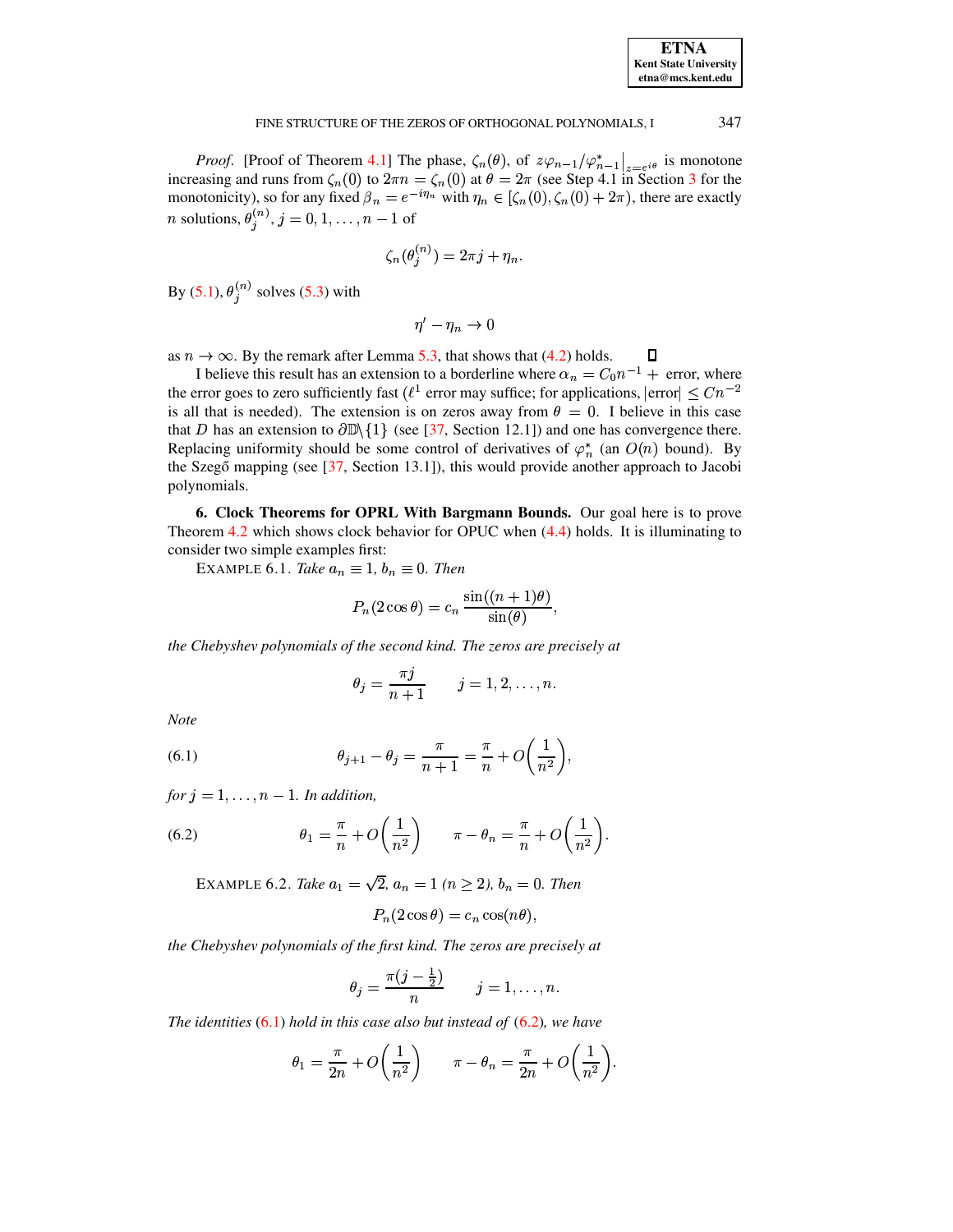| <b>ETNA</b>                  |
|------------------------------|
| <b>Kent State University</b> |
| etna@mcs.kent.edu            |

#### 347 FINE STRUCTURE OF THE ZEROS OF ORTHOGONAL POLYNOMIALS, I

*Proof.* [Proof of Theorem 4.1] The phase,  $\zeta_n(\theta)$ , of  $z\varphi_{n-1}/\varphi_{n-1}^*|_{z=e^{i\theta}}$  is monotone increasing and runs from  $\zeta_n(0)$  to  $2\pi n = \zeta_n(0)$  at  $\theta = 2\pi$  (see Step 4.1 in Section 3 for the monotonicity), so for any fixed  $\beta_n = e^{-i\eta_n}$  with  $\eta_n \in [\zeta_n(0), \zeta_n(0) + 2\pi)$ , there are exactly *n* solutions,  $\theta_j^{(n)}$ ,  $j = 0, 1, ..., n - 1$  of

$$
f_n(\theta_i^{(n)}) = 2\pi j + \eta_n.
$$

By (5.1),  $\theta_i^{(n)}$  solves (5.3) with

$$
\eta'-\eta_n\to 0
$$

as  $n \to \infty$ . By the remark after Lemma 5.3, that shows that (4.2) holds. Д

I believe this result has an extension to a borderline where  $\alpha_n = C_0 n^{-1}$  + error, where the error goes to zero sufficiently fast ( $\ell^1$  error may suffice; for applications,  $|error| \leq Cn^{-2}$ is all that is needed). The extension is on zeros away from  $\theta = 0$ . I believe in this case that D has an extension to  $\partial \mathbb{D}\setminus \{1\}$  (see [37, Section 12.1]) and one has convergence there. Replacing uniformity should be some control of derivatives of  $\varphi_n^*$  (an  $O(n)$  bound). By the Szegő mapping (see  $[37,$  Section 13.1]), this would provide another approach to Jacobi polynomials.

<span id="page-19-0"></span>6. Clock Theorems for OPRL With Bargmann Bounds. Our goal here is to prove Theorem 4.2 which shows clock behavior for OPUC when  $(4.4)$  holds. It is illuminating to consider two simple examples first:

EXAMPLE 6.1. Take  $a_n \equiv 1$ ,  $b_n \equiv 0$ . Then

$$
P_n(2\cos\theta) = c_n \frac{\sin((n+1)\theta)}{\sin(\theta)}
$$

the Chebyshev polynomials of the second kind. The zeros are precisely at

$$
\theta_j = \frac{\pi j}{n+1} \qquad j = 1, 2, \dots, n.
$$

<span id="page-19-1"></span>Note

(6.1) 
$$
\theta_{j+1} - \theta_j = \frac{\pi}{n+1} = \frac{\pi}{n} + O\left(\frac{1}{n^2}\right),
$$

<span id="page-19-2"></span>for  $j = 1, ..., n - 1$ . In addition,

(6.2) 
$$
\theta_1 = \frac{\pi}{n} + O\left(\frac{1}{n^2}\right) \qquad \pi - \theta_n = \frac{\pi}{n} + O\left(\frac{1}{n^2}\right).
$$

EXAMPLE 6.2. Take  $a_1 = \sqrt{2}$ ,  $a_n = 1$  ( $n \ge 2$ ),  $b_n = 0$ . Then

$$
P_n(2\cos\theta) = c_n \cos(n\theta),
$$

the Chebyshev polynomials of the first kind. The zeros are precisely at

$$
\theta_j = \frac{\pi(j-\frac{1}{2})}{n} \qquad j=1,\ldots,n.
$$

The identities  $(6.1)$  hold in this case also but instead of  $(6.2)$ , we have

$$
\theta_1 = \frac{\pi}{2n} + O\left(\frac{1}{n^2}\right) \qquad \pi - \theta_n = \frac{\pi}{2n} + O\left(\frac{1}{n^2}\right).
$$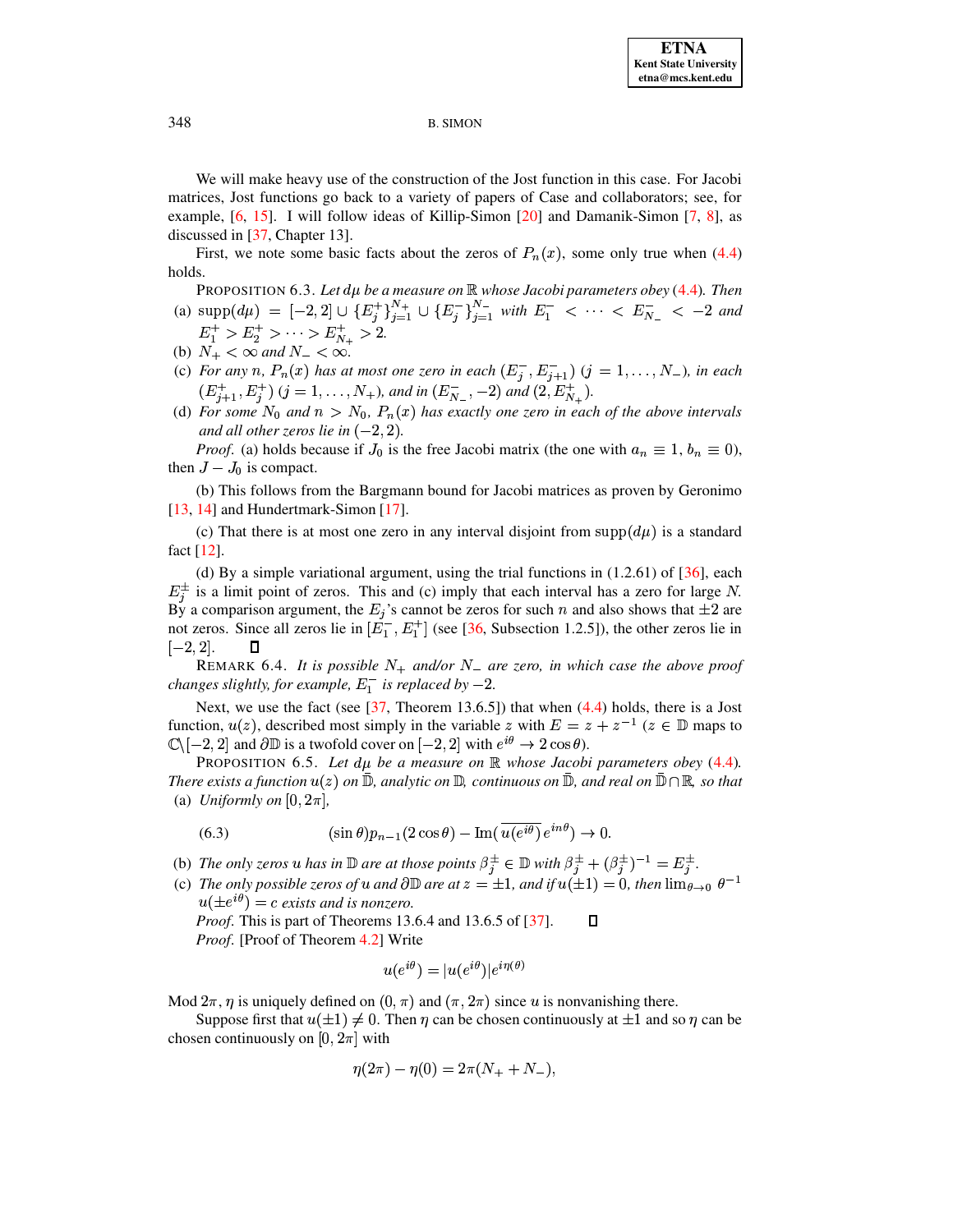We will make heavy use of the construction of the Jost function in this case. For Jacobi matrices, Jost functions go back to a variety of papers of Case and collaborators; see, for example, [\[6,](#page-39-7) [15\]](#page-40-22). I will follow ideas of Killip-Simon [\[20\]](#page-40-23) and Damanik-Simon [\[7,](#page-39-8) [8\]](#page-39-9), as discussed in [\[37,](#page-40-4) Chapter 13].

First, we note some basic facts about the zeros of  $P_n(x)$ , some only true when [\(4.4\)](#page-15-2) holds.

PROPOSITION 6.3. Let  $d\mu$  be a measure on  $\mathbb R$  whose Jacobi parameters obey [\(4.4\)](#page-15-2). Then (a)  $\text{supp}(d\mu) = [-2,2] \cup \{E_j^+\}_{j=1}^{N_+} \cup \{E_j^-\}_{j=1}^{N_-}$  with  $E_1^- < \cdots < E_{N_-}^- < -2$  and

- $E_1^+ > E_2^+ > \cdots > E_{N_+}^+ > 2.$
- (b)  $N_+ < \infty$  and  $N_- < \infty$ .
- (c) For any n,  $P_n(x)$  has at most one zero in each  $(E_n^-, E_{n+1}^-)$   $(j = 1, \ldots, N_-)$ , in each  $(E_{j+1}^+, E_j^+)$   $(j = 1, \ldots, N_+)$ , and in  $(E_{N_-}^-, -2)$  and  $(2, E_{N_+}^+)$ .
- (d) For some  $N_0$  and  $n > N_0$ ,  $P_n(x)$  has exactly one zero in each of the above intervals *and all other zeros lie in*  $(-2, 2)$ *.*

*Proof.* (a) holds because if  $J_0$  is the free Jacobi matrix (the one with  $a_n \equiv 1, b_n \equiv 0$ ), then  $J - J_0$  is compact.

(b) This follows from the Bargmann bound for Jacobi matrices as proven by Geronimo [\[13,](#page-40-24) [14\]](#page-40-25) and Hundertmark-Simon [\[17\]](#page-40-26).

(c) That there is at most one zero in any interval disjoint from supp $(d\mu)$  is a standard fact [\[12\]](#page-40-27).

(d) By a simple variational argument, using the trial functions in  $(1.2.61)$  of  $[36]$ , each  $E_i^{\pm}$  is a limit point of zeros. This and (c) imply that each interval has a zero for large N. By a comparison argument, the  $E_j$ 's cannot be zeros for such n and also shows that  $\pm 2$  are not zeros. Since all zeros lie in  $[E_1^-, E_1^+]$  (see [\[36,](#page-40-3) Subsection 1.2.5]), the other zeros lie in  $[-2,2].$ 

REMARK 6.4. It is possible  $N_+$  and/or  $N_-$  are zero, in which case the above proof *changes slightly, for example,*  $E_1^-$  *is replaced by*  $-2$ *.* 

Next, we use the fact (see  $[37,$  Theorem 13.6.5]) that when  $(4.4)$  holds, there is a Jost function,  $u(z)$ , described most simply in the variable z with  $E = z + z^{-1}$  ( $z \in \mathbb{D}$  maps to  $\mathbb{C}\setminus[-2,2]$  and  $\partial\mathbb{D}$  is a twofold cover on  $[-2,2]$  with  $e^{i\theta}\rightarrow 2\cos\theta$ .

<span id="page-20-1"></span>PROPOSITION 6.5. Let  $d\mu$  be a measure on  $\mathbb R$  whose Jacobi parameters obey [\(4.4\)](#page-15-2). There exists a function  $u(z)$  on  $\mathbb D,$  analytic on  $\mathbb D,$  continuous on  $\mathbb D,$  and real on  $\mathbb D\cap\mathbb R,$  so that (a) *Uniformly on*  $[0, 2\pi]$ ,

<span id="page-20-0"></span>(6.3) 
$$
(\sin \theta)p_{n-1}(2\cos\theta) - \text{Im}(\overline{u(e^{i\theta})}e^{in\theta}) \to 0.
$$

- (b) The only zeros u has in  $\mathbb D$  are at those points  $\beta_i^{\pm} \in \mathbb D$  with  $\beta_i^{\pm} + (\beta_i^{\pm})^{-1} = E_i^{\pm}$ .
- (c) The only possible zeros of  $u$  and  $\partial \mathbb{D}$  are at  $z = \pm 1$ , and if  $u(\pm 1) = 0$ , then  $\lim_{\theta \to 0} \theta^{-1}$  $u( \pm e^{i\theta}) = c$  exists and *is nonzero. Proof*. This is part of Theorems 13.6.4 and 13.6.5 of [\[37\]](#page-40-4).  $\Box$

*Proof*. [Proof of Theorem [4.2\]](#page-15-3) Write

$$
u(e^{i\theta}) = |u(e^{i\theta})|e^{i\eta(\theta)}
$$

Mod  $2\pi$ ,  $\eta$  is uniquely defined on  $(0, \pi)$  and  $(\pi, 2\pi)$  since u is nonvanishing there.

Suppose first that  $u(\pm 1) \neq 0$ . Then  $\eta$  can be chosen continuously at  $\pm 1$  and so  $\eta$  can be chosen continuously on [0,  $2\pi$ ] with

$$
\eta(2\pi) - \eta(0) = 2\pi(N_+ + N_-),
$$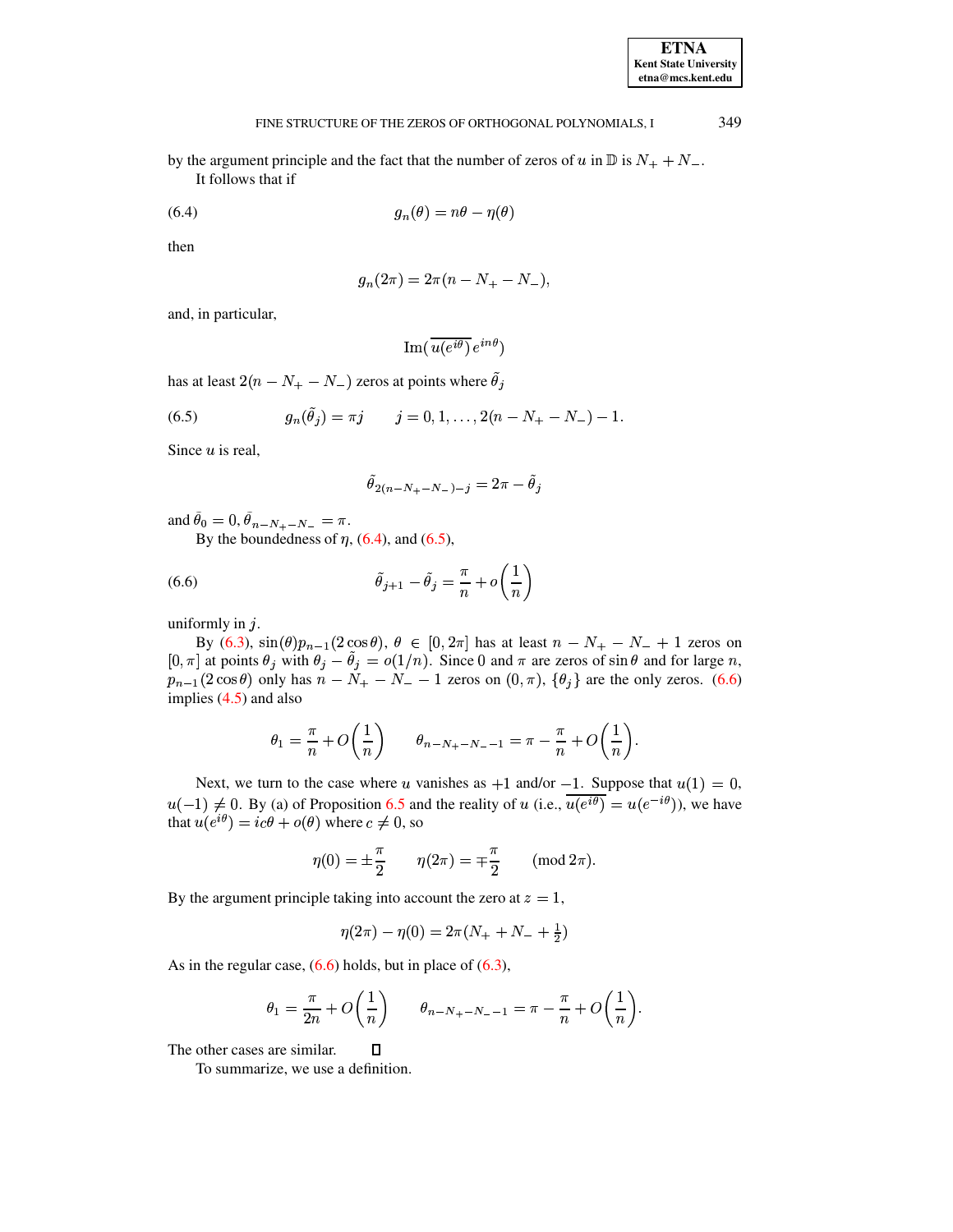| <b>ETNA</b>                  |
|------------------------------|
| <b>Kent State University</b> |
| etna@mcs.kent.edu            |

#### 349 FINE STRUCTURE OF THE ZEROS OF ORTHOGONAL POLYNOMIALS, I

<span id="page-21-0"></span>by the argument principle and the fact that the number of zeros of u in  $\mathbb{D}$  is  $N_+ + N_-$ . It follows that if

$$
(6.4) \t\t\t g_n(\theta) = n\theta - \eta(\theta)
$$

then

$$
g_n(2\pi) = 2\pi(n - N_+ - N_-),
$$

and, in particular,

<span id="page-21-1"></span> $\text{Im}(\overline{u(e^{i\theta})}e^{in\theta})$ 

has at least  $2(n - N_{+} - N_{-})$  zeros at points where  $\tilde{\theta}_j$ 

(6.5) 
$$
g_n(\tilde{\theta}_j) = \pi j \qquad j = 0, 1, ..., 2(n - N_+ - N_-) - 1
$$

Since  $u$  is real,

<span id="page-21-2"></span>
$$
\ddot{\theta}_{2(n-N_{+}-N_{-})-j} = 2\pi - \ddot{\theta}_{j}
$$

and  $\hat{\theta}_0 = 0$ ,  $\hat{\theta}_{n-N_+ - N_-} = \pi$ .

By the boundedness of  $\eta$ , (6.4), and (6.5),

(6.6) 
$$
\tilde{\theta}_{j+1} - \tilde{\theta}_j = \frac{\pi}{n} + o\left(\frac{1}{n}\right)
$$

uniformly in  $j$ .

By (6.3),  $\sin(\theta)p_{n-1}(2\cos\theta)$ ,  $\theta \in [0, 2\pi]$  has at least  $n - N_+ - N_- + 1$  zeros on [0,  $\pi$ ] at points  $\theta_j$  with  $\theta_j - \theta_j = o(1/n)$ . Since 0 and  $\pi$  are zeros of sin  $\theta$  and for large n,  $p_{n-1}(2\cos\theta)$  only has  $n - N_+ - N_- - 1$  zeros on  $(0, \pi)$ ,  $\{\theta_j\}$  are the only zeros. (6.6) implies  $(4.5)$  and also

$$
\theta_1 = \frac{\pi}{n} + O\left(\frac{1}{n}\right) \qquad \theta_{n-N_+ - N_- - 1} = \pi - \frac{\pi}{n} + O\left(\frac{1}{n}\right).
$$

Next, we turn to the case where u vanishes as +1 and/or -1. Suppose that  $u(1) = 0$ ,  $u(-1) \neq 0$ . By (a) of Proposition 6.5 and the reality of u (i.e.,  $\overline{u(e^{i\theta})} = u(e^{-i\theta})$ ), we have that  $u(e^{i\theta}) = ic\theta + o(\theta)$  where  $c \neq 0$ , so

$$
\eta(0) = \pm \frac{\pi}{2} \qquad \eta(2\pi) = \mp \frac{\pi}{2} \qquad (\text{mod } 2\pi)
$$

By the argument principle taking into account the zero at  $z = 1$ ,

 $\Box$ 

$$
\eta(2\pi) - \eta(0) = 2\pi(N_+ + N_- + \frac{1}{2})
$$

As in the regular case,  $(6.6)$  holds, but in place of  $(6.3)$ ,

$$
\theta_1 = \frac{\pi}{2n} + O\left(\frac{1}{n}\right) \qquad \theta_{n-N_+-N_--1} = \pi - \frac{\pi}{n} + O\left(\frac{1}{n}\right).
$$

The other cases are similar.

To summarize, we use a definition.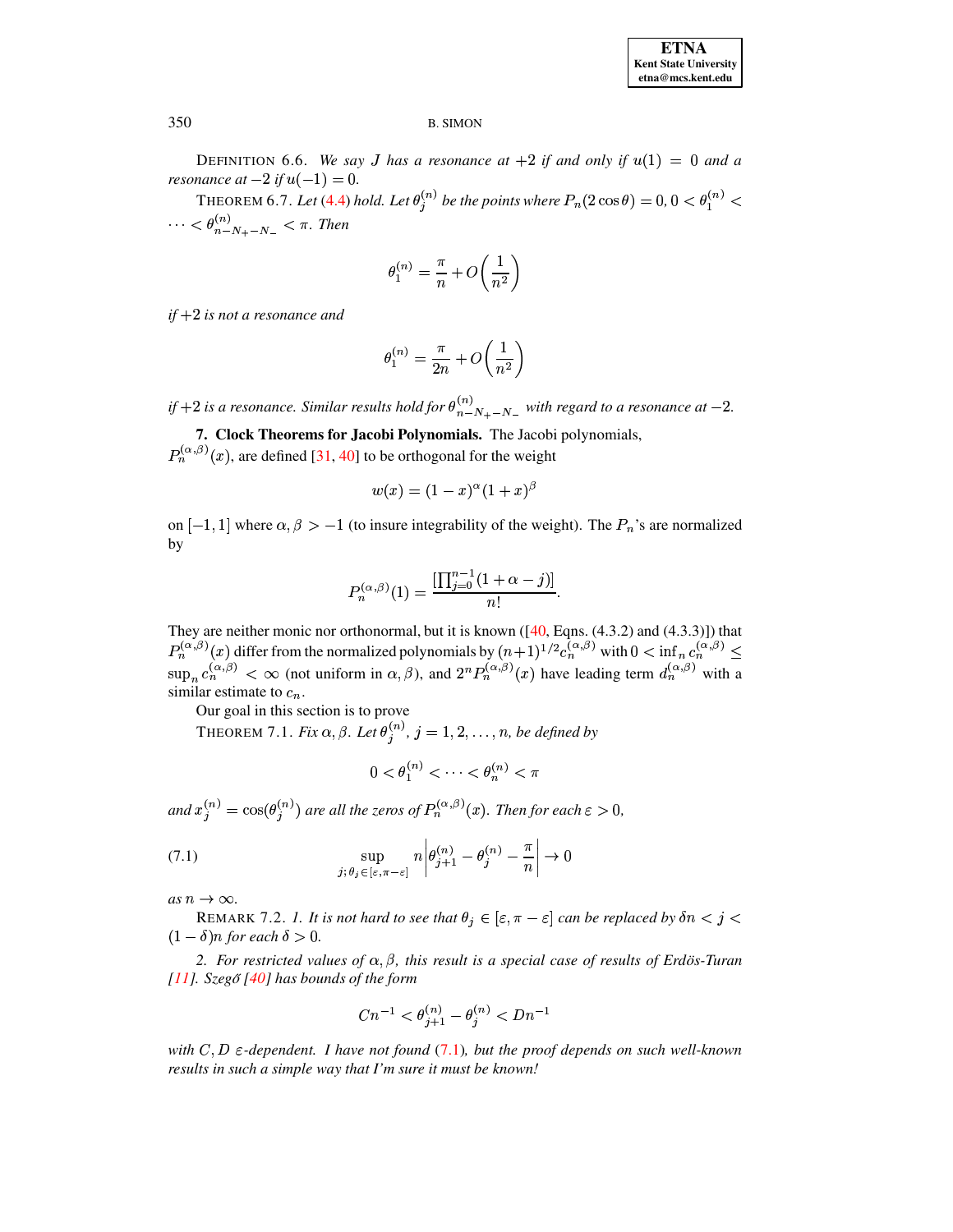DEFINITION 6.6. We say J has a resonance at +2 if and only if  $u(1) = 0$  and a *resonance* at  $-2$  if  $u(-1) = 0$ .

THEOREM 6.7. Let (4.4) hold. Let  $\theta_j^{(n)}$  be the points where  $P_n(2\cos\theta) = 0, 0 < \theta_1^{(n)} <$  $\cdots < \theta_{n-N_{+}-N_{-}}^{(n)} < \pi$ . Then

$$
\theta_1^{(n)} = \frac{\pi}{n} + O\bigg(\frac{1}{n^2}\bigg)
$$

if  $+2$  is not a resonance and

$$
\theta_1^{(n)} = \frac{\pi}{2n} + O\left(\frac{1}{n^2}\right)
$$

if +2 is a resonance. Similar results hold for  $\theta_{n-N_{+}-N_{-}}^{(n)}$  with regard to a resonance at -2.

<span id="page-22-0"></span>7. Clock Theorems for Jacobi Polynomials. The Jacobi polynomials,  $P_n^{(\alpha,\beta)}(x)$ , are defined [31, 40] to be orthogonal for the weight

$$
w(x)=(1-x)^{\alpha}(1+x)^{\beta}
$$

on  $[-1, 1]$  where  $\alpha, \beta > -1$  (to insure integrability of the weight). The  $P_n$ 's are normalized by

$$
P_n^{(\alpha,\beta)}(1) = \frac{[\prod_{j=0}^{n-1} (1+\alpha-j)]}{n!}
$$

<span id="page-22-2"></span>They are neither monic nor orthonormal, but it is known ( $[40, Eqns. (4.3.2)$  and  $(4.3.3)]$ ) that  $P_n^{(\alpha,\beta)}(x)$  differ from the normalized polynomials by  $(n+1)^{1/2}c_n^{(\alpha,\beta)}$  with  $0 < \inf_n c_n^{(\alpha,\beta)} \le$ <br>sup<sub>n</sub>  $c_n^{(\alpha,\beta)} < \infty$  (not uniform in  $\alpha, \beta$ ), and  $2^n P_n^{(\alpha,\beta)}(x)$  have leading term  $d_n^{(\alpha,\beta)}$  with a similar estimate to  $c_n$ .

Our goal in this section is to prove

THEOREM 7.1. Fix  $\alpha$ ,  $\beta$ . Let  $\theta_i^{(n)}$ ,  $j = 1, 2, ..., n$ , be defined by

<span id="page-22-1"></span>
$$
0<\theta_1^{(n)}<\cdots<\theta_n^{(n)}<\pi
$$

and  $x_j^{(n)} = \cos(\theta_j^{(n)})$  are all the zeros of  $P_n^{(\alpha,\beta)}(x)$ . Then for each  $\varepsilon > 0$ ,

(7.1) 
$$
\sup_{j; \theta_j \in [\varepsilon, \pi - \varepsilon]} n \left| \theta_{j+1}^{(n)} - \theta_j^{(n)} - \frac{\pi}{n} \right| \to 0
$$

as  $n \to \infty$ .

REMARK 7.2. 1. It is not hard to see that  $\theta_i \in [\varepsilon, \pi - \varepsilon]$  can be replaced by  $\delta n < j <$  $(1 - \delta)n$  for each  $\delta > 0$ .

2. For restricted values of  $\alpha$ ,  $\beta$ , this result is a special case of results of Erdös-Turan [11]. Szegő [40] has bounds of the form

$$
Cn^{-1} < \theta_{j+1}^{(n)} - \theta_j^{(n)} < Dn^{-1}
$$

with  $C, D$   $\varepsilon$ -dependent. I have not found (7.1), but the proof depends on such well-known results in such a simple way that I'm sure it must be known!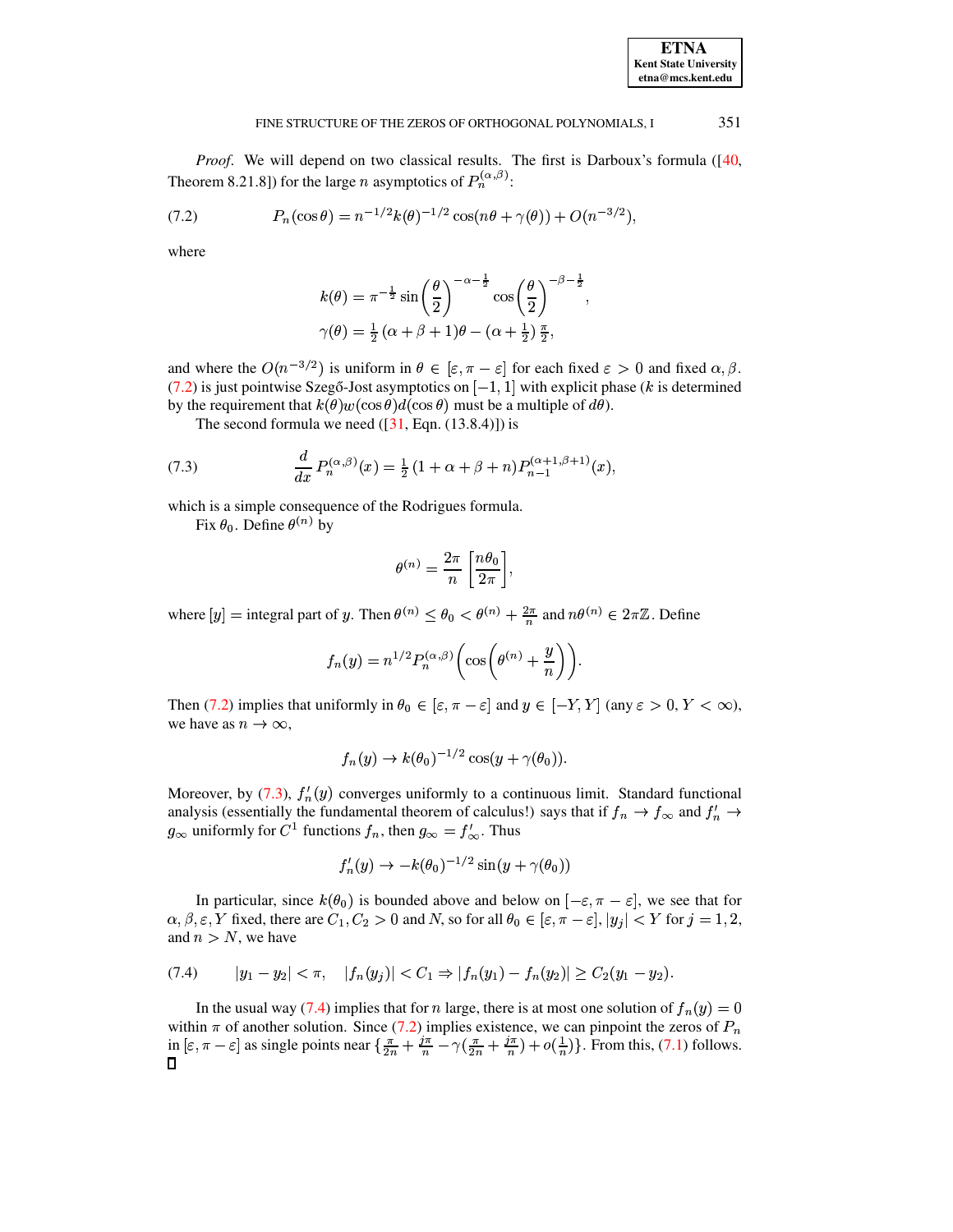#### 351 FINE STRUCTURE OF THE ZEROS OF ORTHOGONAL POLYNOMIALS, I

*Proof.* We will depend on two classical results. The first is Darboux's formula ( $[40, 60]$ ) Theorem 8.21.8]) for the large *n* asymptotics of  $P_n^{(\alpha,\beta)}$ :

(7.2) 
$$
P_n(\cos \theta) = n^{-1/2}k(\theta)^{-1/2}\cos(n\theta + \gamma(\theta)) + O(n^{-3/2})
$$

where

<span id="page-23-0"></span>
$$
k(\theta) = \pi^{-\frac{1}{2}} \sin\left(\frac{\theta}{2}\right)^{-\alpha - \frac{1}{2}} \cos\left(\frac{\theta}{2}\right)^{-\beta - \frac{1}{2}},
$$
  

$$
\gamma(\theta) = \frac{1}{2} (\alpha + \beta + 1)\theta - (\alpha + \frac{1}{2}) \frac{\pi}{2},
$$

and where the  $O(n^{-3/2})$  is uniform in  $\theta \in [\varepsilon, \pi - \varepsilon]$  for each fixed  $\varepsilon > 0$  and fixed  $\alpha, \beta$ . (7.2) is just pointwise Szegő-Jost asymptotics on  $[-1, 1]$  with explicit phase (k is determined by the requirement that  $k(\theta)w(\cos \theta)d(\cos \theta)$  must be a multiple of  $d\theta$ ).

The second formula we need  $([31, Eqn. (13.8.4)])$  is

(7.3) 
$$
\frac{d}{dx} P_n^{(\alpha,\beta)}(x) = \frac{1}{2} (1 + \alpha + \beta + n) P_{n-1}^{(\alpha+1,\beta+1)}(x),
$$

which is a simple consequence of the Rodrigues formula.

Fix  $\theta_0$ . Define  $\theta^{(n)}$  by

<span id="page-23-1"></span>
$$
\theta^{(n)} = \frac{2\pi}{n} \left[ \frac{n\theta_0}{2\pi} \right],
$$

where  $[y]$  = integral part of y. Then  $\theta^{(n)} \leq \theta_0 < \theta^{(n)} + \frac{2\pi}{n}$  and  $n\theta^{(n)} \in 2\pi\mathbb{Z}$ . Define

$$
f_n(y) = n^{1/2} P_n^{(\alpha,\beta)} \left( \cos \left( \theta^{(n)} + \frac{y}{n} \right) \right).
$$

Then (7.2) implies that uniformly in  $\theta_0 \in [\varepsilon, \pi - \varepsilon]$  and  $y \in [-Y, Y]$  (any  $\varepsilon > 0, Y < \infty$ ), we have as  $n \to \infty$ ,

$$
f_n(y) \to k(\theta_0)^{-1/2} \cos(y + \gamma(\theta_0)).
$$

Moreover, by (7.3),  $f'_n(y)$  converges uniformly to a continuous limit. Standard functional analysis (essentially the fundamental theorem of calculus!) says that if  $f_n \to f_\infty$  and  $f'_n \to$  $g_{\infty}$  uniformly for  $C^1$  functions  $f_n$ , then  $g_{\infty} = f'_{\infty}$ . Thus

$$
f'_n(y) \to -k(\theta_0)^{-1/2} \sin(y + \gamma(\theta_0))
$$

<span id="page-23-2"></span>In particular, since  $k(\theta_0)$  is bounded above and below on  $[-\epsilon, \pi - \epsilon]$ , we see that for  $\alpha, \beta, \varepsilon, Y$  fixed, there are  $C_1, C_2 > 0$  and N, so for all  $\theta_0 \in [\varepsilon, \pi - \varepsilon], |y_j| < Y$  for  $j = 1, 2$ , and  $n > N$ , we have

$$
(7.4) \qquad |y_1 - y_2| < \pi, \quad |f_n(y_j)| < C_1 \Rightarrow |f_n(y_1) - f_n(y_2)| \geq C_2(y_1 - y_2).
$$

In the usual way (7.4) implies that for *n* large, there is at most one solution of  $f_n(y) = 0$ within  $\pi$  of another solution. Since (7.2) implies existence, we can pinpoint the zeros of  $P_n$ in  $[\varepsilon, \pi - \varepsilon]$  as single points near  $\{\frac{\pi}{2n} + \frac{i\pi}{n} - \gamma(\frac{\pi}{2n} + \frac{i\pi}{n}) + o(\frac{1}{n})\}\)$ . From this, (7.1) follows.  $\Box$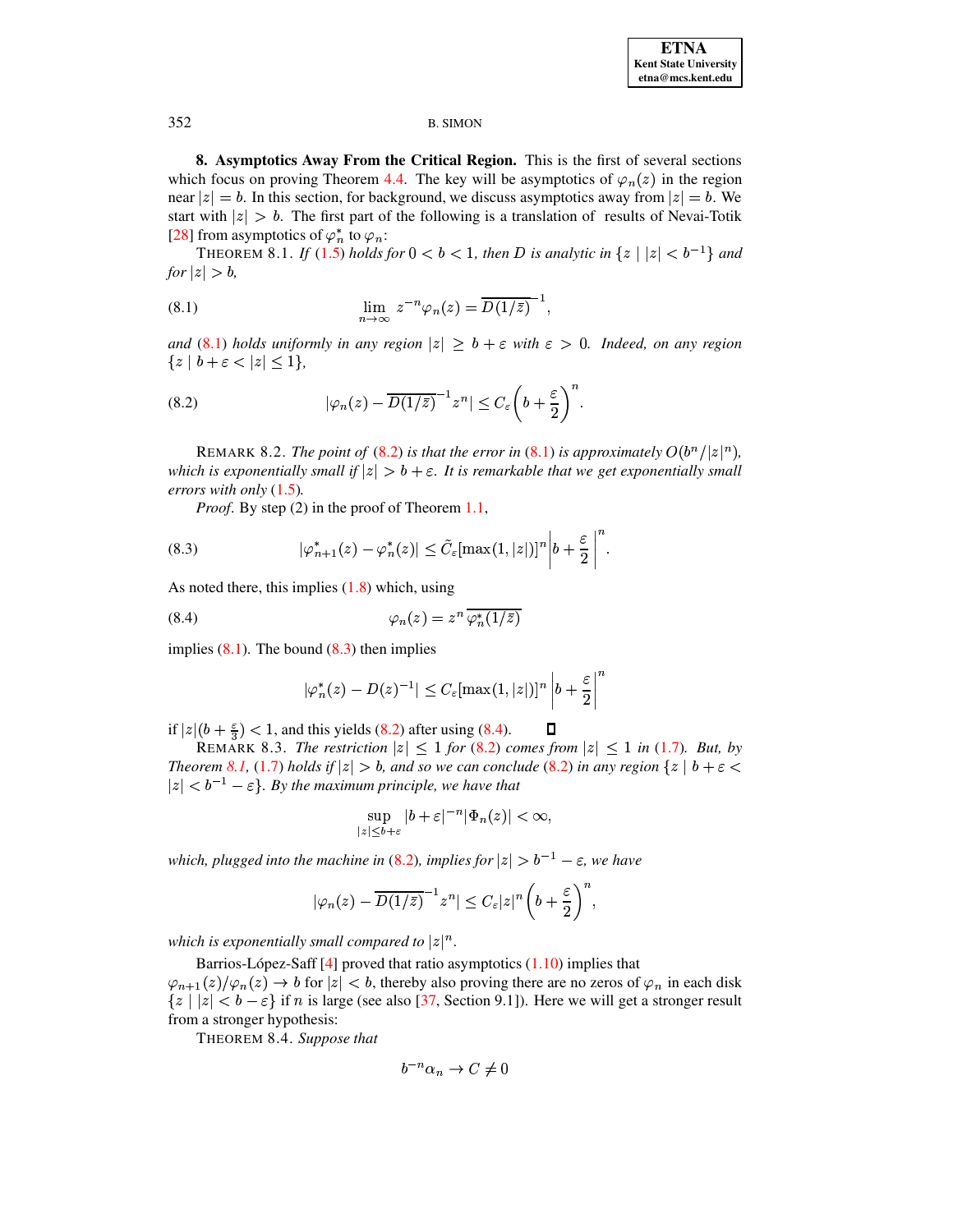<span id="page-24-1"></span>8. Asymptotics Away From the Critical Region. This is the first of several sections which focus on proving Theorem 4.4. The key will be asymptotics of  $\varphi_n(z)$  in the region near  $|z| = b$ . In this section, for background, we discuss asymptotics away from  $|z| = b$ . We start with  $|z| > b$ . The first part of the following is a translation of results of Nevai-Totik [28] from asymptotics of  $\varphi_n^*$  to  $\varphi_n$ :

<span id="page-24-6"></span><span id="page-24-2"></span>THEOREM 8.1. If (1.5) holds for  $0 < b < 1$ , then D is analytic in  $\{z \mid |z| < b^{-1}\}\$ and for  $|z| > b$ ,

(8.1) 
$$
\lim_{n \to \infty} z^{-n} \varphi_n(z) = \overline{D(1/\bar{z})}^{-1},
$$

<span id="page-24-3"></span>and (8.1) holds uniformly in any region  $|z| \ge b + \varepsilon$  with  $\varepsilon > 0$ . Indeed, on any region  ${z \mid b + \varepsilon < |z| \leq 1},$ 

(8.2) 
$$
|\varphi_n(z) - \overline{D(1/\bar{z})}^{-1} z^n| \leq C_{\varepsilon} \left(b + \frac{\varepsilon}{2}\right)^n.
$$

REMARK 8.2. The point of (8.2) is that the error in (8.1) is approximately  $O(b^{n}/|z|^{n})$ , which is exponentially small if  $|z| > b + \varepsilon$ . It is remarkable that we get exponentially small errors with only  $(1.5)$ .

<span id="page-24-4"></span>*Proof.* By step (2) in the proof of Theorem  $1.1$ ,

(8.3) 
$$
|\varphi^*_{n+1}(z) - \varphi^*_n(z)| \leq \tilde{C}_{\varepsilon}[\max(1,|z|)]^n \bigg| b + \frac{\varepsilon}{2} \bigg|^n.
$$

As noted there, this implies  $(1.8)$  which, using

(8.4) 
$$
\varphi_n(z) = z^n \overline{\varphi_n^*(1/\bar{z})}
$$

implies  $(8.1)$ . The bound  $(8.3)$  then implies

<span id="page-24-5"></span>
$$
|\varphi_n^*(z) - D(z)^{-1}| \leq C_{\varepsilon}[\max(1,|z|)]^n \left| b + \frac{\varepsilon}{2} \right|^n
$$

О

if  $|z|(b+\frac{\varepsilon}{3})$  < 1, and this yields (8.2) after using (8.4).

REMARK 8.3. The restriction  $|z| \leq 1$  for (8.2) comes from  $|z| \leq 1$  in (1.7). But, by Theorem 8.1, (1.7) holds if  $|z| > b$ , and so we can conclude (8.2) in any region  $\{z \mid b + \varepsilon < b\}$  $|z| < b^{-1} - \varepsilon$ . By the maximum principle, we have that

$$
\sup_{|z|\leq b+\varepsilon} |b+\varepsilon|^{-n} |\Phi_n(z)| < \infty,
$$

which, plugged into the machine in (8.2), implies for  $|z| > b^{-1} - \varepsilon$ , we have

$$
|\varphi_n(z)-\overline{D(1/\bar{z})}^{-1}z^n|\leq C_{\varepsilon}|z|^n\bigg(b+\frac{\varepsilon}{2}\bigg)^n,
$$

which is exponentially small compared to  $|z|^n$ .

<span id="page-24-0"></span>Barrios-López-Saff  $[4]$  proved that ratio asymptotics  $(1.10)$  implies that  $\varphi_{n+1}(z)/\varphi_n(z) \to b$  for  $|z| < b$ , thereby also proving there are no zeros of  $\varphi_n$  in each disk  $\{z \mid |z| < b - \varepsilon\}$  if *n* is large (see also [37, Section 9.1]). Here we will get a stronger result from a stronger hypothesis:

THEOREM 8.4. Suppose that

$$
b^{-n}\alpha_n \to C \neq 0
$$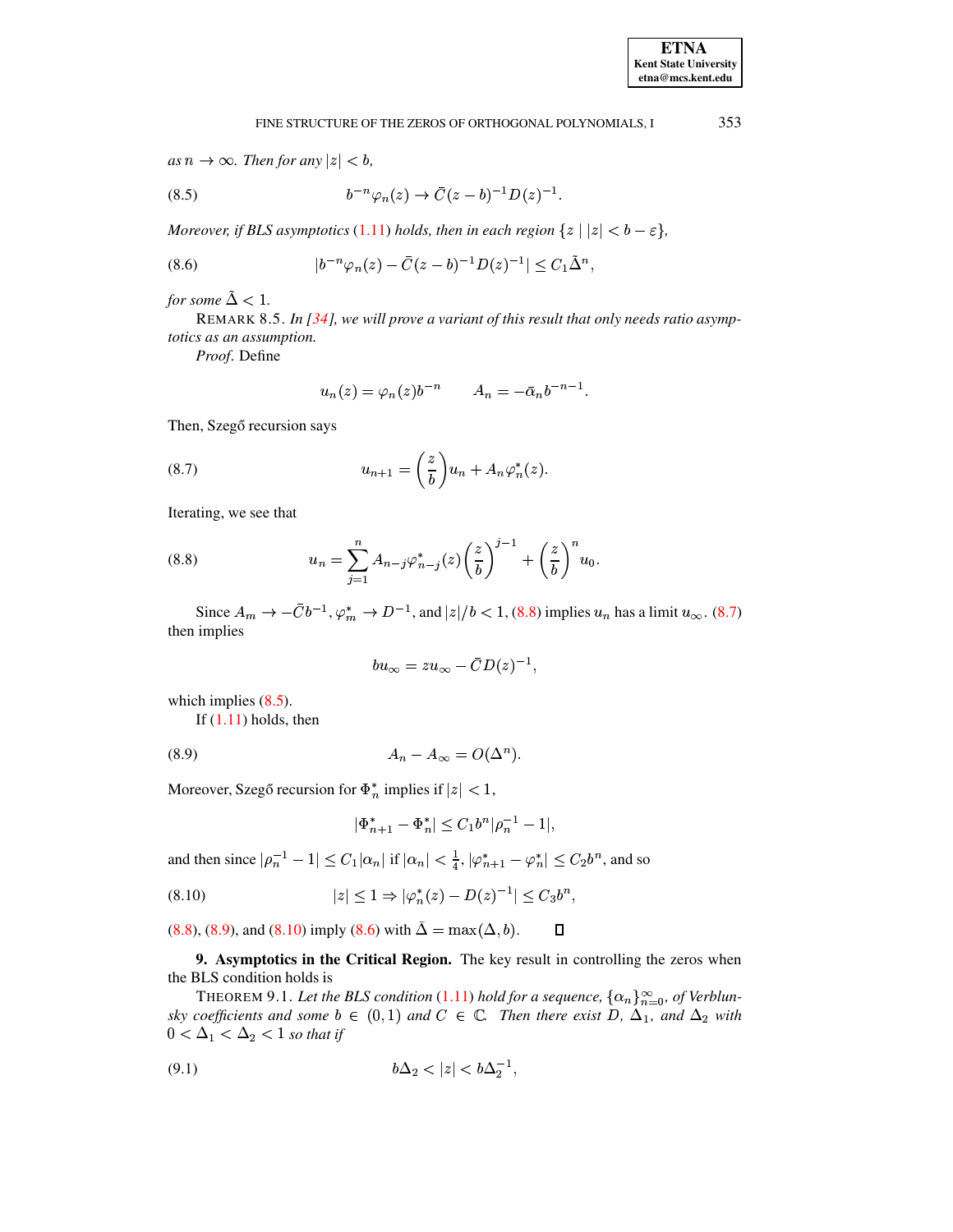<span id="page-25-5"></span>353

## <span id="page-25-2"></span>FINE STRUCTURE OF THE ZEROS OF ORTHOGONAL POLYNOMIALS, I

as  $n \to \infty$ . Then for any  $|z| < b$ ,

(8.5) 
$$
b^{-n}\varphi_n(z) \to \bar{C}(z-b)^{-1}D(z)^{-1}.
$$

Moreover, if BLS asymptotics (1.11) holds, then in each region  $\{z \mid |z| < b - \varepsilon\}$ ,

(8.6) 
$$
|b^{-n}\varphi_n(z) - \bar{C}(z-b)^{-1}D(z)^{-1}| \leq C_1\tilde{\Delta}^n,
$$

for some  $\tilde{\Delta} < 1$ .

REMARK 8.5. In  $\left[34\right]$ , we will prove a variant of this result that only needs ratio asymptotics as an assumption.

Proof. Define

$$
u_n(z) = \varphi_n(z) b^{-n} \qquad A_n = -\bar{\alpha}_n b^{-n-1}
$$

<span id="page-25-1"></span>Then, Szegő recursion says

(8.7) 
$$
u_{n+1} = \left(\frac{z}{b}\right)u_n + A_n \varphi_n^*(z).
$$

<span id="page-25-0"></span>Iterating, we see that

(8.8) 
$$
u_n = \sum_{j=1}^n A_{n-j} \varphi_{n-j}^*(z) \left(\frac{z}{b}\right)^{j-1} + \left(\frac{z}{b}\right)^n u_0.
$$

Since  $A_m \to -\bar{C}b^{-1}$ ,  $\varphi_m^* \to D^{-1}$ , and  $|z|/b < 1$ , (8.8) implies  $u_n$  has a limit  $u_\infty$ . (8.7) then implies

$$
bu_{\infty}=zu_{\infty}-\bar{C}D(z)^{-1},
$$

which implies  $(8.5)$ .

<span id="page-25-3"></span>If  $(1.11)$  holds, then

$$
(8.9) \t\t\t A_n - A_\infty = O(\Delta^n).
$$

Moreover, Szegő recursion for  $\Phi_n^*$  implies if  $|z| < 1$ ,

<span id="page-25-4"></span>
$$
|\Phi_{n+1}^*-\Phi_n^*|\leq C_1b^n|\rho_n^{-1}-1|,
$$

and then since  $|\rho_n^{-1} - 1| \le C_1 |\alpha_n|$  if  $|\alpha_n| < \frac{1}{4}$ ,  $|\varphi_{n+1}^* - \varphi_n^*| \le C_2 b^n$ , and so

(8.10) 
$$
|z| \le 1 \Rightarrow |\varphi_n^*(z) - D(z)^{-1}| \le C_3 b^n,
$$

 $(8.8)$ ,  $(8.9)$ , and  $(8.10)$  imply  $(8.6)$  with  $\tilde{\Delta} = \max(\Delta, b)$ .  $\Box$ 

<span id="page-25-7"></span>9. Asymptotics in the Critical Region. The key result in controlling the zeros when the BLS condition holds is

THEOREM 9.1. Let the BLS condition (1.11) hold for a sequence,  $\{\alpha_n\}_{n=0}^{\infty}$ , of Verblunsky coefficients and some  $b \in (0,1)$  and  $C \in \mathbb{C}$ . Then there exist D,  $\Delta_1$ , and  $\Delta_2$  with  $0 < \Delta_1 < \Delta_2 < 1$  so that if

<span id="page-25-6"></span>(9.1) 
$$
b\Delta_2 < |z| < b\Delta_2^{-1},
$$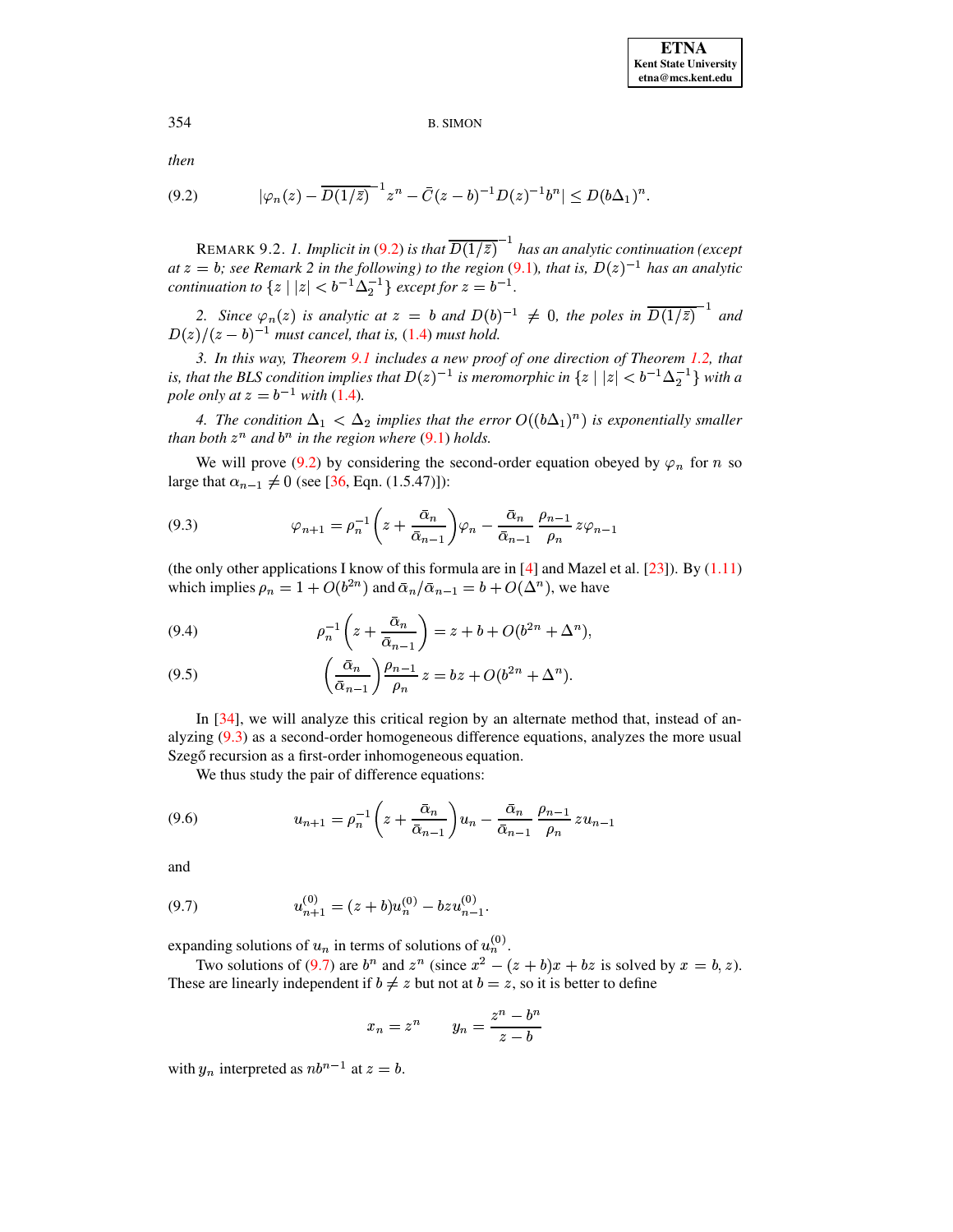<span id="page-26-0"></span>then

$$
(9.2) \t |\varphi_n(z) - \overline{D(1/\bar{z})}^{-1} z^n - \bar{C}(z-b)^{-1} D(z)^{-1} b^n| \le D(b\Delta_1)^n.
$$

REMARK 9.2. 1. Implicit in (9.2) is that  $\overline{D(1/\bar{z})}^{-1}$  has an analytic continuation (except at  $z = b$ ; see Remark 2 in the following) to the region (9.1), that is,  $D(z)^{-1}$  has an analytic *continuation to*  $\{z \mid |z| < b^{-1}\Delta_2^{-1}\}$  *except for*  $z = b^{-1}$ .

2. Since  $\varphi_n(z)$  is analytic at  $z = b$  and  $D(b)^{-1} \neq 0$ , the poles in  $\overline{D(1/\overline{z})}^{-1}$  and  $D(z)/(z - b)^{-1}$  must cancel, that is, (1.4) must hold.

3. In this way, Theorem 9.1 includes a new proof of one direction of Theorem 1.2, that is, that the BLS condition implies that  $D(z)^{-1}$  is meromorphic in  $\{z \mid |z| < b^{-1}\Delta_2^{-1}\}\$  with a pole only at  $z = b^{-1}$  with (1.4).

4. The condition  $\Delta_1 < \Delta_2$  implies that the error  $O((b\Delta_1)^n)$  is exponentially smaller than both  $z^n$  and  $b^n$  in the region where (9.1) holds.

<span id="page-26-1"></span>We will prove (9.2) by considering the second-order equation obeyed by  $\varphi_n$  for n so large that  $\alpha_{n-1} \neq 0$  (see [36, Eqn. (1.5.47)]):

(9.3) 
$$
\varphi_{n+1} = \rho_n^{-1} \left( z + \frac{\bar{\alpha}_n}{\bar{\alpha}_{n-1}} \right) \varphi_n - \frac{\bar{\alpha}_n}{\bar{\alpha}_{n-1}} \frac{\rho_{n-1}}{\rho_n} z \varphi_{n-1}
$$

(the only other applications I know of this formula are in [4] and Mazel et al. [23]). By  $(1.11)$ which implies  $\rho_n = 1 + O(b^{2n})$  and  $\bar{\alpha}_n / \bar{\alpha}_{n-1} = b + O(\Delta^n)$ , we have

<span id="page-26-4"></span>(9.4) 
$$
\rho_n^{-1}\left(z + \frac{\bar{\alpha}_n}{\bar{\alpha}_{n-1}}\right) = z + b + O(b^{2n} + \Delta^n),
$$

<span id="page-26-5"></span>(9.5) 
$$
\left(\frac{\bar{\alpha}_n}{\bar{\alpha}_{n-1}}\right)\frac{\rho_{n-1}}{\rho_n}z = bz + O(b^{2n} + \Delta^n).
$$

In  $[34]$ , we will analyze this critical region by an alternate method that, instead of analyzing  $(9.3)$  as a second-order homogeneous difference equations, analyzes the more usual Szegő recursion as a first-order inhomogeneous equation.

We thus study the pair of difference equations:

<span id="page-26-3"></span>(9.6) 
$$
u_{n+1} = \rho_n^{-1} \left( z + \frac{\bar{\alpha}_n}{\bar{\alpha}_{n-1}} \right) u_n - \frac{\bar{\alpha}_n}{\bar{\alpha}_{n-1}} \frac{\rho_{n-1}}{\rho_n} z u_{n-1}
$$

and

<span id="page-26-2"></span>(9.7) 
$$
u_{n+1}^{(0)} = (z+b)u_n^{(0)} - bzu_{n-1}^{(0)}.
$$

expanding solutions of  $u_n$  in terms of solutions of  $u_n^{(0)}$ .

Two solutions of (9.7) are  $b^n$  and  $z^n$  (since  $x^2 - (z + b)x + bz$  is solved by  $x = b, z$ ). These are linearly independent if  $b \neq z$  but not at  $b = z$ , so it is better to define

$$
x_n = z^n \qquad y_n = \frac{z^n - b^n}{z - b}
$$

with  $y_n$  interpreted as  $nb^{n-1}$  at  $z = b$ .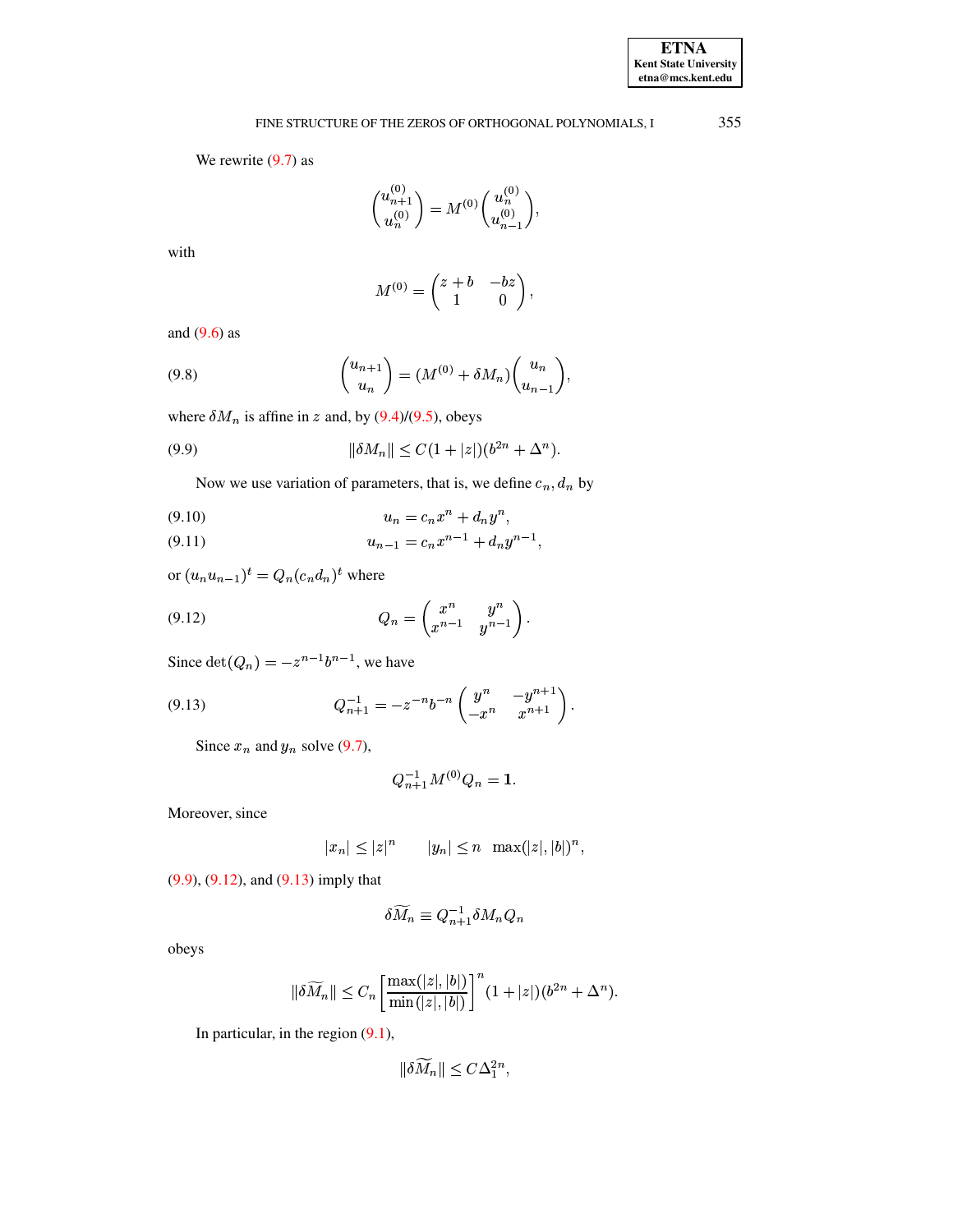# FINE STRUCTURE OF THE ZEROS OF ORTHOGONAL POLYNOMIALS, I

We rewrite  $(9.7)$  as

$$
\binom{u_{n+1}^{(0)}}{u_n^{(0)}} = M^{(0)} \binom{u_n^{(0)}}{u_{n-1}^{(0)}},
$$

with

<span id="page-27-0"></span>
$$
M^{(0)} = \begin{pmatrix} z+b & -bz \\ 1 & 0 \end{pmatrix},
$$

<span id="page-27-5"></span>and  $(9.6)$  as

$$
(9.8)\qquad \qquad \begin{pmatrix} u_{n+1} \\ u_n \end{pmatrix} = (M^{(0)} + \delta M_n) \begin{pmatrix} u_n \\ u_{n-1} \end{pmatrix},
$$

where  $\delta M_n$  is affine in z and, by (9.4)/(9.5), obeys

(9.9) 
$$
\|\delta M_n\| \le C(1+|z|)(b^{2n}+\Delta^n).
$$

Now we use variation of parameters, that is, we define  $c_n$ ,  $d_n$  by

<span id="page-27-3"></span>
$$
(9.10) \t\t\t u_n = c_n x^n + d_n y^n,
$$

<span id="page-27-4"></span>
$$
(9.11) \t\t\t u_{n-1} = c_n x^{n-1} + d_n y^{n-1},
$$

<span id="page-27-1"></span>or  $(u_nu_{n-1})^t = Q_n(c_nd_n)^t$  where

$$
(9.12) \tQ_n = \begin{pmatrix} x^n & y^n \\ x^{n-1} & y^{n-1} \end{pmatrix}.
$$

Since  $\det(Q_n) = -z^{n-1}b^{n-1}$ , we have

(9.13) 
$$
Q_{n+1}^{-1} = -z^{-n}b^{-n} \begin{pmatrix} y^n & -y^{n+1} \\ -x^n & x^{n+1} \end{pmatrix}.
$$

Since  $x_n$  and  $y_n$  solve (9.7),

<span id="page-27-2"></span>
$$
Q_{n+1}^{-1}M^{(0)}Q_n = 1.
$$

Moreover, since

$$
|x_n| \leq |z|^n \qquad |y_n| \leq n \quad \max(|z|, |b|)^n,
$$

 $(9.9)$ ,  $(9.12)$ , and  $(9.13)$  imply that

$$
\delta M_n \equiv Q_{n+1}^{-1} \delta M_n Q_n
$$

obeys

$$
\|\delta \widetilde{M}_n\| \leq C_n \left[\frac{\max(|z|,|b|)}{\min(|z|,|b|)}\right]^n (1+|z|)(b^{2n}+\Delta^n).
$$

In particular, in the region  $(9.1)$ ,

$$
\|\delta M_n\| \le C\Delta_1^{2n}
$$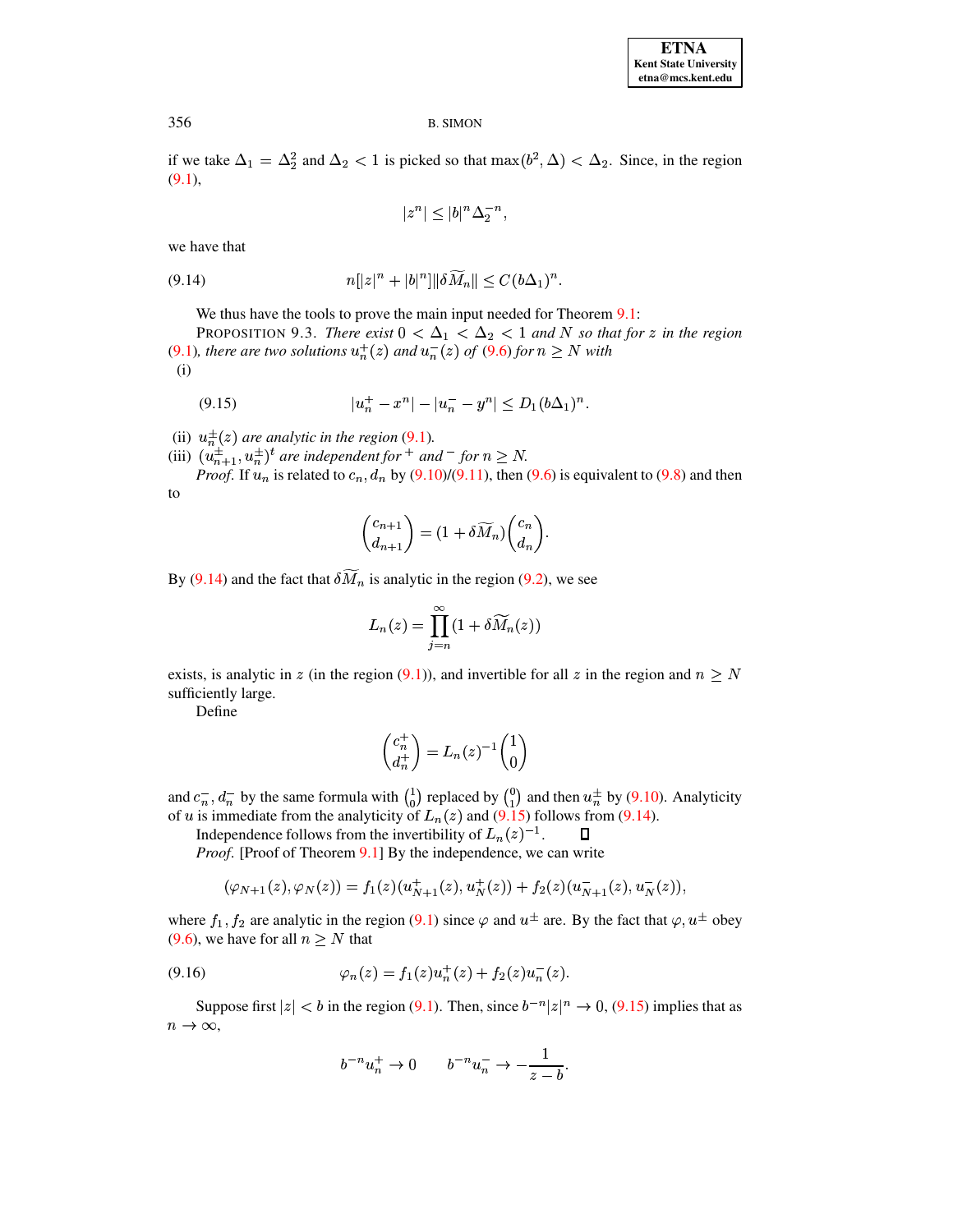if we take  $\Delta_1 = \Delta_2^2$  and  $\Delta_2 < 1$  is picked so that  $\max(b^2, \Delta) < \Delta_2$ . Since, in the region  $(9.1),$ 

$$
|z^n| \le |b|^n \Delta_2^{-n},
$$

<span id="page-28-0"></span>we have that

$$
(9.14) \t\t n[|z|^n + |b|^n] \|\delta M_n\| \le C(b\Delta_1)^n.
$$

We thus have the tools to prove the main input needed for Theorem 9.1:

<span id="page-28-3"></span><span id="page-28-1"></span>PROPOSITION 9.3. There exist  $0 < \Delta_1 < \Delta_2 < 1$  and N so that for z in the region (9.1), there are two solutions  $u_n^+(z)$  and  $u_n^-(z)$  of (9.6) for  $n \geq N$  with

 $(i)$ 

(9.15) 
$$
|u_n^+ - x^n| - |u_n^- - y^n| \le D_1 (b \Delta_1)^n.
$$

(ii)  $u_n^{\pm}(z)$  are analytic in the region (9.1).<br>
(iii)  $(u_{n+1}^{\pm}, u_n^{\pm})^t$  are independent for  $^+$  and  $^-$  for  $n \ge N$ .<br> *Proof*. If  $u_n$  is related to  $c_n$ ,  $d_n$  by (9.10)/(9.11), then (9.6) is equivalent to (9.8) and to

$$
\begin{pmatrix} c_{n+1} \\ d_{n+1} \end{pmatrix} = (1 + \delta \widetilde{M}_n) \begin{pmatrix} c_n \\ d_n \end{pmatrix}
$$

By (9.14) and the fact that  $\delta M_n$  is analytic in the region (9.2), we see

$$
L_n(z) = \prod_{j=n}^{\infty} (1 + \delta \widetilde{M}_n(z))
$$

exists, is analytic in z (in the region (9.1)), and invertible for all z in the region and  $n \geq N$ sufficiently large.

Define

$$
\begin{pmatrix} c_n^+ \\ d_n^+ \end{pmatrix} = L_n(z)^{-1} \begin{pmatrix} 1 \\ 0 \end{pmatrix}
$$

and  $c_n^-, d_n^-$  by the same formula with  $\binom{1}{0}$  replaced by  $\binom{0}{1}$  and then  $u_n^{\pm}$  by (9.10). Analyticity of u is immediate from the analyticity of  $L_n(z)$  and (9.15) follows from (9.14).

Independence follows from the invertibility of  $L_n(z)^{-1}$ .  $\Box$ 

*Proof.* [Proof of Theorem 9.1] By the independence, we can write

<span id="page-28-2"></span>
$$
(\varphi_{N+1}(z),\varphi_{N}(z))=f_{1}(z)(u_{N+1}^{+}(z),u_{N}^{+}(z))+f_{2}(z)(u_{N+1}^{-}(z),u_{N}^{-}(z)),
$$

where  $f_1, f_2$  are analytic in the region (9.1) since  $\varphi$  and  $u^{\pm}$  are. By the fact that  $\varphi, u^{\pm}$  obey  $(9.6)$ , we have for all  $n > N$  that

(9.16) 
$$
\varphi_n(z) = f_1(z)u_n^+(z) + f_2(z)u_n^-(z).
$$

Suppose first  $|z| < b$  in the region (9.1). Then, since  $b^{-n}|z|^n \to 0$ , (9.15) implies that as  $n \to \infty$ ,

$$
b^{-n}u_n^+ \to 0 \t b^{-n}u_n^- \to -\frac{1}{z-b}.
$$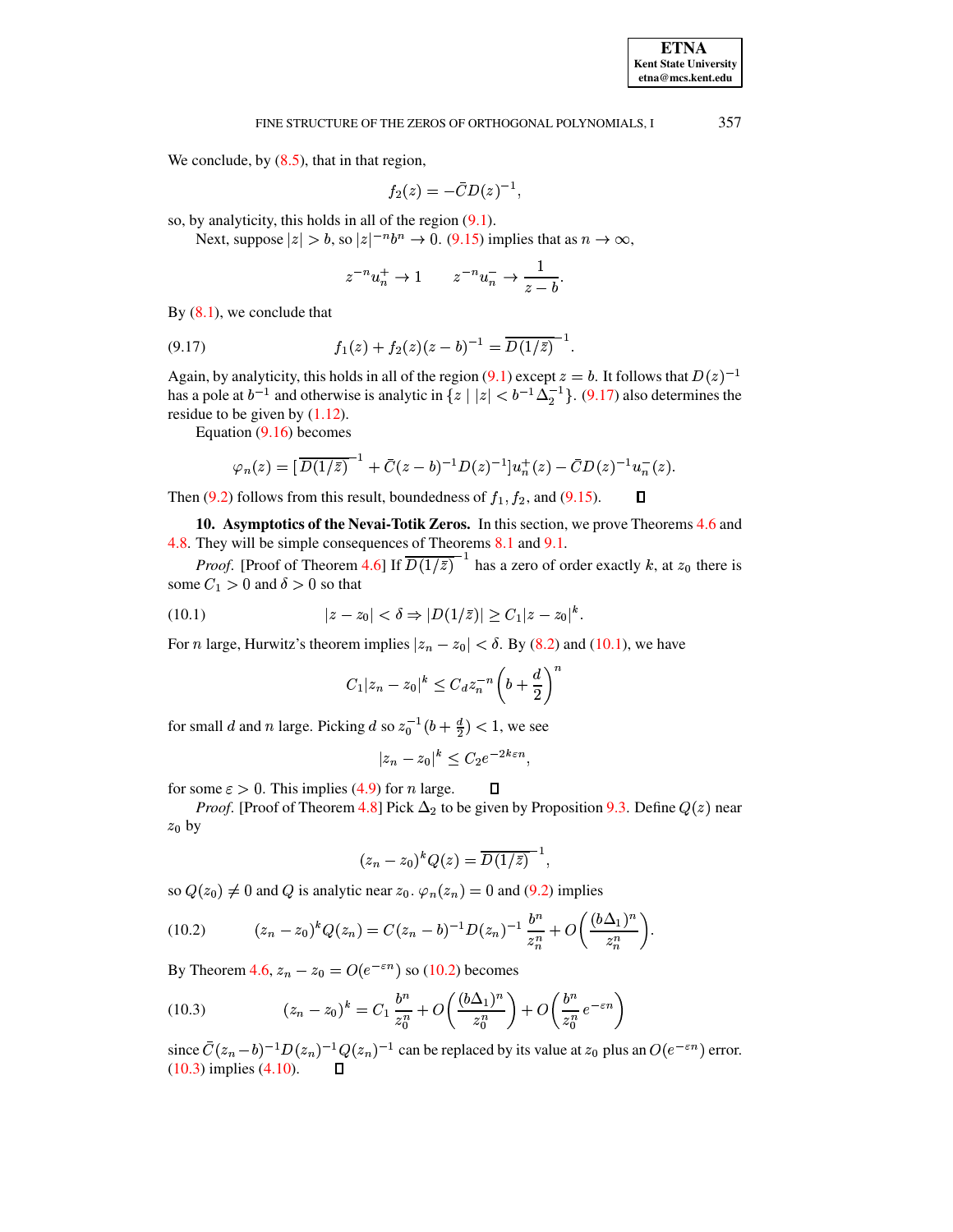We conclude, by  $(8.5)$ , that in that region,

$$
f_2(z)=-\bar{C}D(z)^{-1},
$$

so, by analyticity, this holds in all of the region  $(9.1)$ .

Next, suppose  $|z| > b$ , so  $|z|^{-n}b^n \to 0$ . (9.15) implies that as  $n \to \infty$ ,

$$
z^{-n}u_n^+ \to 1 \qquad z^{-n}u_n^- \to \frac{1}{z-b}.
$$

<span id="page-29-0"></span>By  $(8.1)$ , we conclude that

(9.17) 
$$
f_1(z) + f_2(z)(z - b)^{-1} = \overline{D(1/\bar{z})}^{-1}
$$

Again, by analyticity, this holds in all of the region (9.1) except  $z = b$ . It follows that  $D(z)^{-1}$ has a pole at  $b^{-1}$  and otherwise is analytic in  $\{z \mid |z| < b^{-1}\Delta_2^{-1}\}\$ . (9.17) also determines the residue to be given by  $(1.12)$ .

Equation  $(9.16)$  becomes

$$
\varphi_n(z) = \left[ \overline{D(1/\bar{z})}^{-1} + \overline{C}(z-b)^{-1} D(z)^{-1} \right] u_n^+(z) - \overline{C} D(z)^{-1} u_n^-(z).
$$

Then (9.2) follows from this result, boundedness of  $f_1$ ,  $f_2$ , and (9.15). Д

10. Asymptotics of the Nevai-Totik Zeros. In this section, we prove Theorems 4.6 and 4.8. They will be simple consequences of Theorems 8.1 and 9.1.

<span id="page-29-1"></span>*Proof.* [Proof of Theorem 4.6] If  $\overline{D(1/\overline{z})}^{-1}$  has a zero of order exactly k, at  $z_0$  there is some  $C_1 > 0$  and  $\delta > 0$  so that

(10.1) 
$$
|z - z_0| < \delta \Rightarrow |D(1/\bar{z})| \ge C_1 |z - z_0|^k.
$$

For *n* large, Hurwitz's theorem implies  $|z_n - z_0| < \delta$ . By (8.2) and (10.1), we have

$$
C_1|z_n-z_0|^k \le C_d z_n^{-n} \left(b+\frac{d}{2}\right)^i
$$

for small d and n large. Picking d so  $z_0^{-1}(b + \frac{d}{2}) < 1$ , we see

$$
|z_n - z_0|^k \le C_2 e^{-2k\varepsilon n}
$$

for some  $\varepsilon > 0$ . This implies (4.9) for *n* large.

*Proof.* [Proof of Theorem 4.8] Pick  $\Delta_2$  to be given by Proposition 9.3. Define  $Q(z)$  near  $z_0$  by

<span id="page-29-2"></span> $\Box$ 

<span id="page-29-3"></span>
$$
(z_n-z_0)^k Q(z) = \overline{D(1/\bar{z})}^{-1},
$$

so  $Q(z_0) \neq 0$  and Q is analytic near  $z_0$ .  $\varphi_n(z_n) = 0$  and (9.2) implies

(10.2) 
$$
(z_n - z_0)^k Q(z_n) = C(z_n - b)^{-1} D(z_n)^{-1} \frac{b^n}{z_n^n} + O\left(\frac{(b\Delta_1)^n}{z_n^n}\right).
$$

By Theorem 4.6,  $z_n - z_0 = O(e^{-\varepsilon n})$  so (10.2) becomes

(10.3) 
$$
(z_n - z_0)^k = C_1 \frac{b^n}{z_0^n} + O\left(\frac{(b\Delta_1)^n}{z_0^n}\right) + O\left(\frac{b^n}{z_0^n}e^{-\varepsilon n}\right)
$$

since  $\bar{C}(z_n - b)^{-1}D(z_n)^{-1}Q(z_n)^{-1}$  can be replaced by its value at  $z_0$  plus an  $O(e^{-\varepsilon n})$  error.<br>(10.3) implies (4.10).  $\square$ 

357

**ETNA Kent State University**  $etna@mcs. kent.edu$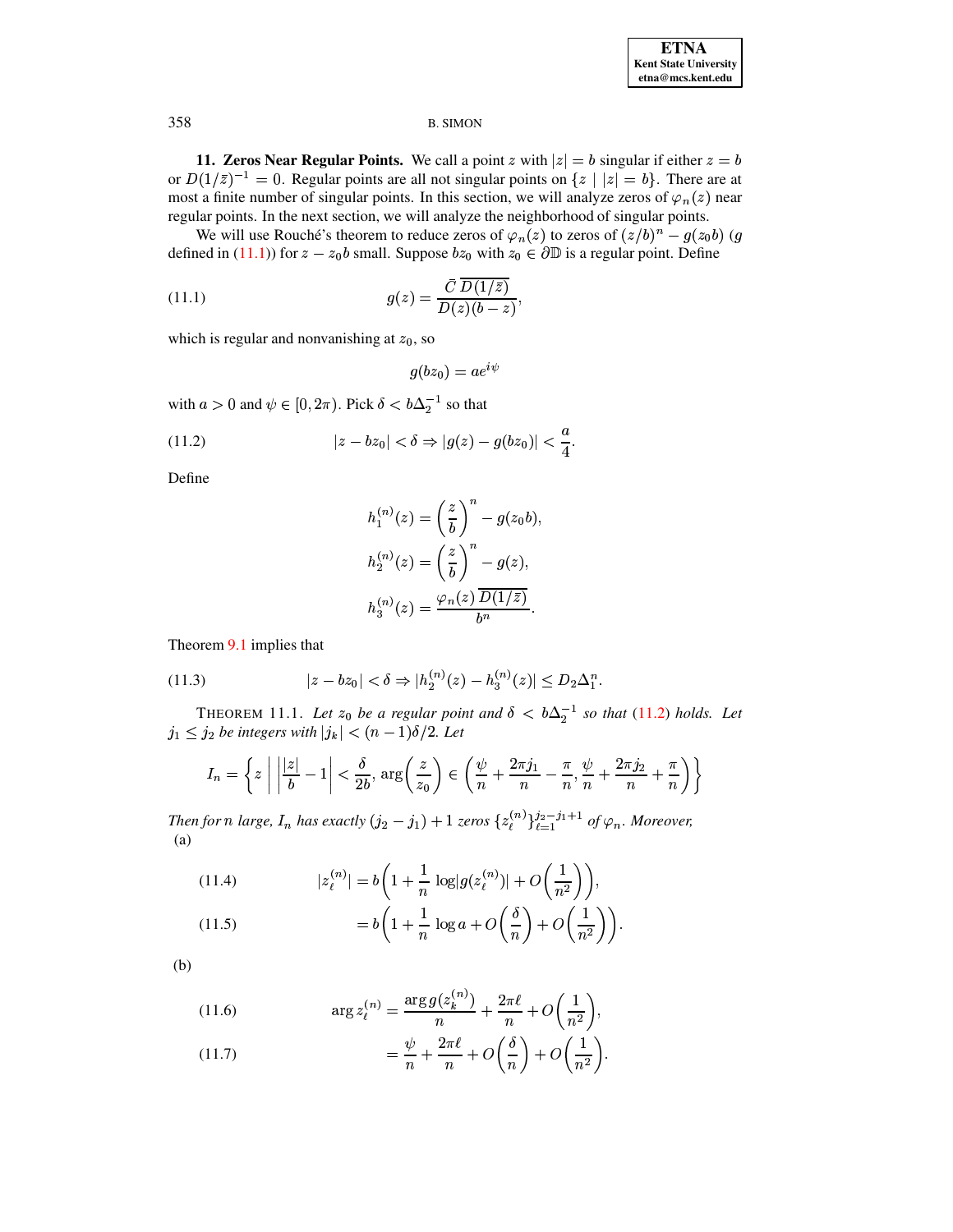**11. Zeros Near Regular Points.** We call a point z with  $|z| = b$  singular if either  $z = b$ or  $D(1/\overline{z})^{-1} = 0$ . Regular points are all not singular points on  $\{z \mid |z| = b\}$ . There are at most a finite number of singular points. In this section, we will analyze zeros of  $\varphi_n(z)$  near regular points. In the next section, we will analyze the neighborhood of singular points.

We will use Rouché's theorem to reduce zeros of  $\varphi_n(z)$  to zeros of  $(z/b)^n - g(z_0 b)$  (g defined in (11.1)) for  $z - z_0b$  small. Suppose  $bz_0$  with  $z_0 \in \partial \mathbb{D}$  is a regular point. Define

(11.1) 
$$
g(z) = \frac{\overline{C}\,\overline{D(1/\overline{z})}}{D(z)(b-z)}
$$

which is regular and nonvanishing at  $z_0$ , so

<span id="page-30-1"></span><span id="page-30-0"></span>
$$
g(bz_0) = ae^{i\psi}
$$

with  $a > 0$  and  $\psi \in [0, 2\pi)$ . Pick  $\delta < b\Delta_2^{-1}$  so that

(11.2) 
$$
|z - bz_0| < \delta \Rightarrow |g(z) - g(bz_0)| < \frac{a}{4}.
$$

Define

$$
h_1^{(n)}(z) = \left(\frac{z}{b}\right)^n - g(z_0b),
$$
  
\n
$$
h_2^{(n)}(z) = \left(\frac{z}{b}\right)^n - g(z),
$$
  
\n
$$
h_3^{(n)}(z) = \frac{\varphi_n(z) \overline{D(1/\bar{z})}}{b^n}.
$$

<span id="page-30-4"></span>Theorem 9.1 implies that

(11.3) 
$$
|z - bz_0| < \delta \Rightarrow |h_2^{(n)}(z) - h_3^{(n)}(z)| \le D_2 \Delta_1^n.
$$

<span id="page-30-7"></span>THEOREM 11.1. Let  $z_0$  be a regular point and  $\delta < b\Delta_2^{-1}$  so that (11.2) holds. Let  $j_1 \leq j_2$  be integers with  $|j_k| < (n-1)\delta/2$ . Let

$$
I_n = \left\{ z \mid \left| \frac{|z|}{b} - 1 \right| < \frac{\delta}{2b}, \arg\left(\frac{z}{z_0}\right) \in \left( \frac{\psi}{n} + \frac{2\pi j_1}{n} - \frac{\pi}{n}, \frac{\psi}{n} + \frac{2\pi j_2}{n} + \frac{\pi}{n} \right) \right\}
$$

<span id="page-30-5"></span>Then for n large,  $I_n$  has exactly  $(j_2 - j_1) + 1$  zeros  $\{z_{\ell}^{(n)}\}_{\ell=1}^{j_2 - j_1 + 1}$  of  $\varphi_n$ . Moreover,  $(a)$ 

(11.4) 
$$
|z_{\ell}^{(n)}| = b \left( 1 + \frac{1}{n} \log |g(z_{\ell}^{(n)})| + O\left(\frac{1}{n^2}\right) \right),
$$

(11.5) 
$$
= b \left( 1 + \frac{1}{n} \log a + O\left(\frac{b}{n}\right) + O\left(\frac{1}{n^2}\right) \right).
$$

<span id="page-30-6"></span><span id="page-30-2"></span> $(b)$ 

(11.6) 
$$
\arg z_{\ell}^{(n)} = \frac{\arg g(z_{k}^{(n)})}{n} + \frac{2\pi\ell}{n} + O\bigg(\frac{1}{n^2}\bigg),
$$

<span id="page-30-3"></span>(11.7) 
$$
= \frac{\psi}{n} + \frac{2\pi\ell}{n} + O\left(\frac{\delta}{n}\right) + O\left(\frac{1}{n^2}\right).
$$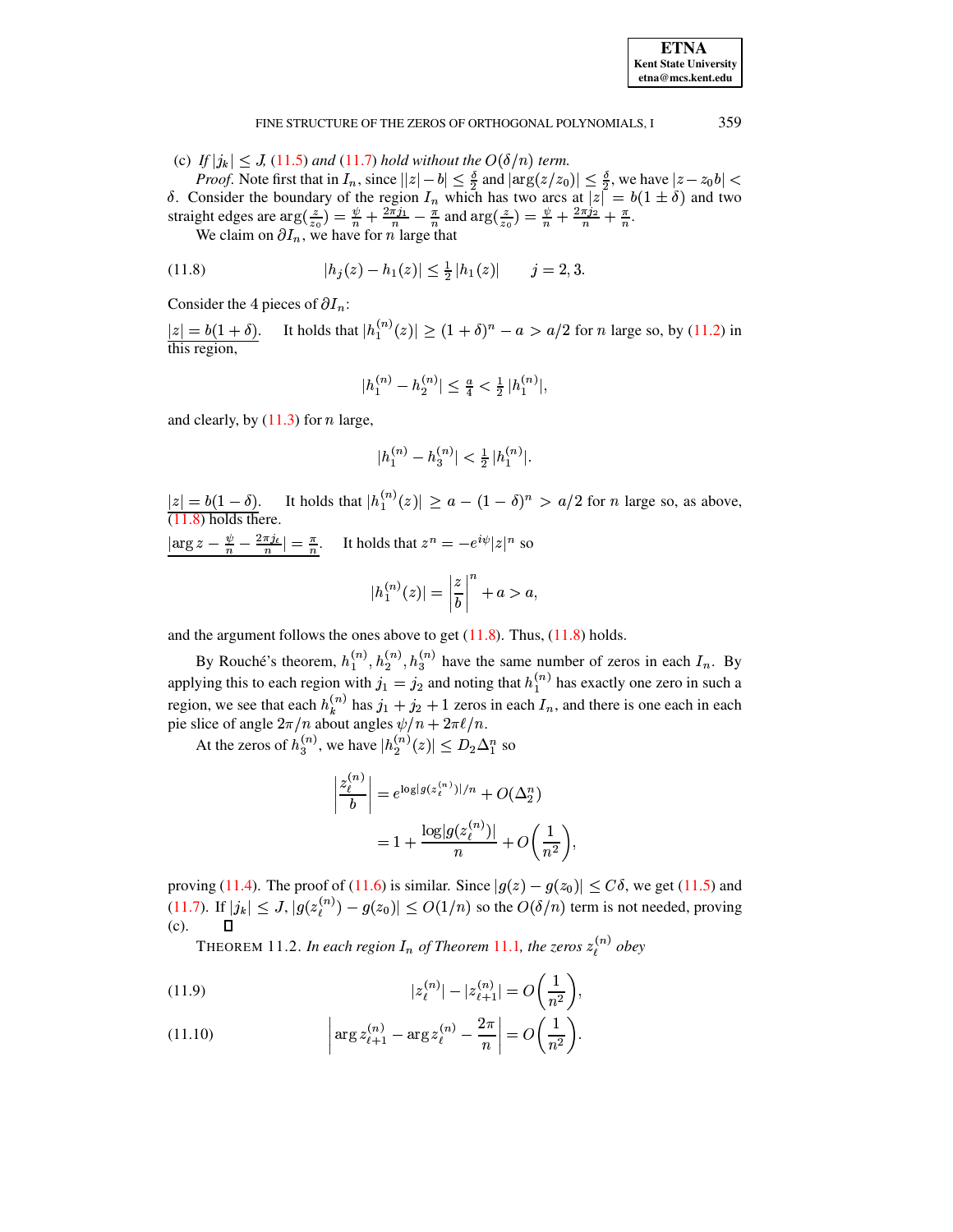#### <span id="page-31-0"></span>359 FINE STRUCTURE OF THE ZEROS OF ORTHOGONAL POLYNOMIALS, I

(c) If  $|j_k| \leq J$ , (11.5) and (11.7) hold without the  $O(\delta/n)$  term.

*Proof.* Note first that in  $I_n$ , since  $||z| - b| \le \frac{\delta}{2}$  and  $|\arg(z/z_0)| \le \frac{\delta}{2}$ , we have  $|z - z_0b| < \delta$ . Consider the boundary of the region  $I_n$  which has two arcs at  $|z| = b(1 \pm \delta)$  and two straight edges are  $\arg(\frac{z}{z_0$ 

(11.8) 
$$
|h_j(z) - h_1(z)| \leq \frac{1}{2} |h_1(z)| \quad j = 2, 3.
$$

Consider the 4 pieces of  $\partial I_n$ :

It holds that  $|h_1^{(n)}(z)| \ge (1 + \delta)^n - a > a/2$  for *n* large so, by (11.2) in  $|z| = b(1 + \delta).$ <br>this region,

$$
|h_1^{(n)} - h_2^{(n)}| \le \frac{a}{4} < \frac{1}{2} |h_1^{(n)}|
$$

and clearly, by  $(11.3)$  for *n* large,

$$
|h_1^{(n)} - h_3^{(n)}| < \frac{1}{2} |h_1^{(n)}|.
$$

 $|z| = b(1 - \delta)$ . It holds that  $|h_1^{(n)}(z)| \ge a - (1 - \delta)^n > a/2$  for *n* large so, as above, (11.8) holds there.

 $\left|\arg z - \frac{\psi}{n} - \frac{2\pi i}{n}\right| = \frac{\pi}{n}$ . It holds that  $z^n = -e^{i\psi}|z|^n$  so  $|h_1^{(n)}(z)| = \left|\frac{z}{b}\right|^n + a > a,$ 

and the argument follows the ones above to get  $(11.8)$ . Thus,  $(11.8)$  holds.

By Rouché's theorem,  $h_1^{(n)}$ ,  $h_2^{(n)}$ ,  $h_3^{(n)}$  have the same number of zeros in each  $I_n$ . By applying this to each region with  $j_1 = j_2$  and noting that  $h_1^{(n)}$  has exactly one zero in such a region, we see that each  $h_k^{(n)}$  has  $j_1 + j_2 + 1$  zeros in each  $I_n$ , and there is one each in each pie slice of angle  $2\pi/n$  about angles  $\psi/n + 2\pi\ell/n$ .

At the zeros of  $h_3^{(n)}$ , we have  $|h_2^{(n)}(z)| \le D_2 \Delta_1^n$  so

$$
\left|\frac{z_{\ell}^{(n)}}{b}\right| = e^{\log|g(z_{\ell}^{(n)})|/n} + O(\Delta_2^n)
$$

$$
= 1 + \frac{\log|g(z_{\ell}^{(n)})|}{n} + O\left(\frac{1}{n^2}\right)
$$

proving (11.4). The proof of (11.6) is similar. Since  $|g(z) - g(z_0)| < C\delta$ , we get (11.5) and (11.7). If  $|j_k| \leq J$ ,  $|g(z_i^{(n)}) - g(z_0)| \leq O(1/n)$  so the  $O(\delta/n)$  term is not needed, proving  $\Box$  $(c).$ 

THEOREM 11.2. In each region  $I_n$  of Theorem 11.1, the zeros  $z_i^{(n)}$  obey

<span id="page-31-1"></span>(11.9) 
$$
|z_{\ell}^{(n)}| - |z_{\ell+1}^{(n)}| = O\left(\frac{1}{n^2}\right),
$$

<span id="page-31-2"></span>(11.10) 
$$
\left| \arg z_{\ell+1}^{(n)} - \arg z_{\ell}^{(n)} - \frac{2\pi}{n} \right| = O\left(\frac{1}{n^2}\right).
$$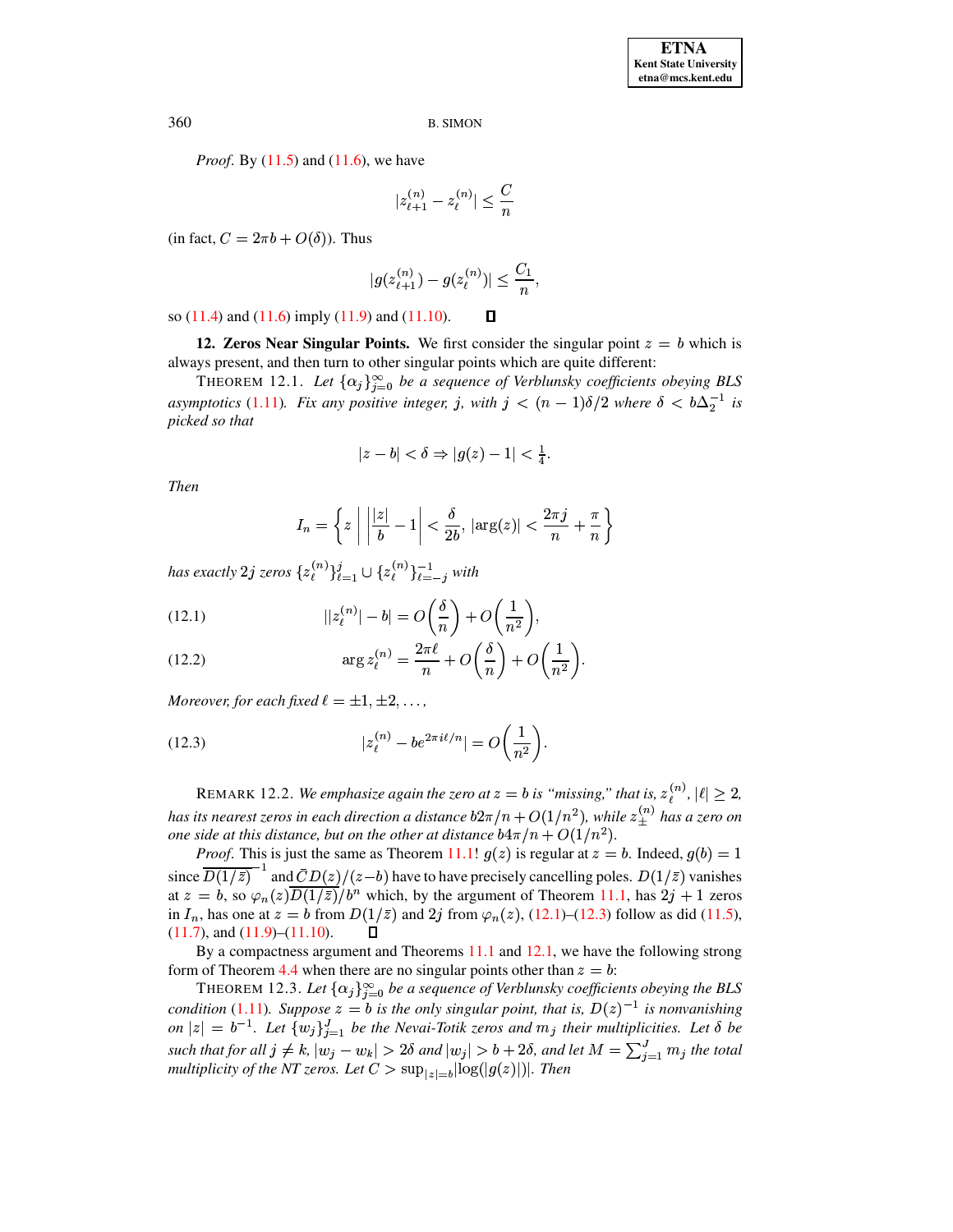*Proof.* By  $(11.5)$  and  $(11.6)$ , we have

$$
|z_{\ell+1}^{(n)} - z_{\ell}^{(n)}| \le \frac{C}{n}
$$

(in fact,  $C = 2\pi b + O(\delta)$ ). Thus

$$
|g(z_{\ell+1}^{(n)}) - g(z_{\ell}^{(n)})| \le \frac{C_1}{n},
$$

 $\Box$ 

so  $(11.4)$  and  $(11.6)$  imply  $(11.9)$  and  $(11.10)$ .

**12. Zeros Near Singular Points.** We first consider the singular point  $z = b$  which is always present, and then turn to other singular points which are quite different:

<span id="page-32-2"></span>THEOREM 12.1. Let  $\{\alpha_j\}_{i=0}^{\infty}$  be a sequence of Verblunsky coefficients obeying BLS asymptotics (1.11). Fix any positive integer, j, with  $j < (n-1)\delta/2$  where  $\delta < b\Delta_2^{-1}$  is picked so that

$$
|z - b| < \delta \Rightarrow |g(z) - 1| < \frac{1}{4}
$$

**Then** 

$$
I_n = \left\{ z \mid \left| \frac{|z|}{b} - 1 \right| < \frac{\delta}{2b}, \, |\arg(z)| < \frac{2\pi j}{n} + \frac{\pi}{n} \right\}
$$

has exactly 2j zeros  $\{z_{\ell}^{(n)}\}_{\ell=1}^{j} \cup \{z_{\ell}^{(n)}\}_{\ell=-i}^{-1}$  with

<span id="page-32-0"></span>(12.1) 
$$
||z_{\ell}^{(n)}| - b| = O\left(\frac{\delta}{n}\right) + O\left(\frac{1}{n^2}\right),
$$

(12.2) 
$$
\arg z_{\ell}^{(n)} = \frac{2\pi\ell}{n} + O\left(\frac{\delta}{n}\right) + O\left(\frac{1}{n^2}\right)
$$

<span id="page-32-1"></span>Moreover, for each fixed  $\ell = \pm 1, \pm 2, \ldots$ ,

(12.3) 
$$
|z_{\ell}^{(n)} - be^{2\pi i\ell/n}| = O\left(\frac{1}{n^2}\right).
$$

REMARK 12.2. We emphasize again the zero at  $z = b$  is "missing," that is,  $z_i^{(n)}$ ,  $|\ell| \ge 2$ , has its nearest zeros in each direction a distance  $b2\pi/n + O(1/n^2)$ , while  $z_{+}^{(n)}$  has a zero on one side at this distance, but on the other at distance  $b4\pi/n + O(1/n^2)$ .

*Proof.* This is just the same as Theorem 11.1!  $g(z)$  is regular at  $z = b$ . Indeed,  $g(b) = 1$ since  $\overline{D(1/\bar{z})}^{-1}$  and  $\overline{C}D(z)/(z-b)$  have to have precisely cancelling poles.  $D(1/\bar{z})$  vanishes at  $z = b$ , so  $\varphi_n(z) \overline{D(1/\overline{z})}/b^n$  which, by the argument of Theorem 11.1, has  $2j + 1$  zeros in  $I_n$ , has one at  $z = b$  from  $D(1/\overline{z})$  and  $2j$  from  $\varphi_n(z)$ , (12.1)–(12.3) follow as did (11.5),  $(11.7)$ , and  $(11.9)$ – $(11.10)$ .  $\Box$ 

By a compactness argument and Theorems  $11.1$  and  $12.1$ , we have the following strong form of Theorem 4.4 when there are no singular points other than  $z = b$ :

THEOREM 12.3. Let  $\{\alpha_j\}_{j=0}^{\infty}$  be a sequence of Verblunsky coefficients obeying the BLS condition (1.11). Suppose  $z = b$  is the only singular point, that is,  $D(z)^{-1}$  is nonvanishing on  $|z| = b^{-1}$ . Let  $\{w_j\}_{j=1}^J$  be the Nevai-Totik zeros and  $m_j$  their multiplicities. Let  $\delta$  be such that for all  $j \neq k$ ,  $|w_j - w_k| > 2\delta$  and  $|w_j| > b + 2\delta$ , and let  $M = \sum_{i=1}^J m_i$  the total multiplicity of the NT zeros. Let  $C > \sup_{|z|=b} |\log(|g(z)|)|$ . Then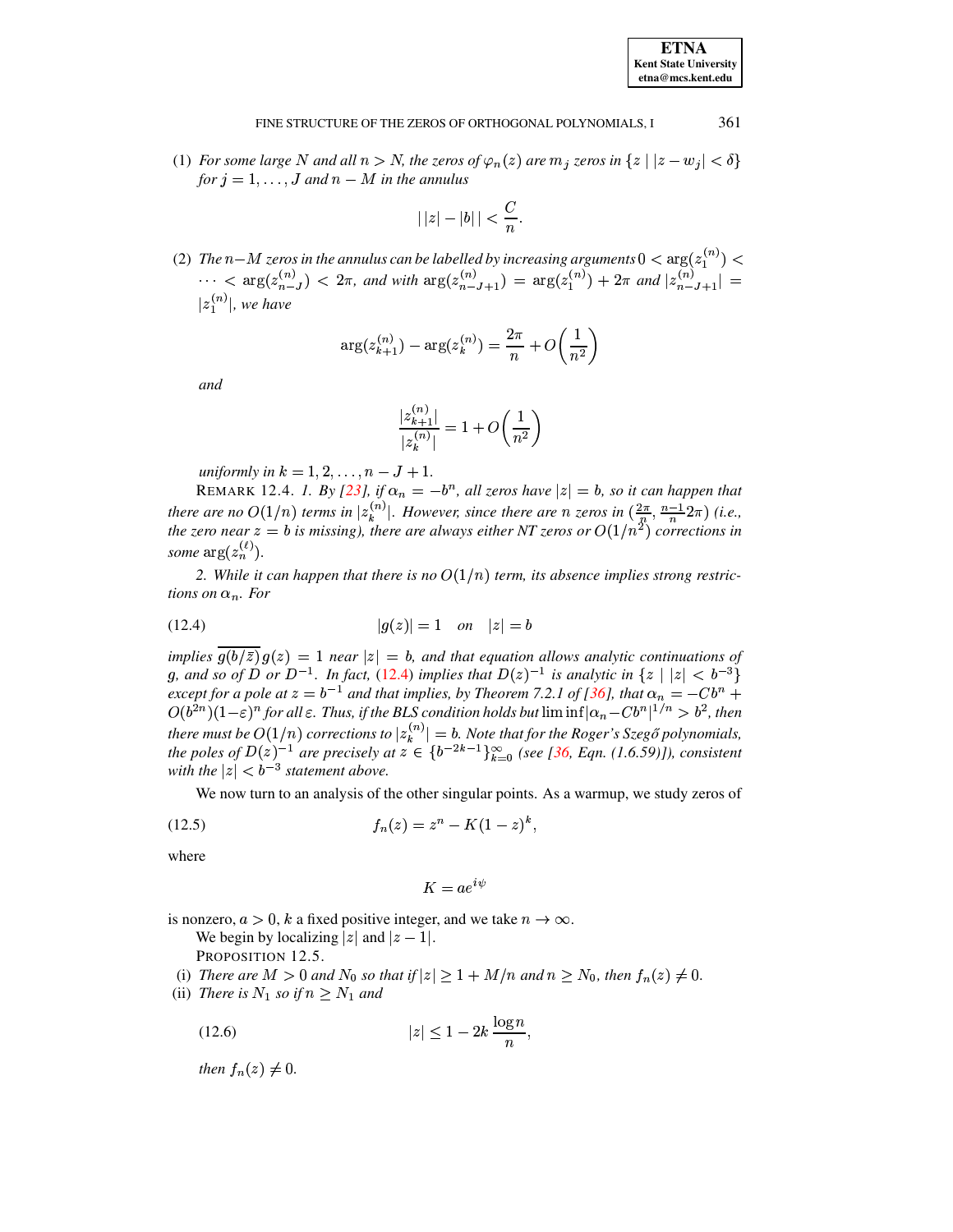#### 361 FINE STRUCTURE OF THE ZEROS OF ORTHOGONAL POLYNOMIALS, I

(1) For some large N and all  $n > N$ , the zeros of  $\varphi_n(z)$  are  $m_j$  zeros in  $\{z \mid |z - w_j| < \delta\}$ for  $j = 1, ..., J$  and  $n - M$  in the annulus

$$
|||z|-|b||<\frac{C}{n}
$$

(2) The n-M zeros in the annulus can be labelled by increasing arguments  $0 < \arg(z_1^{(n)}) <$  $\cdots$  < arg $(z_{n-J}^{(n)})$  <  $2\pi$ , and with  $\arg(z_{n-J+1}^{(n)}) = \arg(z_1^{(n)}) + 2\pi$  and  $|z_{n-J+1}^{(n)}| =$  $|z_1^{(n)}|$ , we have

$$
\arg(z_{k+1}^{(n)}) - \arg(z_k^{(n)}) = \frac{2\pi}{n} + O\left(\frac{1}{n^2}\right)
$$

and

$$
\frac{|z^{(n)}_{k+1}|}{|z^{(n)}_k|}=1+O\bigg(\frac{1}{n^2}\bigg)
$$

uniformly in  $k = 1, 2, ..., n - J + 1$ .

REMARK 12.4. 1. By [23], if  $\alpha_n = -b^n$ , all zeros have  $|z| = b$ , so it can happen that there are no  $O(1/n)$  terms in  $|z_k^{(n)}|$ . However, since there are n zeros in  $(\frac{2\pi}{n}, \frac{n-1}{n}2\pi)$  (i.e., the zero near  $z = b$  is missing), there are always either NT zeros or  $O(1/n^2)$  corrections in some  $\arg(z_n^{(\ell)})$ .

<span id="page-33-0"></span>2. While it can happen that there is no  $O(1/n)$  term, its absence implies strong restrictions on  $\alpha_n$ . For

(12.4) 
$$
|g(z)| = 1
$$
 on  $|z| = b$ 

implies  $\frac{\overline{g(b/\overline{z})}}{g(b/\overline{z})}g(z) = 1$  near  $|z| = b$ , and that equation allows analytic continuations of g, and so of D or  $D^{-1}$ . In fact, (12.4) implies that  $D(z)^{-1}$  is analytic in  $\{z \mid |z| < b^{-3}\}\$ except for a pole at  $z = b^{-1}$  and that implies, by Theorem 7.2.1 of [36], that  $\alpha_n = -Cb^n + O(b^{2n})(1-\varepsilon)^n$  for all  $\varepsilon$ . Thus, if the BLS condition holds but  $\liminf |\alpha_n - Cb^n|^{1/n} > b^2$ , then there must be  $O(1/n)$  corrections to  $|z_k^{(n)}| = b$ . Note that for the Roger's Szegő polynomials,<br>the poles of  $D(z)^{-1}$  are precisely at  $z \in \{b^{-2k-1}\}_{k=0}^{\infty}$  (see [36, Eqn. (1.6.59)]), consistent<br>with the  $|z| < b^{-3}$  sta

We now turn to an analysis of the other singular points. As a warmup, we study zeros of

(12.5) 
$$
f_n(z) = z^n - K(1-z)^k,
$$

where

<span id="page-33-2"></span>
$$
K=ae^{i\psi}
$$

<span id="page-33-3"></span>is nonzero,  $a > 0$ , k a fixed positive integer, and we take  $n \to \infty$ .

We begin by localizing |z| and  $|z - 1|$ .

<span id="page-33-1"></span>PROPOSITION 12.5.

(i) There are  $M > 0$  and  $N_0$  so that if  $|z| \geq 1 + M/n$  and  $n \geq N_0$ , then  $f_n(z) \neq 0$ .

 $\ddot{\phantom{a}}$ 

(ii) There is  $N_1$  so if  $n \geq N_1$  and

$$
(12.6) \t\t |z| \le 1 - 2k \frac{\log n}{n},
$$

then  $f_n(z) \neq 0$ .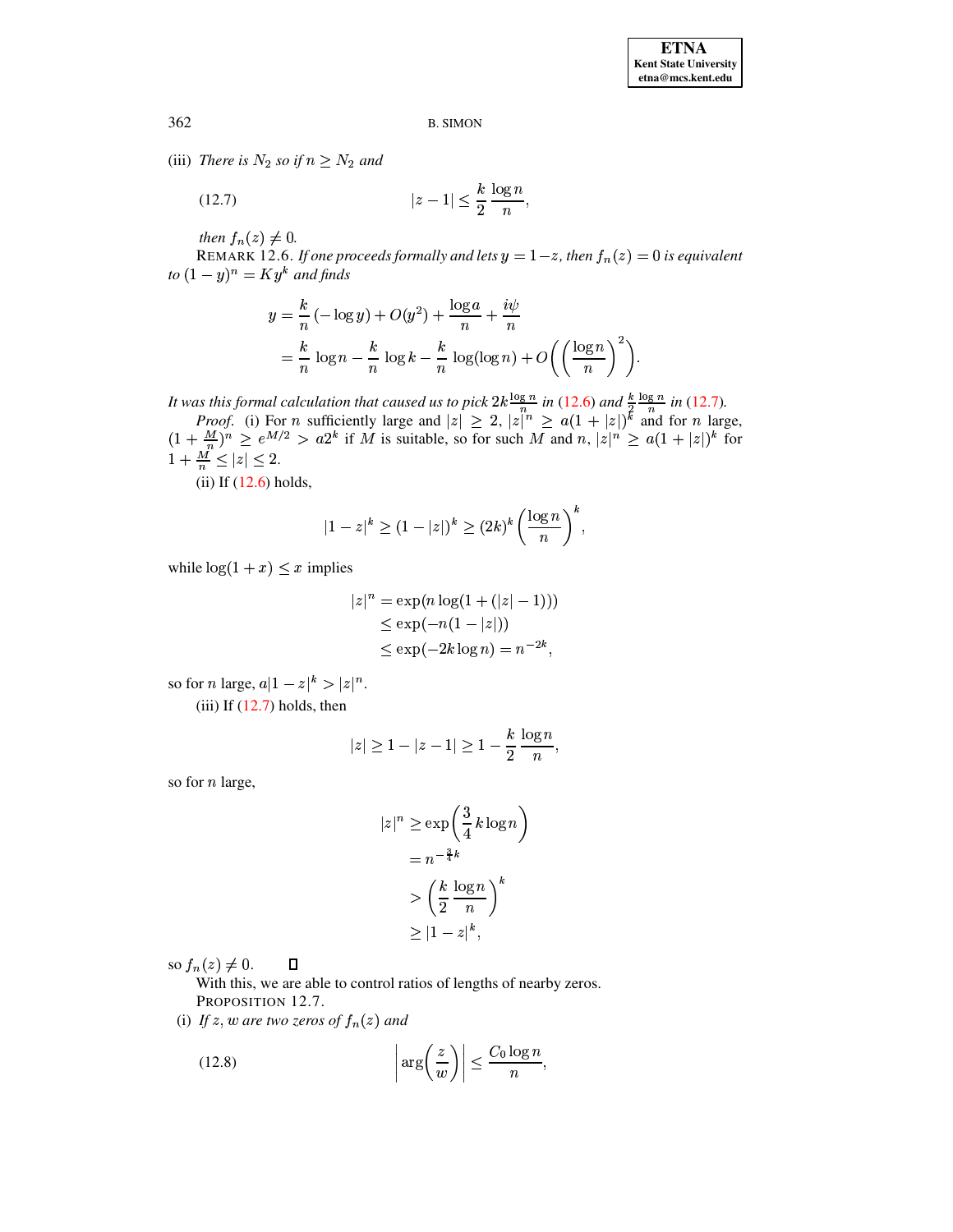(iii) There is  $N_2$  so if  $n \geq N_2$  and

<span id="page-34-0"></span>
$$
(12.7) \qquad \qquad |z-1| \le \frac{k}{2} \frac{\log n}{n}.
$$

then  $f_n(z) \neq 0$ .

REMARK 12.6. If one proceeds formally and lets  $y = 1-z$ , then  $f_n(z) = 0$  is equivalent to  $(1-y)^n = Ky^k$  and finds

$$
y = \frac{k}{n} \left( -\log y \right) + O(y^2) + \frac{\log a}{n} + \frac{i\psi}{n}
$$
  
=  $\frac{k}{n} \log n - \frac{k}{n} \log k - \frac{k}{n} \log(\log n) + O\left(\left(\frac{\log n}{n}\right)^2\right).$ 

It was this formal calculation that caused us to pick  $2k \frac{\log n}{n}$  in (12.6) and  $\frac{k}{2} \frac{\log n}{n}$  in (12.7).<br>Proof. (i) For n sufficiently large and  $|z| \ge 2$ ,  $|z|^n \ge a(1 + |z|)^k$  and for n large,<br> $(1 + \frac{M}{n})^n \ge e^{M/2} > a2^k$  $1 + \frac{M'}{n} \leq |z| \leq 2.$ 

 $(ii)$  If  $(12.6)$  holds,

$$
|1-z|^k \ge (1-|z|)^k \ge (2k)^k \left(\frac{\log n}{n}\right)^k,
$$

while  $log(1 + x) \leq x$  implies

$$
|z|^n = \exp(n \log(1 + (|z| - 1)))
$$
  
\n
$$
\le \exp(-n(1 - |z|))
$$
  
\n
$$
\le \exp(-2k \log n) = n^{-2k},
$$

so for *n* large,  $a|1-z|^k > |z|^n$ .

(iii) If  $(12.7)$  holds, then

$$
|z| \ge 1 - |z - 1| \ge 1 - \frac{k}{2} \frac{\log n}{n}
$$

so for *n* large,

$$
|z|^n \ge \exp\left(\frac{3}{4}k\log n\right)
$$

$$
= n^{-\frac{3}{4}k}
$$

$$
> \left(\frac{k}{2}\frac{\log n}{n}\right)^k
$$

$$
> |1-z|^k,
$$

so  $f_n(z) \neq 0$ .  $\Box$ 

With this, we are able to control ratios of lengths of nearby zeros. PROPOSITION 12.7.

(i) If z, w are two zeros of  $f_n(z)$  and

<span id="page-34-1"></span>(12.8) 
$$
\left| \arg \left( \frac{z}{w} \right) \right| \leq \frac{C_0 \log n}{n},
$$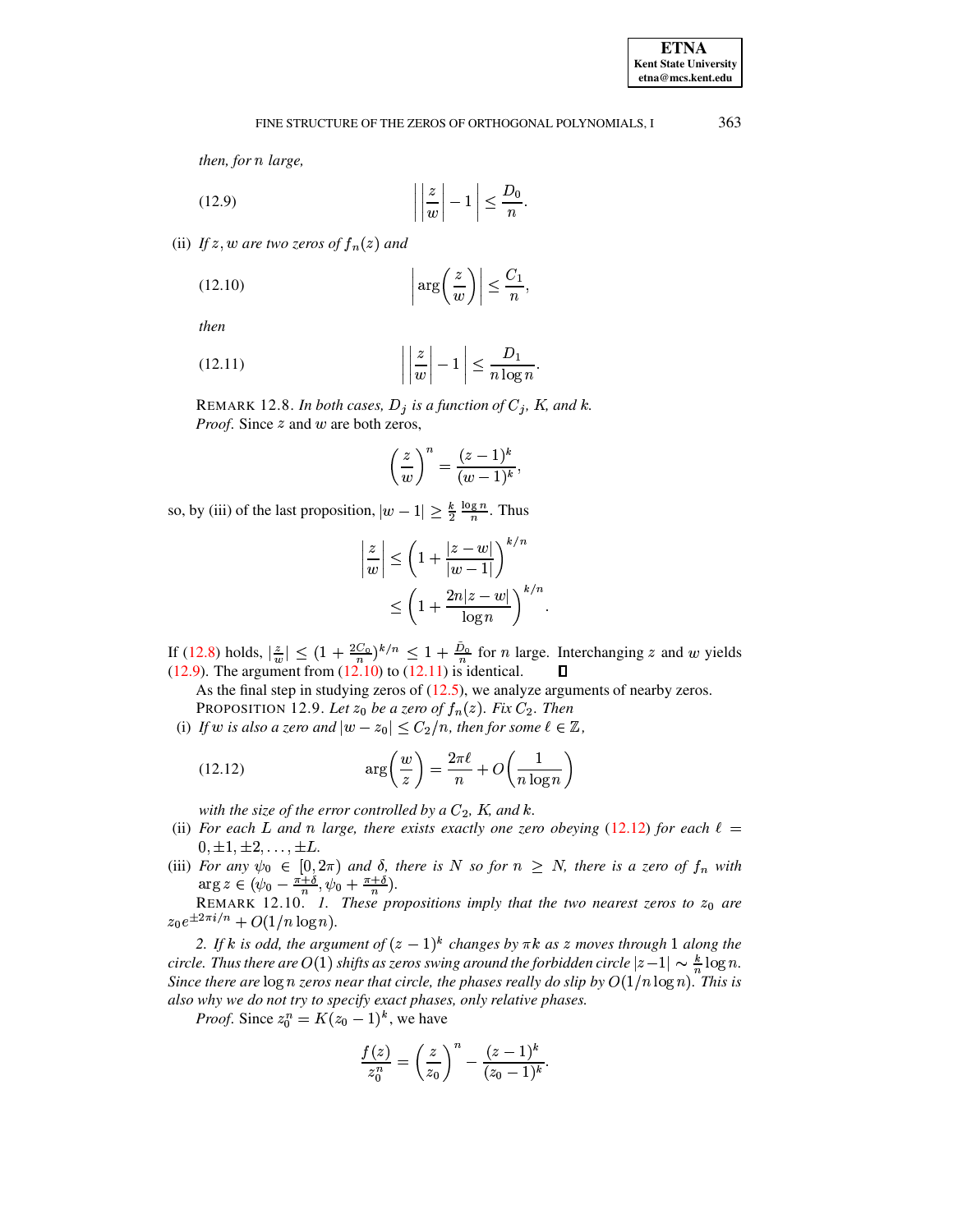# FINE STRUCTURE OF THE ZEROS OF ORTHOGONAL POLYNOMIALS, I

<span id="page-35-0"></span>then, for n large,

$$
(12.9) \qquad \left| \left| \frac{z}{w} \right| - 1 \right| \le \frac{D_0}{n}
$$

(ii) If z, w are two zeros of  $f_n(z)$  and

<span id="page-35-1"></span>
$$
(12.10)\quad \left|\arg\left(\frac{z}{w}\right)\right| \le \frac{C_1}{n},
$$

<span id="page-35-2"></span>then

$$
(12.11) \qquad \left| \left| \frac{z}{w} \right| - 1 \right| \le \frac{D_1}{n \log n}.
$$

REMARK 12.8. In both cases,  $D_j$  is a function of  $C_j$ , K, and k. *Proof.* Since  $z$  and  $w$  are both zeros,

$$
\left(\frac{z}{w}\right)^n = \frac{(z-1)^k}{(w-1)^k},
$$

so, by (iii) of the last proposition,  $|w - 1| \ge \frac{k}{2} \frac{\log n}{n}$ . Thus

<span id="page-35-3"></span>
$$
\frac{z}{w} \Big| \le \left(1 + \frac{|z - w|}{|w - 1|}\right)^{k/n}
$$
  

$$
\le \left(1 + \frac{2n|z - w|}{\log n}\right)^{k/n}.
$$

If (12.8) holds,  $|\frac{z}{w}| \leq (1 + \frac{2C_0}{n})^{k/n} \leq 1 + \frac{\tilde{D}_0}{n}$  for *n* large. Interchanging *z* and *w* yields (12.9). The argument from (12.10) to (12.11) is identical.  $\Box$ 

As the final step in studying zeros of  $(12.5)$ , we analyze arguments of nearby zeros. PROPOSITION 12.9. Let  $z_0$  be a zero of  $f_n(z)$ . Fix  $C_2$ . Then

(i) If w is also a zero and  $|w - z_0| \le C_2/n$ , then for some  $\ell \in \mathbb{Z}$ ,

(12.12) 
$$
\arg\left(\frac{w}{z}\right) = \frac{2\pi\ell}{n} + O\left(\frac{1}{n\log n}\right)
$$

with the size of the error controlled by a  $C_2$ , K, and k.

- (ii) For each L and n large, there exists exactly one zero obeying (12.12) for each  $\ell =$  $0, \pm 1, \pm 2, \ldots, \pm L.$
- (iii) For any  $\psi_0 \in [0, 2\pi)$  and  $\delta$ , there is N so for  $n \geq N$ , there is a zero of  $f_n$  with  $\arg z \in (\psi_0 \frac{\pi + \delta}{n}, \psi_0 + \frac{\pi + \delta}{n}).$ <br>REMARK 12.10. *I. These propositions imply that the two nearest zeros to*  $z_0$  are

 $z_0e^{\pm 2\pi i/n} + O(1/n\log n).$ 

2. If k is odd, the argument of  $(z - 1)^k$  changes by  $\pi k$  as z moves through 1 along the circle. Thus there are  $O(1)$  shifts as zeros swing around the forbidden circle  $|z-1| \sim \frac{k}{n} \log n$ . Since there are  $\log n$  zeros near that circle, the phases really do slip by  $O(1/n \log n)$ . This is also why we do not try to specify exact phases, only relative phases.

*Proof.* Since  $z_0^n = K(z_0 - 1)^k$ , we have

$$
\frac{f(z)}{z_0^n} = \left(\frac{z}{z_0}\right)^n - \frac{(z-1)^k}{(z_0-1)^k}.
$$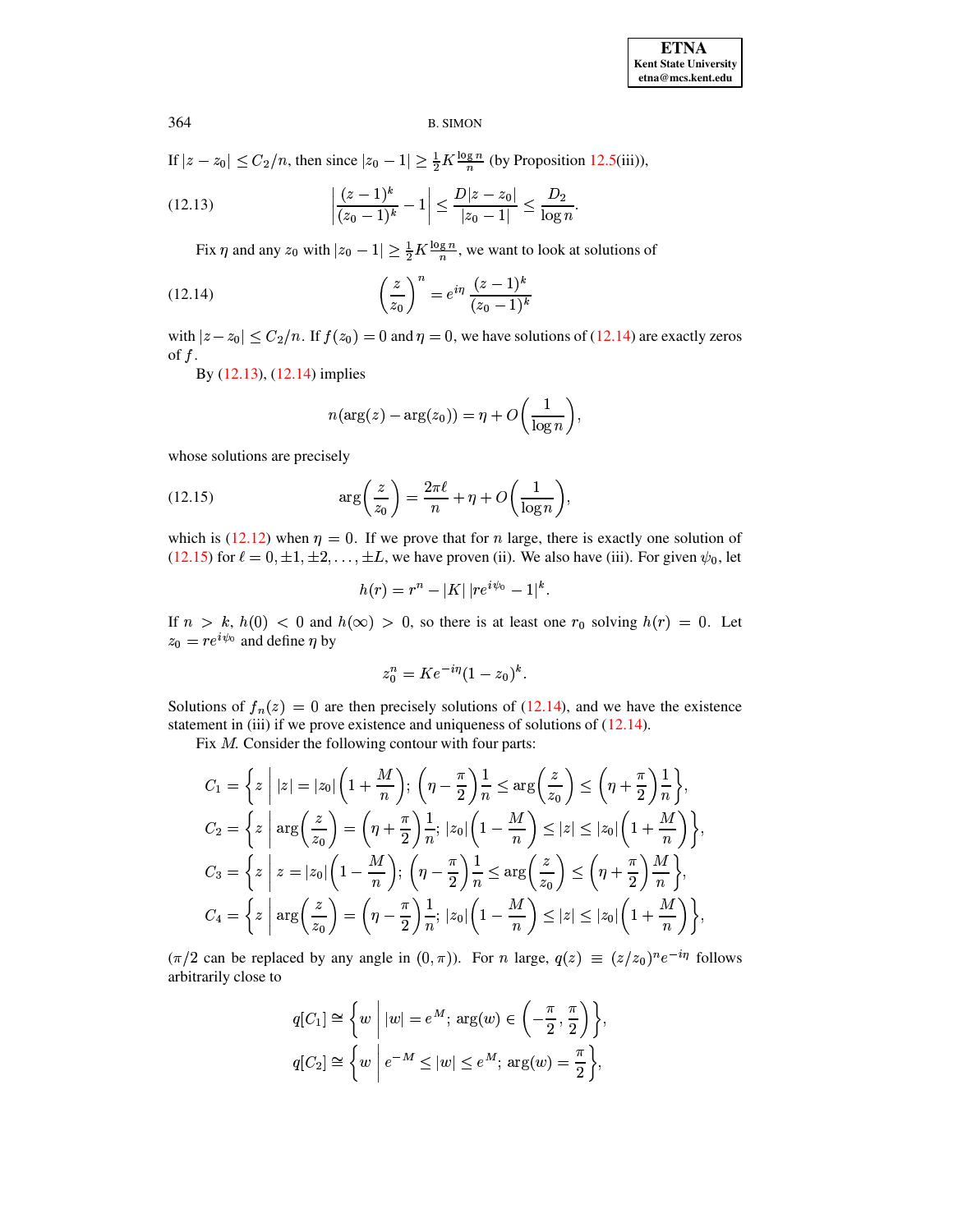If  $|z - z_0| \le C_2/n$ , then since  $|z_0 - 1| \ge \frac{1}{2}K \frac{\log n}{n}$  (by Proposition 12.5(iii)),

(12.13) 
$$
\left| \frac{(z-1)^k}{(z_0-1)^k} - 1 \right| \le \frac{D|z-z_0|}{|z_0-1|} \le \frac{D_2}{\log n}
$$

Fix  $\eta$  and any  $z_0$  with  $|z_0 - 1| \geq \frac{1}{2} K \frac{\log n}{n}$ , we want to look at solutions of

(12.14) 
$$
\left(\frac{z}{z_0}\right)^n = e^{i\eta} \frac{(z-1)^k}{(z_0-1)^k}
$$

with  $|z - z_0| \le C_2/n$ . If  $f(z_0) = 0$  and  $\eta = 0$ , we have solutions of (12.14) are exactly zeros of  $f$ .

By (12.13), (12.14) implies

<span id="page-36-1"></span><span id="page-36-0"></span>
$$
n(\arg(z) - \arg(z_0)) = \eta + O\left(\frac{1}{\log n}\right),\,
$$

<span id="page-36-2"></span>whose solutions are precisely

(12.15) 
$$
\arg\left(\frac{z}{z_0}\right) = \frac{2\pi\ell}{n} + \eta + O\left(\frac{1}{\log n}\right),
$$

which is (12.12) when  $\eta = 0$ . If we prove that for *n* large, there is exactly one solution of (12.15) for  $\ell = 0, \pm 1, \pm 2, \ldots, \pm L$ , we have proven (ii). We also have (iii). For given  $\psi_0$ , let

$$
h(r)=r^n-|K|\,|re^{i\psi_0}-1|^k.
$$

If  $n > k$ ,  $h(0) < 0$  and  $h(\infty) > 0$ , so there is at least one  $r_0$  solving  $h(r) = 0$ . Let  $z_0 = re^{i\psi_0}$  and define  $\eta$  by

$$
z_0^n = Ke^{-i\eta}(1-z_0)^k
$$

Solutions of  $f_n(z) = 0$  are then precisely solutions of (12.14), and we have the existence statement in (iii) if we prove existence and uniqueness of solutions of  $(12.14)$ .

Fix  $M$ . Consider the following contour with four parts:

$$
C_1 = \left\{ z \mid |z| = |z_0| \left( 1 + \frac{M}{n} \right); \left( \eta - \frac{\pi}{2} \right) \frac{1}{n} \le \arg \left( \frac{z}{z_0} \right) \le \left( \eta + \frac{\pi}{2} \right) \frac{1}{n} \right\},
$$
  
\n
$$
C_2 = \left\{ z \mid \arg \left( \frac{z}{z_0} \right) = \left( \eta + \frac{\pi}{2} \right) \frac{1}{n}; |z_0| \left( 1 - \frac{M}{n} \right) \le |z| \le |z_0| \left( 1 + \frac{M}{n} \right) \right\},
$$
  
\n
$$
C_3 = \left\{ z \mid z = |z_0| \left( 1 - \frac{M}{n} \right); \left( \eta - \frac{\pi}{2} \right) \frac{1}{n} \le \arg \left( \frac{z}{z_0} \right) \le \left( \eta + \frac{\pi}{2} \right) \frac{M}{n} \right\},
$$
  
\n
$$
C_4 = \left\{ z \mid \arg \left( \frac{z}{z_0} \right) = \left( \eta - \frac{\pi}{2} \right) \frac{1}{n}; |z_0| \left( 1 - \frac{M}{n} \right) \le |z| \le |z_0| \left( 1 + \frac{M}{n} \right) \right\},
$$

 $(\pi/2 \text{ can be replaced by any angle in } (0, \pi))$ . For *n* large,  $q(z) \equiv (z/z_0)^n e^{-i\eta}$  follows arbitrarily close to

$$
q[C_1] \cong \left\{ w \mid |w| = e^M; \arg(w) \in \left( -\frac{\pi}{2}, \frac{\pi}{2} \right) \right\},\
$$

$$
q[C_2] \cong \left\{ w \mid e^{-M} \le |w| \le e^M; \arg(w) = \frac{\pi}{2} \right\},\
$$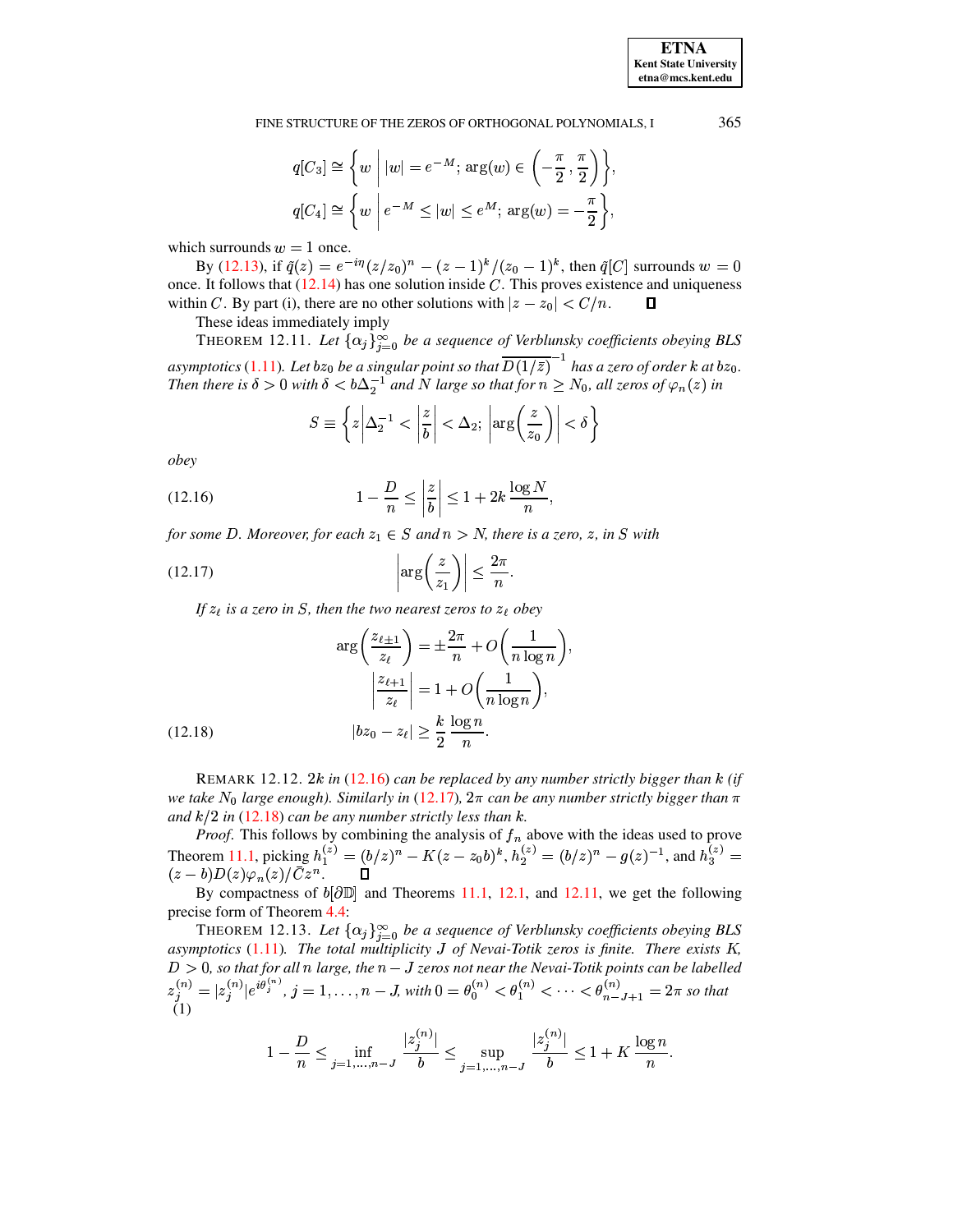**ETNA Kent State University**  $etna@mcs. kent.edu$ 

FINE STRUCTURE OF THE ZEROS OF ORTHOGONAL POLYNOMIALS, I

$$
q[C_3] \cong \left\{ w \mid |w| = e^{-M}; \arg(w) \in \left( -\frac{\pi}{2}, \frac{\pi}{2} \right) \right\},\
$$
  

$$
q[C_4] \cong \left\{ w \mid e^{-M} \le |w| \le e^M; \arg(w) = -\frac{\pi}{2} \right\},\
$$

which surrounds  $w = 1$  once.

By (12.13), if  $\tilde{q}(z) = e^{-i\eta} (z/z_0)^n - (z-1)^k / (z_0-1)^k$ , then  $\tilde{q}[C]$  surrounds  $w = 0$ once. It follows that  $(12.14)$  has one solution inside C. This proves existence and uniqueness within C. By part (i), there are no other solutions with  $|z - z_0| < C/n$ .  $\Box$ 

These ideas immediately imply

<span id="page-37-3"></span>THEOREM 12.11. Let  $\{\alpha_j\}_{j=0}^{\infty}$  be a sequence of Verblunsky coefficients obeying BLS asymptotics (1.11). Let  $bz_0$  be a singular point so that  $\overline{D(1/\bar{z})}^{-1}$  has a zero of order k at  $bz_0$ .<br>Then there is  $\delta > 0$  with  $\delta < b\Delta_2^{-1}$  and N large so that for  $n \ge N_0$ , all zeros of  $\varphi_n(z)$  in

<span id="page-37-1"></span>
$$
S \equiv \left\{ z \left| \Delta_2^{-1} < \left| \frac{z}{b} \right| < \Delta_2 \, ; \, \left| \arg \left( \frac{z}{z_0} \right) \right| < \delta \right\}
$$

<span id="page-37-0"></span>obey

(12.16) 
$$
1 - \frac{D}{n} \le \left| \frac{z}{b} \right| \le 1 + 2k \frac{\log N}{n},
$$

for some D. Moreover, for each  $z_1 \in S$  and  $n > N$ , there is a zero, z, in S with

$$
(12.17)\qquad \qquad \left|\arg\left(\frac{z}{z_1}\right)\right| \le \frac{2\pi}{n}.
$$

If  $z_{\ell}$  is a zero in S, then the two nearest zeros to  $z_{\ell}$  obey

(12.18)  

$$
\arg\left(\frac{z_{\ell+1}}{z_{\ell}}\right) = \pm \frac{2\pi}{n} + O\left(\frac{1}{n \log n}\right)
$$

$$
\left|\frac{z_{\ell+1}}{z_{\ell}}\right| = 1 + O\left(\frac{1}{n \log n}\right),
$$

$$
|bz_0 - z_{\ell}| \ge \frac{k}{2} \frac{\log n}{n}.
$$

<span id="page-37-2"></span>REMARK 12.12. 2k in (12.16) can be replaced by any number strictly bigger than  $k$  (if we take N<sub>0</sub> large enough). Similarly in (12.17),  $2\pi$  can be any number strictly bigger than  $\pi$ and  $k/2$  in (12.18) can be any number strictly less than k.

*Proof.* This follows by combining the analysis of  $f_n$  above with the ideas used to prove<br>Theorem 11.1, picking  $h_1^{(z)} = (b/z)^n - K(z - z_0b)^k$ ,  $h_2^{(z)} = (b/z)^n - g(z)^{-1}$ , and  $h_3^{(z)} = (z - b)D(z)\varphi_n(z)/\bar{C}z^n$ .

By compactness of  $b[$  $\partial$  $\mathbb{D}$ ] and Theorems 11.1, 12.1, and 12.11, we get the following precise form of Theorem 4.4:

THEOREM 12.13. Let  $\{\alpha_j\}_{j=0}^{\infty}$  be a sequence of Verblunsky coefficients obeying BLS  $D > 0$ , so that for all n large, the  $n - J$  zeros not near the Nevai-Totik points can be labelled  $z_j^{(n)} = |z_j^{(n)}|e^{i\theta_j^{(n)}}$ ,  $j = 1, ..., n - J$ , with  $0 = \theta_0^{(n)} < \theta_1^{(n)} < ... < \theta_{n-J+1}^{(n)} = 2\pi$  so that (1) asymptotics  $(1.11)$ . The total multiplicity J of Nevai-Totik zeros is finite. There exists K,

$$
1 - \frac{D}{n} \le \inf_{j=1,\dots,n-J} \frac{|z_j^{(n)}|}{b} \le \sup_{j=1,\dots,n-J} \frac{|z_j^{(n)}|}{b} \le 1 + K \frac{\log n}{n}.
$$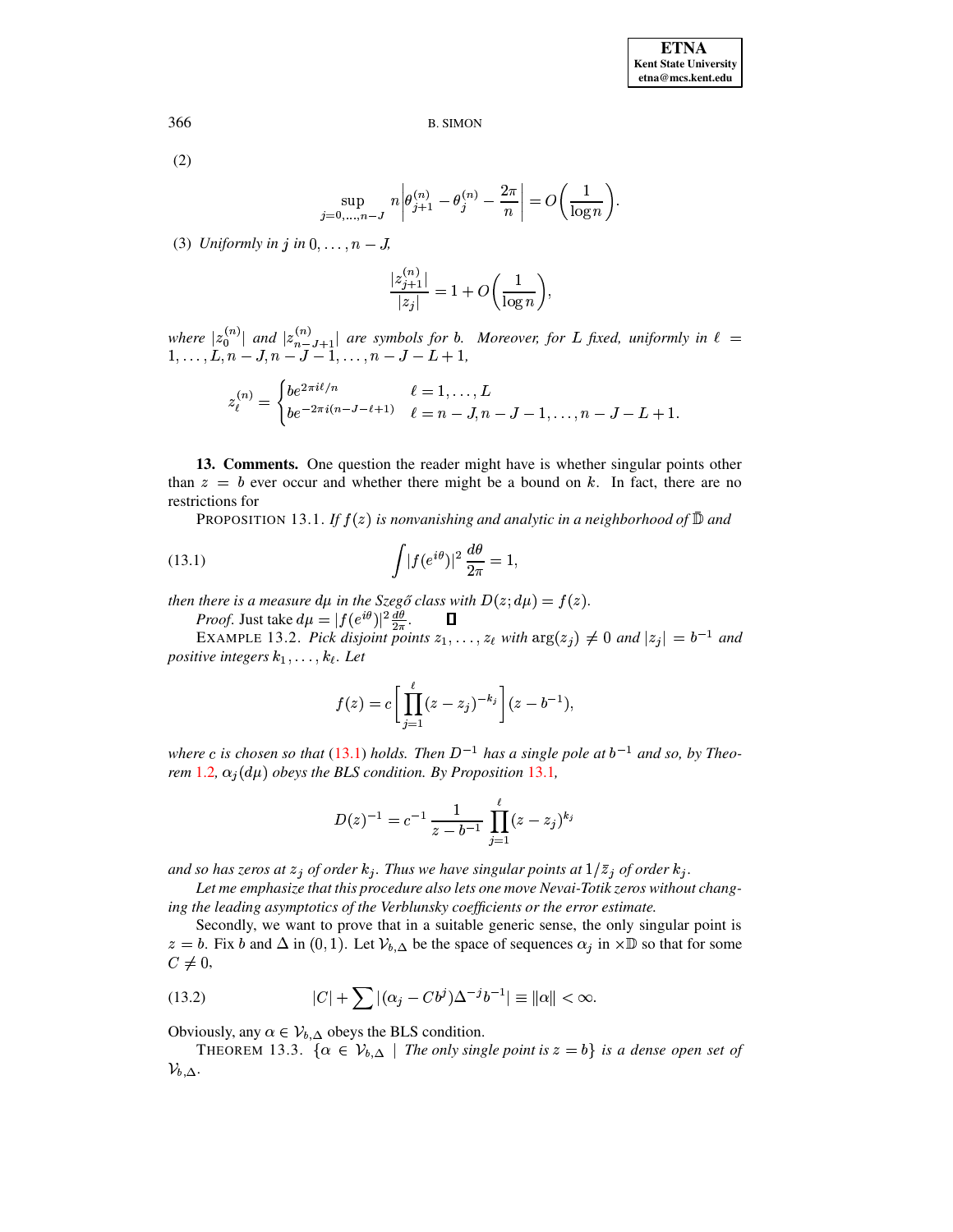$(2)$ 

$$
\sup_{j=0,\ldots,n-J} n \left| \theta_{j+1}^{(n)} - \theta_j^{(n)} - \frac{2\pi}{n} \right| = O\left(\frac{1}{\log n}\right)
$$

(3) Uniformly in j in  $0, \ldots, n - J$ ,

$$
\frac{|z_{j+1}^{(n)}|}{|z_j|} = 1 + O\bigg(\frac{1}{\log n}\bigg),\,
$$

where  $|z_0^{(n)}|$  and  $|z_{n-J+1}^{(n)}|$  are symbols for b. Moreover, for L fixed, uniformly in  $\ell = 1, ..., L, n-J, n-J-1, ..., n-J-L+1$ ,

$$
z_{\ell}^{(n)} = \begin{cases} be^{2\pi i\ell/n} & \ell = 1, \dots, L \\ be^{-2\pi i(n-J-\ell+1)} & \ell = n-J, n-J-1, \dots, n-J-L+1. \end{cases}
$$

<span id="page-38-2"></span><span id="page-38-0"></span>13. Comments. One question the reader might have is whether singular points other than  $z = b$  ever occur and whether there might be a bound on k. In fact, there are no restrictions for

PROPOSITION 13.1. If  $f(z)$  is nonvanishing and analytic in a neighborhood of  $\mathbb D$  and

(13.1) 
$$
\int |f(e^{i\theta})|^2 \frac{d\theta}{2\pi} = 1,
$$

then there is a measure  $d\mu$  in the Szegő class with  $D(z; d\mu) = f(z)$ .

*Proof.* Just take  $d\mu = |f(e^{i\theta})|^2 \frac{d\theta}{2\pi}$ .

<span id="page-38-4"></span> $\Box$ EXAMPLE 13.2. Pick disjoint points  $z_1, \ldots, z_\ell$  with  $\arg(z_j) \neq 0$  and  $|z_j| = b^{-1}$  and positive integers  $k_1, \ldots, k_\ell$ . Let

<span id="page-38-1"></span>
$$
f(z) = c \left[ \prod_{j=1}^{\ell} (z - z_j)^{-k_j} \right] (z - b^{-1}),
$$

where c is chosen so that (13.1) holds. Then  $D^{-1}$  has a single pole at  $b^{-1}$  and so, by Theorem 1.2,  $\alpha_i(d\mu)$  obeys the BLS condition. By Proposition 13.1,

$$
D(z)^{-1} = c^{-1} \frac{1}{z - b^{-1}} \prod_{j=1}^{\ell} (z - z_j)^{k_j}
$$

and so has zeros at  $z_j$  of order  $k_j$ . Thus we have singular points at  $1/\overline{z}_j$  of order  $k_j$ .

Let me emphasize that this procedure also lets one move Nevai-Totik zeros without changing the leading asymptotics of the Verblunsky coefficients or the error estimate.

Secondly, we want to prove that in a suitable generic sense, the only singular point is  $z = b$ . Fix b and  $\Delta$  in (0,1). Let  $\mathcal{V}_{b,\Delta}$  be the space of sequences  $\alpha_i$  in  $\times \mathbb{D}$  so that for some  $C\neq 0$ ,

<span id="page-38-3"></span>(13.2) 
$$
|C| + \sum |(\alpha_j - Cb^j)\Delta^{-j}b^{-1}| \equiv ||\alpha|| < \infty.
$$

Obviously, any  $\alpha \in V_{b,\Delta}$  obeys the BLS condition.

THEOREM 13.3. { $\alpha \in V_{b,\Delta}$  | The only single point is  $z = b$ } is a dense open set of  $\mathcal{V}_{b,\Delta}.$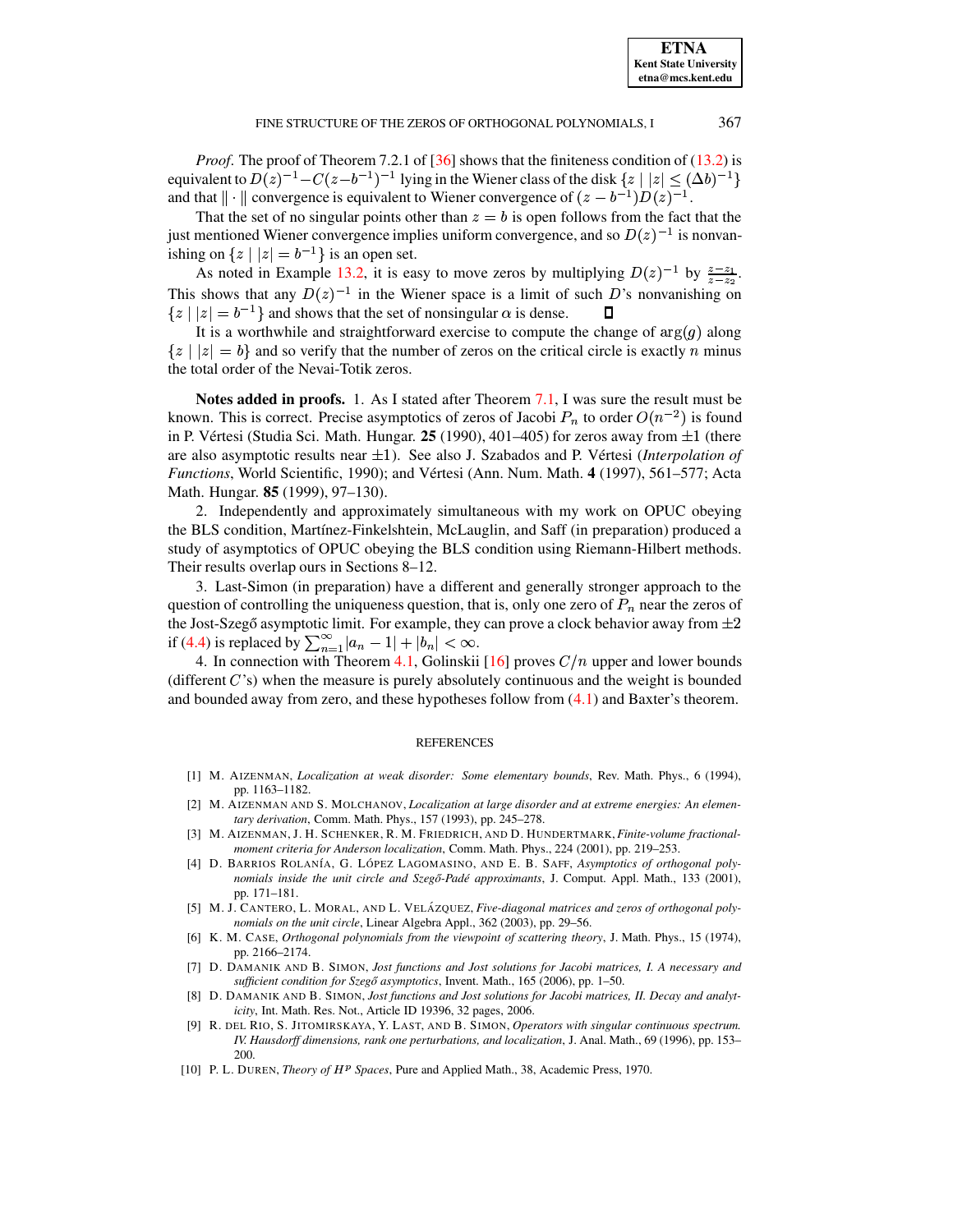*Proof.* The proof of Theorem 7.2.1 of  $[36]$  shows that the finiteness condition of  $(13.2)$  is equivalent to  $D(z)^{-1} - C(z-b^{-1})^{-1}$  lying in the Wiener class of the disk  $\{z \mid |z| \leq (\Delta b)^{-1}\}\$ and that  $\|\cdot\|$  convergence is equivalent to Wiener convergence of  $(z - b^{-1})D(z)^{-1}$ .

That the set of no singular points other than  $z = b$  is open follows from the fact that the just mentioned Wiener convergence implies uniform convergence, and so  $D(z)^{-1}$  is nonvanishing on  $\{z \mid |z| = b^{-1}\}$  is an open set.

As noted in Example 13.2, it is easy to move zeros by multiplying  $D(z)^{-1}$  by  $\frac{z-z_1}{z-z_2}$ . This shows that any  $D(z)^{-1}$  in the Wiener space is a limit of such D's nonvanishing on  $\{z \mid |z| = b^{-1}\}\$ and shows that the set of nonsingular  $\alpha$  is dense. П

It is a worthwhile and straightforward exercise to compute the change of  $\arg(g)$  along  $\{z \mid |z| = b\}$  and so verify that the number of zeros on the critical circle is exactly n minus the total order of the Nevai-Totik zeros.

Notes added in proofs. 1. As I stated after Theorem 7.1, I was sure the result must be known. This is correct. Precise asymptotics of zeros of Jacobi  $P_n$  to order  $O(n^{-2})$  is found in P. Vértesi (Studia Sci. Math. Hungar. 25 (1990), 401-405) for zeros away from  $\pm 1$  (there are also asymptotic results near  $\pm 1$ ). See also J. Szabados and P. Vértesi (Interpolation of Functions, World Scientific, 1990); and Vértesi (Ann. Num. Math. 4 (1997), 561-577; Acta Math. Hungar. 85 (1999), 97–130).

2. Independently and approximately simultaneous with my work on OPUC obeying the BLS condition, Martínez-Finkelshtein, McLauglin, and Saff (in preparation) produced a study of asymptotics of OPUC obeying the BLS condition using Riemann-Hilbert methods. Their results overlap ours in Sections 8–12.

3. Last-Simon (in preparation) have a different and generally stronger approach to the question of controlling the uniqueness question, that is, only one zero of  $P_n$  near the zeros of the Jost-Szegő asymptotic limit. For example, they can prove a clock behavior away from  $\pm 2$  if (4.4) is replaced by  $\sum_{n=1}^{\infty} |a_n - 1| + |b_n| < \infty$ .

4. In connection with Theorem 4.1, Golinskii [16] proves  $C/n$  upper and lower bounds (different  $C$ 's) when the measure is purely absolutely continuous and the weight is bounded and bounded away from zero, and these hypotheses follow from  $(4.1)$  and Baxter's theorem.

### **REFERENCES**

- <span id="page-39-4"></span><span id="page-39-2"></span>[1] M. AIZENMAN, Localization at weak disorder: Some elementary bounds, Rev. Math. Phys., 6 (1994), pp. 1163-1182.
- [2] M. AIZENMAN AND S. MOLCHANOV, Localization at large disorder and at extreme energies: An elementary derivation, Comm. Math. Phys., 157 (1993), pp. 245-278.
- <span id="page-39-3"></span>[3] M. AIZENMAN, J. H. SCHENKER, R. M. FRIEDRICH, AND D. HUNDERTMARK, Finite-volume fractionalmoment criteria for Anderson localization, Comm. Math. Phys., 224 (2001), pp. 219-253.
- <span id="page-39-0"></span>[4] D. BARRIOS ROLANÍA, G. LÓPEZ LAGOMASINO, AND E. B. SAFF, Asymptotics of orthogonal polynomials inside the unit circle and Szegő-Padé approximants, J. Comput. Appl. Math., 133 (2001), pp. 171-181.
- <span id="page-39-1"></span>[5] M. J. CANTERO, L. MORAL, AND L. VELÁZQUEZ, Five-diagonal matrices and zeros of orthogonal polynomials on the unit circle, Linear Algebra Appl., 362 (2003), pp. 29-56.
- <span id="page-39-7"></span>[6] K. M. CASE, Orthogonal polynomials from the viewpoint of scattering theory, J. Math. Phys., 15 (1974), pp. 2166-2174.
- <span id="page-39-8"></span>[7] D. DAMANIK AND B. SIMON, Jost functions and Jost solutions for Jacobi matrices, I. A necessary and sufficient condition for Szegő asymptotics, Invent. Math., 165 (2006), pp. 1-50.
- <span id="page-39-9"></span>[8] D. DAMANIK AND B. SIMON, Jost functions and Jost solutions for Jacobi matrices, II. Decay and analyticity, Int. Math. Res. Not., Article ID 19396, 32 pages, 2006.
- <span id="page-39-5"></span>[9] R. DEL RIO, S. JITOMIRSKAYA, Y. LAST, AND B. SIMON, Operators with singular continuous spectrum. IV. Hausdorff dimensions, rank one perturbations, and localization, J. Anal, Math., 69 (1996), pp. 153– 200.
- <span id="page-39-6"></span>[10] P. L. DUREN, Theory of HP Spaces, Pure and Applied Math., 38, Academic Press, 1970.